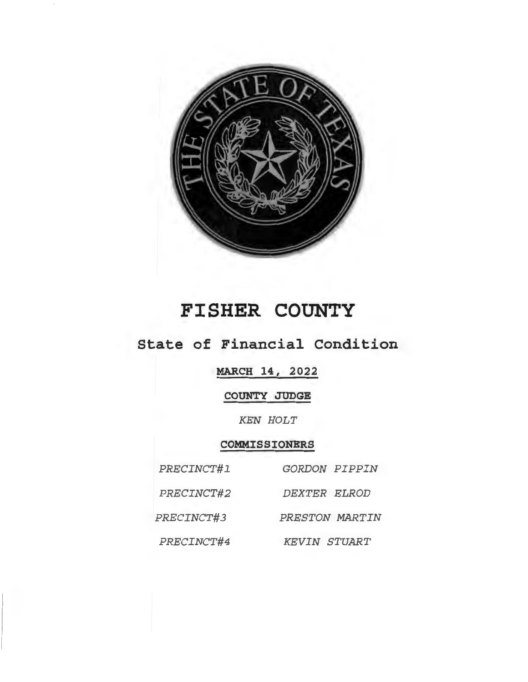

# **FISHER COUNTY**

## **State of Financial Condition**

## **MARCH 14, 2022**

## **COUNTY JUDGE**

## *KEN HOLT*

## **COMMISSIONERS**

| PRECINCT#1 | <b>GORDON PIPPIN</b> |
|------------|----------------------|
| PRECINCT#2 | DEXTER ELROD         |
| PRECINCT#3 | PRESTON MARTIN       |
| PRECINCT#4 | <b>KEVIN STUART</b>  |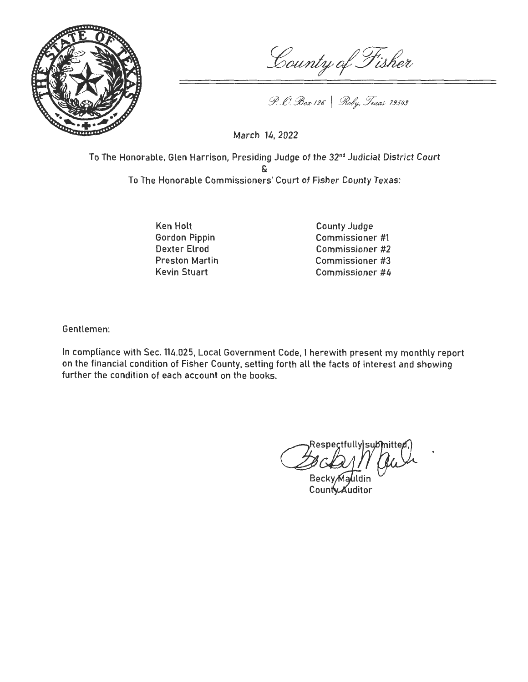

County of Fisher

P. C. Box 126 | Roby, Texas 79549

March 14, 2022

To The Honorable, Glen Harrison, Presiding Judge of the 32nd Judicial District Court & To The Honorable Commissioners' Court of Fisher County Texas:

> Ken Holt Gordon Pippin Dexter Elrod Preston Martin Kevin Stuart

County Judge Commissioner #1 Commissioner #2 Commissioner #3 Commissioner #4

Gentlemen:

In compliance with Sec. 114.025, Local Government Code, I herewith present my monthly report on the financial condition of Fisher County, setting forth all the facts of interest and showing further the condition of each account on the books.

 $\alpha^{\text{Respec}}$ **Respectfully submitted** 

Becky,Mauldin County Auditor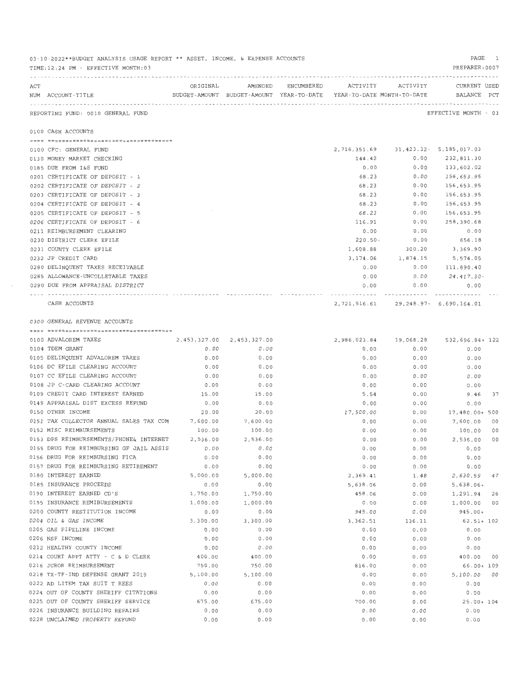| ACT |                                                  | ORIGINAL |                               | AMENDED ENCUMBERED |                                                                                 | ACTIVITY ACTIVITY  | CURRENT USED         |    |
|-----|--------------------------------------------------|----------|-------------------------------|--------------------|---------------------------------------------------------------------------------|--------------------|----------------------|----|
|     | NUM ACCOUNT-TITLE                                |          |                               |                    | BUDGET-AMOUNT BUDGET-AMOUNT YEAR-TO-DATE YEAR-TO-DATE MONTH-TO-DATE BALANCE PCT |                    |                      |    |
|     | REPORTING FUND: 0010 GENERAL FUND                |          |                               |                    |                                                                                 |                    | EFFECTIVE MONTH - 03 |    |
|     | 0100 CASH ACCOUNTS                               |          |                               |                    |                                                                                 |                    |                      |    |
|     |                                                  |          |                               |                    |                                                                                 |                    |                      |    |
|     | 0100 CFC: GENERAL FUND                           |          |                               |                    | 2, 716, 351.69 31, 423.32 - 5, 185, 017.03                                      |                    |                      |    |
|     | 0130 MONEY MARKET CHECKING                       |          |                               |                    | 144.42                                                                          | 0.00               | 232,811.30           |    |
|     | 0185 DUE FROM I&S FUND                           |          |                               |                    | 0.00                                                                            | 0.00               | 133,602.02           |    |
|     | 0201 CERTIFICATE OF DEPOSIT - 1                  |          |                               |                    | 68.23                                                                           | 0.00               | 156,653.95           |    |
|     | 0202 CERTIFICATE OF DEPOSIT - 2                  |          |                               |                    | 68.23                                                                           | 0.00               | 156,653.95           |    |
|     | 0203 CERTIFICATE OF DEPOSIT - 3                  |          |                               |                    | 68.23                                                                           | 0.00               | 156,653.95           |    |
|     | 0204 CERTIFICATE OF DEPOSIT - 4                  |          |                               |                    | 68.23                                                                           | 0.00               | 156,653.95           |    |
|     | 0205 CERTIFICATE OF DEPOSIT - 5                  |          |                               |                    | 68.23                                                                           | 0.00               | 156,653.95           |    |
|     | 0206 CERTIFICATE OF DEPOSIT - 6                  |          |                               |                    | 116.91                                                                          | 0.00               | 258,390.68           |    |
|     | 0211 REIMBURSEMENT CLEARING                      |          |                               |                    | 0.00                                                                            | 0.00               | 0.00                 |    |
|     | 0230 DISTRICT CLERK EFILE                        |          |                               |                    | 220.50-                                                                         | 0.00               | 656.18               |    |
|     | 0231 COUNTY CLERK EFILE                          |          |                               |                    | 1,608.88                                                                        | 300.20             | 3,369.90             |    |
|     | 0232 JP CREDIT CARD                              |          |                               |                    | 3,174.06                                                                        | 1,874.15           | 5,574.05             |    |
|     | 0280 DELINQUENT TAXES RECEIVABLE                 |          |                               |                    | 0.00                                                                            | 0.00               | 111,890.40           |    |
|     | 0285 ALLOWANCE-UNCOLLETABLE TAXES                |          |                               |                    | 0.00                                                                            |                    | $0.00$ 24,417.30-    |    |
|     | 0290 DUE FROM APPRAISAL DISTRICT                 |          |                               |                    | 0.00                                                                            | 0.00<br>---------- | 0.00                 |    |
|     | CASH ACCOUNTS                                    |          |                               |                    | 2, 721, 516.61 29, 248.97 - 6, 690, 164.01                                      |                    |                      |    |
|     | 0300 GENERAL REVENUE ACCOUNTS                    |          |                               |                    |                                                                                 |                    |                      |    |
|     |                                                  |          |                               |                    |                                                                                 |                    |                      |    |
|     | 0100 ADVALOREM TAXES                             |          | 2, 453, 327.00 2, 453, 327.00 |                    | 2,986,023.84  19,068.28  532,696.84+ 122                                        |                    |                      |    |
|     | 0104 TDEM GRANT                                  | 0.00     | 0.00                          |                    | 0.00                                                                            | 0.00               | 0.00                 |    |
|     | 0105 DELINQUENT ADVALOREM TAXES                  | 0.00     | 0.00                          |                    | 0.00                                                                            | 0.00               | 0.00                 |    |
|     | 0106 DC EFILE CLEARING ACCOUNT                   | 0.00     | 0.00                          |                    | 0.00                                                                            | 0.00               | 0.00                 |    |
|     | 0107 CC EFILE CLEARING ACCOUNT                   | 0.00     | 0.00                          |                    | 0.00                                                                            | 0.00               | 0.00                 |    |
|     | 0108 JP C-CARD CLEARING ACCOUNT                  | 0.00     | 0.00                          |                    | 0.00                                                                            | 0.00               | 0.00                 |    |
|     | 0109 CREDIT CARD INTEREST EARNED                 | 15.00    | 15.00                         |                    | 5.54                                                                            | 0.00               | 9.46 37              |    |
|     | 0149 APPRAISAL DIST EXCESS REFUND                | 0.00     | 0.00                          |                    | 0.00                                                                            | 0.00               | 0.00                 |    |
|     | 0150 OTHER INCOME                                | 20.00    | 20.00                         |                    | 17,500.00                                                                       | 0.00               | 17,480.00+ 500       |    |
|     | 0151 TAX COLLECTOR ANNUAL SALES TAX COM 7,600.00 |          | 7,600.00                      |                    | 0.00                                                                            | 0.00               | 7,600.00 00          |    |
|     | 0152 MISC REIMBURSEMENTS                         | 100.00   | 100.00                        |                    | 0.00                                                                            | 0.00               | 100.00 00            |    |
|     | 0153 DPS REIMBURSEMENTS/PHONE& INTERNET          | 2,536.00 | 2,536.00                      |                    | 0.00                                                                            | 0.00               | 2,536.00 00          |    |
|     | 0155 DRUG FOR REIMBURSING GF JAIL ASSIS          | 0.00     | 0.00                          |                    | 0.00                                                                            | 0.00               | 0.00                 |    |
|     | 0156 DRUG FOR REIMBURSING FICA                   | 0.00     | 0.00                          |                    | 0.00                                                                            | 0.00               | 0.00                 |    |
|     | 0157 DRUG FOR REIMBURSING RETIREMENT             | 0.00     | 0.00                          |                    | 0.00                                                                            | 0.00               | 0.00                 |    |
|     | 0180 INTEREST EARNED                             | 5,000.00 | 5,000.00                      |                    | 2,369.41                                                                        | 1.48               | 2,630.59             | 47 |
|     | 0185 INSURANCE PROCEEDS                          | 0.00     | 0.00                          |                    | 5,638.06                                                                        | 0.00               | $5,638.06+$          |    |
|     | 0190 INTEREST EARNED CD'S                        | 1,750.00 | 1,750.00                      |                    | 458.06                                                                          | 0.00               | 1,291.94             | 26 |
|     | 0195 INSURANCE REMIBURSEMENTS                    | 1,000.00 | 1,000.00                      |                    | 0.00                                                                            | 0.00               | 1,000.00 00          |    |
|     | 0200 COUNTY RESTITUTION INCOME                   | 0.00     | 0.00                          |                    | 945.00                                                                          | 0.00               | 945.00+              |    |
|     | 0204 OIL & GAS INCOME                            | 3,300.00 | 3,300.00                      |                    | 3,362.51                                                                        | 136.11             | $62.51 + 102$        |    |
|     | 0205 GAS PIPELINE INCOME                         | 0.00     | 0.00                          |                    | 0.00                                                                            | 0.00               | 0.00                 |    |
|     | 0206 NSF INCOME                                  | 0.00     | 0.00                          |                    | 0.00                                                                            | 0.00               | 0.00                 |    |
|     | 0212 HEALTHY COUNTY INCOME                       | 0.00     | 0.00                          |                    | 0.00                                                                            | 0.00               | 0.00                 |    |
|     | 0214 COURT APPT ATTY - C & D CLERK               | 400.00   | 400.00                        |                    | 0.00                                                                            | 0.00               | 400.00 00            |    |
|     | 0216 JUROR REIMBURSEMENT                         | 750.00   | 750.00                        |                    | 816.00                                                                          | 0.00               | 66.00+ 109           |    |
|     | 0218 TX-TF-IND DEFENSE GRANT 2019                | 5,100.00 | 5,100.00                      |                    | 0.00                                                                            | 0.00               | 5,100.00 00          |    |
|     | 0222 AD LITEM TAX SUIT T REES                    | 0.00     | 0.00                          |                    | 0.00                                                                            | 0.00               | 0.00                 |    |
|     | 0224 OUT OF COUNTY SHERIFF CITATIONS             | 0.00     | 0.00                          |                    | 0.00                                                                            | 0.00               | 0.00                 |    |
|     | 0225 OUT OF COUNTY SHERIFF SERVICE               | 675.00   | 675.00                        |                    | 700.00                                                                          | 0.00               | $25.00 + 104$        |    |
|     | 0226 INSURANCE BUILDING REPAIRS                  | 0.00     | 0.00                          |                    | 0.00                                                                            | 0.00               | 0.00                 |    |
|     | 0228 UNCLAIMED PROPERTY REFUND                   | 0.00     | 0.00                          |                    | 0.00                                                                            | 0.00               | 0.00                 |    |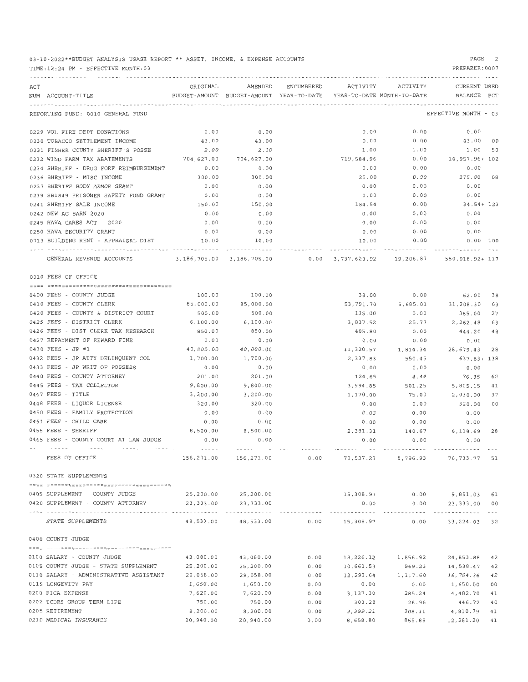03-10-2022\*\*BUDGET ANALYSIS USAGE REPORT \*\* ASSET, INCOME, & EXPENSE ACCOUNTS TIME : 12 : 24 PM - EFFECTIVE MONTH:03 PAGE 2 PREPARER:0007 ------------------------------------------------------------ ----------------------------------------------------------------------- ACT ORIGINAL AMENDED ENCUMBERED ACTIVITY ACTIVITY CURRENT USED NUM ACCOUNT-TITLE SALL BUDGET-AMOUNT BUDGET-AMOUNT YEAR-TO-DATE YEAR-TO-DATE MONTH-TO-DATE BALANCE PCT ------------- ---------------------------------------------------------------------------------------------------------------------- REPORTING FUND: 0010 GENERAL FUND EFFECTIVE MONTH - <sup>03</sup> 0229 VOL FIRE DEPT DONATIONS  $0.00$  0.00 0.00 0.00 0.00 0.00 0.00 0.00 0230 TOBACCO SETTLEMENT INCOME 43 . 00 43.00 0.00 0.00 4 3 . 00 00 0231 FISHER COUNTY SHERIFF'S POSSE 2.00 2.00 2.00 1.00 1.00 1.00 1.00 50 0232 WIND FARM TAX ABATEMENTS **704,627.00** 704,627.00 704,627.00 719,584.96 0.00 14,957.96+ 102 023 4 SHERIFF - DRUG FORF REIMBURSEMENT 0.00 0 . 00 0.00 0.00 0.00 0236 SHERIFF - MISC INCOME 300.00 300.00 25.00 0 . 00 275 . 00 08 0237 SHERIFF BODY ARMOR GRANT 0.00 0.00 0.00 0.00 0.00 0239 SB1849 PRISONER SAFETY FUND GRANT  $0.00$  0.00 0.00 0.00 0.00 0.00 0.00 0.00 0241 SHERIFF SALE INCOME 150.00 150.00 184. 54 0.00 34 .54+ 123 0242 NEW AG BARN 2020 0.00 0.00 0.00 0.00 0.00 02 4 5 HAVA CARES ACT - 2020 0.00 0 . 00 0.00 0 . 00 0 . 00 0250 HAVA SECURITY GRANT  $0.00$  0.00 0.00 0.00 0.00 0.00 0.00 0.00 0713 BUILDING RENT - APPRAISAL DIST  $10.00$  10.00  $10.00$  10.00 0.00 0.00 0.00 100 ---------------------------------- ------------- ------------- ------------ ------------- ------------ ------------- GENERAL REVENUE ACCOUNTS 3,186,705 . 00 3,186,705 . 00 0.00 3,737 , 623.92 19,206 .8 7 550,918 .92+ 117 0310 FEES OF OFFICE

| 0400 FEES - COUNTY JUDGE                       |                       | 100.00 100.00         | 38.00                                                                                         | 0.00                               | 62.00               | 38 |
|------------------------------------------------|-----------------------|-----------------------|-----------------------------------------------------------------------------------------------|------------------------------------|---------------------|----|
| 0410 FEES - COUNTY CLERK                       | 85,000.00             | 85,000.00             |                                                                                               | 53, 791. 70 5, 685. 01 31, 208. 30 |                     | 63 |
| 0420 FEES - COUNTY & DISTRICT COURT            | 500.00                | 500.00                | 135.00                                                                                        | 0.00                               | 365.00              | 27 |
| 0425 FEES - DISTRICT CLERK                     | 6,100.00              | 6,100.00              | 3,837.52                                                                                      | 25.77                              | 2,262.48            | 63 |
| 0426 FEES - DIST CLERK TAX RESEARCH            | 850.00                | 850.00                | 405.80                                                                                        | 0.00                               | 444.20              | 48 |
| 0427 REPAYMENT OF REWARD FINE                  | 0.00                  | 0.00                  | 0.00                                                                                          | 0.00                               | 0.00                |    |
| 0430 FEES - JP #1                              | 40,000.00             | 40,000.00             | 11,320.57                                                                                     | 1,814.34                           | 28,679.43 28        |    |
| 0432 FEES - JP ATTY DELINQUENT COL 1,700.00    |                       | 1,700.00              |                                                                                               | 2,337.83 550.45                    | 637.83+ 138         |    |
| 0433 FEES - JP WRIT OF POSSESS                 | 0.00                  | 0.00                  | 0.00                                                                                          | 0.00                               | 0.00                |    |
| 0440 FEES - COUNTY ATTORNEY                    | 201.00                | 201.00                | 124.65                                                                                        | 4.44                               | 76.35 62            |    |
| 0445 FEES - TAX COLLECTOR                      | 9,800.00              | 9,800.00              | 3,994.85                                                                                      | 501.25                             | 5,805.15            | 41 |
| 0447 FEES - TITLE                              | 3,200.00              | 3,200.00              | 1,170.00                                                                                      | 75.00                              | 2,030.00            | 37 |
| 0448 FEES - LIQUOR LICENSE                     | 320.00                | 320.00                | 0.00                                                                                          | 0.00                               | 320.00              | 00 |
| 0450 FEES - FAMILY PROTECTION                  | 0.00                  | 0.00                  | 0.00                                                                                          | 0.00                               | 0.00                |    |
| 0451 FEES - CHILD CARE                         | 0.00                  | 0.00                  |                                                                                               |                                    | 0.00                |    |
| 0455 FEES - SHERIFF                            | 8,500.00 8,500.00     |                       |                                                                                               | 2,381.31 140.67 6,118.69 28        |                     |    |
| 0465 FEES - COUNTY COURT AT LAW JUDGE          | 0.00                  | 0.00                  | 0.00                                                                                          | 0.00                               | 0.00                |    |
| FEES OF OFFICE                                 |                       |                       | 156,271.00 156,271.00        0.00        79,537.23        8,796.93        76,733.77        51 |                                    |                     |    |
| 0320 STATE SUPPLEMENTS                         |                       |                       |                                                                                               |                                    |                     |    |
|                                                |                       |                       |                                                                                               |                                    |                     |    |
| 0405 SUPPLEMENT - COUNTY JUDGE                 |                       | 25, 200.00 25, 200.00 |                                                                                               | 15,308.97 0.00 9,891.03 61         |                     |    |
| 0420 SUPPLEMENT - COUNTY ATTORNEY              | 23, 333.00 23, 333.00 |                       | 0.00                                                                                          |                                    | $0.00$ 23,333.00 00 |    |
| STATE SUPPLEMENTS                              |                       |                       | 48,533.00 48,533.00 0.00 15,308.97 0.00 33,224.03 32                                          |                                    |                     |    |
| 0400 COUNTY JUDGE                              |                       |                       |                                                                                               |                                    |                     |    |
|                                                |                       |                       |                                                                                               |                                    |                     |    |
| 0100 SALARY - COUNTY JUDGE                     |                       | 43.080.00 43.080.00   | $0.00$ 18, 226.12 1, 656.92 24, 853.88 42                                                     |                                    |                     |    |
| 0105 COUNTY JUDGE - STATE SUPPLEMENT 25,200.00 |                       | 25,200.00             | 0.00<br>10,661.53                                                                             |                                    | 969.23 14,538.47    | 42 |
| 0110 SALARY - ADMINISTRATIVE ASSISTANT         | 29,058.00             | 29,058.00             | 0.00                                                                                          | 12,293.64 1,117.60                 | 16,764.36           | 42 |
| 0115 LONGEVITY PAY                             | 1,650.00              | 1,650.00              | 0.00<br>0.00                                                                                  | 0.00                               | 1,650.00 00         |    |
| 0200 FICA EXPENSE                              | 7,620.00              | 7,620.00              | 3,137.30<br>0.00                                                                              | 285.24                             | 4,482.70 41         |    |

0202 TCDRS GROUP TERM LIFE  $\begin{array}{ccccccc} 750.00 & & & 750.00 & & & 0.00 & & & 303.28 & & 26.96 & & 446.72 & 40 \end{array}$ 0205 RETIREMENT 8,200.00 8,200.00 0 . 00 3,389.21 308.11 4,810.79 41 0210 MEDICAL INSURANCE  $20,940.00$   $20,940.00$   $0.00$   $8,658.80$   $865.88$   $12,281.20$   $41$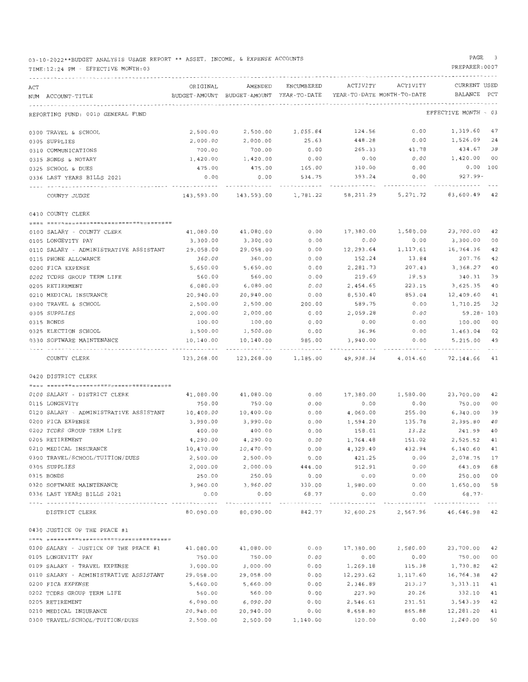03-10-2022\*\*BUDGET ANALYSIS USAGE REPORT \*\* ASSET, INCOME, & EXPENSE ACCOUNTS

#### TIME:12:24 PM - EFFECTIVE MONTH:03

#### PAGE 3

| ACT |                                                  | ORIGINAL   | AMENDED                                                                   | ENCUMBERED   | ACTIVITY                   | ACTIVITY | CURRENT USED         |     |
|-----|--------------------------------------------------|------------|---------------------------------------------------------------------------|--------------|----------------------------|----------|----------------------|-----|
|     | NUM ACCOUNT-TITLE                                |            | BUDGET-AMOUNT BUDGET-AMOUNT YEAR-TO-DATE                                  |              | YEAR-TO-DATE MONTH-TO-DATE |          | BALANCE              | PCT |
|     |                                                  |            |                                                                           |              |                            |          |                      |     |
|     | REPORTING FUND: 0010 GENERAL FUND                |            |                                                                           |              |                            |          | EFFECTIVE MONTH - 03 |     |
|     | 0300 TRAVEL & SCHOOL                             | 2,500.00   | 2,500.00                                                                  | 1,055.84     | 124.56                     | 0.00     | 1,319.60             | 47  |
|     | 0305 SUPPLIES                                    | 2,000.00   | 2,000.00                                                                  | 25.63        | 448.28                     | 0.00     | 1,526.09             | 24  |
|     | 0310 COMMUNICATIONS                              | 700.00     | 700.00                                                                    | 0.00         | 265.33                     | 41.78    | 434.67               | 38  |
|     | 0315 BONDS & NOTARY                              | 1,420.00   | 1,420.00                                                                  | 0.00         | 0.00                       | 0.00     | 1,420.00             | 00  |
|     | 0325 SCHOOL & DUES                               | 475.00     | 475.00                                                                    | 165.00       | 310.00                     | 0.00     | $0.00$ 100           |     |
|     | 0336 LAST YEARS BILLS 2021                       | 0.00       | 0.00                                                                      | 534.75       | 393.24                     | 0.00     | 927.99-              |     |
|     | COUNTY JUDGE                                     | 143,593.00 | 143,593.00                                                                | 1,781.22     | 58,211.29                  | 5,271.72 | 83,600.49            | 42  |
|     | 0410 COUNTY CLERK                                |            |                                                                           |              |                            |          |                      |     |
|     |                                                  |            |                                                                           |              |                            |          |                      |     |
|     | 0100 SALARY - COUNTY CLERK                       | 41,080.00  | 41,080.00                                                                 | 0.00         | 17,380.00                  | 1,580.00 | 23,700.00            | 42  |
|     | 0105 LONGEVITY PAY                               | 3,300.00   | 3,300.00                                                                  | 0.00         | 0.00                       | 0.00     | 3,300.00             | 00  |
|     | 0110 SALARY - ADMINISTRATIVE ASSISTANT           | 29,058.00  | 29,058.00                                                                 | 0.00         | 12,293.64                  | 1,117.61 | 16,764.36            | 42  |
|     | 0115 PHONE ALLOWANCE                             | 360.00     | 360.00                                                                    | 0.00         | 152.24                     | 13.84    | 207.76               | 42  |
|     | 0200 FICA EXPENSE                                | 5,650.00   | 5,650.00                                                                  | 0.00         | 2,281.73                   | 207.43   | 3,368.27             | 40  |
|     | 0202 TCDRS GROUP TERM LIFE                       | 560.00     | 560.00                                                                    | 0.00         | 219.69                     | 19.53    | 340.31               | 39  |
|     | 0205 RETIREMENT                                  | 6,080.00   | 6,080.00                                                                  | 0.00         | 2,454.65                   | 223.15   | 3,625.35             | 40  |
|     | 0210 MEDICAL INSURANCE                           | 20,940.00  | 20,940.00                                                                 | 0.00         | 8,530.40                   | 853.04   | 12,409.60            | 41  |
|     | 0300 TRAVEL & SCHOOL                             | 2,500.00   | 2,500.00                                                                  | 200.00       | 589.75                     | 0.00     | 1,710.25             | 32  |
|     | 0305 SUPPLIES                                    | 2,000.00   | 2,000.00                                                                  | 0.00         | 2,059.28                   | 0.00     | 59.28- 103           |     |
|     | 0315 BONDS                                       | 100.00     | 100.00                                                                    | 0.00         | 0.00                       | 0.00     | 100.00               | 00  |
|     | 0325 ELECTION SCHOOL                             | 1,500.00   | 1,500.00                                                                  | 0.00         | 36.96                      | 0.00     | 1,463.04             | 02  |
|     | 0330 SOFTWARE MAINTENANCE                        |            |                                                                           | 985.00       |                            | 0.00     |                      | 49  |
|     |                                                  | 10,140.00  | 10,140.00                                                                 |              | 3,940.00                   |          | 5,215.00             |     |
|     | COUNTY CLERK                                     | 123,268.00 | 123,268.00                                                                | 1,185.00     | 49,938.34                  | 4,014.60 | 72,144.66            | 41  |
|     | 0420 DISTRICT CLERK                              |            |                                                                           |              |                            |          |                      |     |
|     |                                                  |            |                                                                           |              |                            |          |                      |     |
|     | 0100 SALARY - DISTRICT CLERK                     | 41,080.00  | 41,080.00                                                                 | 0.00         | 17,380.00                  | 1,580.00 | 23,700.00            | 42  |
|     | 0115 LONGEVITY                                   | 750.00     | 750.00                                                                    | 0.00         | 0.00                       | 0.00     | 750.00               | 00  |
|     | 0120 SALARY - ADMINISTRATIVE ASSISTANT           | 10,400.00  | 10,400.00                                                                 | 0.00         | 4,060.00                   | 255.00   | 6,340.00             | 39  |
|     | 0200 FICA EXPENSE                                | 3,990.00   | 3,990.00                                                                  | 0.00         | 1,594.20                   | 135.78   | 2,395.80             | 40  |
|     | 0202 TCDRS GROUP TERM LIFE                       | 400.00     | 400.00                                                                    | 0.00         | 158.01                     | 13.22    | 241.99               | 40  |
|     | 0205 RETIREMENT                                  | 4,290.00   | 4,290.00                                                                  | 0.00         | 1,764.48                   | 151.02   | 2,525.52             | 41  |
|     | 0210 MEDICAL INSURANCE                           | 10,470.00  | 10,470.00                                                                 | 0.00         | 4,329.40                   | 432.94   | 6,140.60             | 41  |
|     | 0300 TRAVEL/SCHOOL/TUITION/DUES                  | 2,500.00   | 2,500.00                                                                  | 0.00         | 421.25                     | 0.00     | 2,078.75             | 17  |
|     | 0305 SUPPLIES                                    | 2,000.00   | 2,000.00                                                                  | 444.00       | 912.91                     | 0.00     | 643.09 68            |     |
|     | 0315 BONDS                                       | 250.00     | 250.00                                                                    | 0.00         | 0.00                       | 0.00     | 250.00 00            |     |
|     | 0320 SOFTWARE MAINTENANCE                        | 3,960.00   | 3,960.00                                                                  | 330.00       | 1,980.00                   | 0.00     | 1,650.00 58          |     |
|     | 0336 LAST YEARS BILLS 2021                       | 0.00       | 0.00                                                                      | 68.77        | 0.00                       | 0.00     | 68.77-               |     |
|     | DISTRICT CLERK                                   | ---------- | -----------<br>80,090.00 80,090.00 842.77 32,600.25 2,567.96 46,646.98 42 | ------------ |                            |          | -------------        |     |
|     | 0430 JUSTICE OF THE PEACE #1                     |            |                                                                           |              |                            |          |                      |     |
|     |                                                  |            |                                                                           |              |                            |          |                      |     |
|     | 0100 SALARY - JUSTICE OF THE PEACE #1            | 41,080.00  | 41,080.00                                                                 | 0.00         | 17,380.00                  | 1,580.00 | 23,700.00            | 42  |
|     | 0105 LONGEVITY PAY                               | 750.00     | 750.00                                                                    | 0.00         | 0.00                       | 0.00     | 750.00               | 00  |
|     | 0109 SALARY - TRAVEL EXPENSE                     | 3,000.00   | 3,000.00                                                                  | 0.00         | 1,269.18                   | 115.38   | 1,730.82             | 42  |
|     | 0110 SALARY - ADMINISTRATIVE ASSISTANT 29,058.00 |            | 29,058.00                                                                 | 0.00         | 12,293.62                  | 1,117.60 | 16,764.38            | 42  |
|     | 0200 FICA EXPENSE                                | 5,660.00   | 5,660.00                                                                  | 0.00         | 2,346.89                   | 213.17   | 3,313.11             | 41  |
|     | 0202 TCDRS GROUP TERM LIFE                       | 560.00     | 560.00                                                                    | 0.00         | 227.90                     | 20.26    | 332.10               | 41  |
|     | 0205 RETIREMENT                                  | 6,090.00   | 6,090.00                                                                  | 0.00         | 2,546.61                   | 231.51   | 3,543.39             | 42  |
|     | 0210 MEDICAL INSURANCE                           | 20,940.00  | 20,940.00                                                                 | 0.00         | 8,658.80                   | 865.88   | 12,281.20            | 41  |
|     | 0300 TRAVEL/SCHOOL/TUITION/DUES                  | 2,500.00   | 2,500.00                                                                  | 1,140.00     | 120.00                     | 0.00     | 1,240.00 50          |     |
|     |                                                  |            |                                                                           |              |                            |          |                      |     |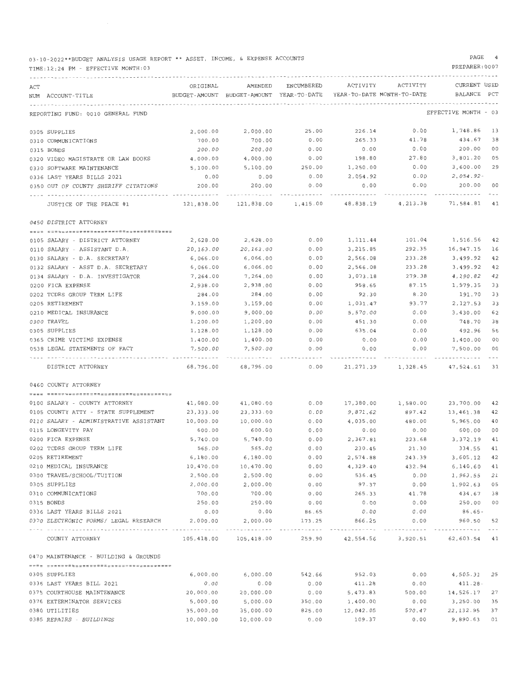03-10-2022\*\*BUDGET ANALYSIS USAGE REPORT\*\* ASSET, INCOME, & EXPENSE ACCOUNTS

#### TIME:12 : 24 PM - EFFECTIVE MONTH:03

#### PAGE 4

| ACT |                                                   | ORIGINAL              | AMENDED                                  | ENCUMBERED      | ACTIVITY                   | ACTIVITY                               | CURRENT USED         |              |
|-----|---------------------------------------------------|-----------------------|------------------------------------------|-----------------|----------------------------|----------------------------------------|----------------------|--------------|
|     | NUM ACCOUNT-TITLE                                 |                       | BUDGET-AMOUNT BUDGET-AMOUNT YEAR-TO-DATE |                 | YEAR-TO-DATE MONTH-TO-DATE |                                        | BALANCE              | $_{\rm PCT}$ |
|     |                                                   |                       |                                          |                 |                            |                                        |                      |              |
|     | REPORTING FUND: 0010 GENERAL FUND                 |                       |                                          |                 |                            |                                        | EFFECTIVE MONTH - 03 |              |
|     | 0305 SUPPLIES                                     | 2,000.00              | 2,000.00                                 | 25.00           | 226.14                     | 0.00                                   | 1,748.86             | -13          |
|     | 0310 COMMUNICATIONS                               | 700.00                | 700.00                                   | 0.00            | 265.33                     | 41.78                                  | 434.67               | 38           |
|     | 0315 BONDS                                        | 200.00                | 200.00                                   | 0.00            | 0.00                       | 0.00                                   | 200.00               | 00           |
|     | 0320 VIDEO MAGISTRATE OR LAW BOOKS                | 4,000.00              | 4,000.00                                 | 0.00            | 198.80                     | 27.80                                  | 3,801.20             | 05           |
|     | 0330 SOFTWARE MAINTENANCE                         | 5,100.00              | 5,100.00                                 | 250.00          | 1,250.00                   | 0.00                                   | 3,600.00             | 29           |
|     | 0336 LAST YEARS BILLS 2021                        | 0.00                  | 0.00                                     | 0.00            | 2,054.92                   | 0.00                                   | $2,054.92 -$         |              |
|     | 0350 OUT OF COUNTY SHERIFF CITATIONS              | 200.00                | 200.00                                   | 0.00            | 0.00                       | 0.00                                   | 200.00               | $^{\circ}$   |
|     | JUSTICE OF THE PEACE #1                           | 121,838.00            | 121,838.00                               | 1,415.00        | 48,838.19                  | 4,213.38                               | 71,584.81            | 41           |
|     | 0450 DISTRICT ATTORNEY                            |                       |                                          |                 |                            |                                        |                      |              |
|     |                                                   |                       |                                          | 0.00            | 1, 111, 44                 | 101.04                                 | 1,516.56             | 42           |
|     | 0105 SALARY - DISTRICT ATTORNEY                   | 2,628.00              | 2,628.00                                 |                 |                            |                                        |                      | 16           |
|     | 0110 SALARY - ASSISTANT D.A.                      | 20,163.00             | 20,163.00                                | 0.00            | 3,215.85                   | 292.35                                 | 16,947.15            |              |
|     | 0130 SALARY - D.A. SECRETARY                      | 6,066.00              | 6,066.00                                 | 0.00            | 2,566.08                   | 233.28                                 | 3,499.92             | 42           |
|     | 0132 SALARY - ASST D.A. SECRETARY                 | 6,066.00              | 6,066.00                                 | 0.00            | 2,566.08                   | 233.28                                 | 3,499.92             | 42           |
|     | 0134 SALARY - D.A. INVESTIGATOR                   | 7,264.00              | 7,264.00                                 | 0.00            | 3,073.18                   | 279.38                                 | 4,190.82             | 42           |
|     | 0200 FICA EXPENSE                                 | 2,938.00              | 2,938.00                                 | 0.00            | 958.65                     | 87.15                                  | 1,979.35             | 33           |
|     | 0202 TCDRS GROUP TERM LIFE                        | 284.00                | 284.00                                   | 0.00            | 92.30                      | 8.20                                   | 191.70               | 33           |
|     | 0205 RETIREMENT                                   | 3,159.00              | 3,159.00                                 | 0.00            | 1,031.47                   | 93.77                                  | 2.127.53             | 33           |
|     | 0210 MEDICAL INSURANCE                            | 9,000.00              | 9,000.00                                 | 0.00            | 5,570.00                   | 0.00                                   | 3,430.00             | 62           |
|     | 0300 TRAVEL                                       | 1,200.00              | 1,200.00                                 | 0.00            | 451.30                     | 0.00                                   | 748.70               | 38           |
|     | 0305 SUPPLIES                                     | 1,128.00              | 1,128.00                                 | 0.00            | 635.04                     | 0.00                                   | 492.96               | 56           |
|     | 0365 CRIME VICTIMS EXPENSE                        | 1,400.00              | 1,400.00                                 | 0.00            | 0.00                       | 0.00                                   | 1,400.00             | 00           |
|     | 0538 LEGAL STATEMENTS OF FACT                     | 7,500.00              | 7,500.00                                 | 0.00            | 0.00                       | 0.00                                   | 7,500.00             | 00           |
|     | DISTRICT ATTORNEY                                 | 68,796.00             | 68,796.00                                | 0.00            | 21,271.39                  | 1,328.45                               | 47,524.61            | 31           |
|     | 0460 COUNTY ATTORNEY                              |                       |                                          |                 |                            |                                        |                      |              |
|     | <b>USEE SEEUUSSUUSSUSEELESEEUUSSEEURSEEUU</b>     |                       |                                          | 0.00            | 17,380.00                  | 1,580.00                               | 23,700.00            | 42           |
|     | 0100 SALARY - COUNTY ATTORNEY                     | 41,080.00             | 41,080.00<br>23, 333.00                  |                 | 9,871.62                   | 897.42                                 | 13,461.38            | 42           |
|     | 0105 COUNTY ATTY - STATE SUPPLEMENT               | 23,333.00             |                                          | 0.00            | 4,035.00                   | 480.00                                 | 5,965.00             | 40           |
|     | 0110 SALARY - ADMINISTRATIVE ASSISTANT            | 10,000.00<br>600.00   | 10,000.00<br>600.00                      | 0.00<br>0.00    | 0.00                       | 0.00                                   | 600.00               | 00           |
|     | 0115 LONGEVITY PAY                                |                       | 5,740.00                                 |                 | 2,367.81                   | 223.68                                 | 3,372.19             | 41           |
|     | 0200 FICA EXPENSE<br>0202 TCDRS GROUP TERM LIFE   | 5,740.00<br>565.00    | 565.00                                   | 0.00<br>0.00    | 230.45                     | 21.30                                  | 334.55               | 41           |
|     | 0205 RETIREMENT                                   |                       |                                          |                 |                            |                                        | 3,605.12             | 42           |
|     |                                                   | 6,180.00<br>10,470.00 | 6,180.00<br>10,470.00                    | 0.00<br>0.00    | 2,574.88<br>4,329.40       | 243.39<br>432.94                       | 6,140.60             | 41           |
|     | 0210 MEDICAL INSURANCE                            | 2,500.00              | 2,500.00                                 | 0.00            | 536.45                     | 0.00                                   | 1,963.55             | 21           |
|     | 0300 TRAVEL/SCHOOL/TUITION                        | 2,000.00              | 2,000.00                                 | 0.00            | 97.37                      | 0.00                                   | 1,902.63             | 05           |
|     | 0305 SUPPLIES                                     | 700.00                | 700.00                                   | 0.00            | 265.33                     | 41.78                                  | 434.67               | 38           |
|     | 0310 COMMUNICATIONS                               | 250.00                | 250.00                                   | 0.00            | 0.00                       | 0.00                                   | 250.00               | 00           |
|     | 0315 BONDS                                        |                       |                                          |                 |                            | 0.00                                   | 86.65-               |              |
|     | 0336 LAST YEARS BILLS 2021                        | 0.00<br>2,000.00      | 0.00<br>2,000.00                         | 86.65<br>173.25 | 0.00<br>866.25             | 0.00                                   | 960.50 52            |              |
|     | 0370 ELECTRONIC FORMS/ LEGAL RESEARCH<br><u> </u> | ----------            |                                          |                 |                            |                                        |                      |              |
|     | COUNTY ATTORNEY                                   | 105,418.00            | 105,418.00                               |                 |                            | 259.90 42,554.56 3,920.51 62,603.54 41 |                      |              |
|     | 0470 MAINTENANCE - BUILDING & GROUNDS             |                       |                                          |                 |                            |                                        |                      |              |
|     | 0305 SUPPLIES                                     | 6,000.00              | 6,000.00                                 | 542.66          | 952.03                     | 0.00                                   | 4,505.31 25          |              |
|     | 0336 LAST YEARS BILL 2021                         | 0.00                  | 0.00                                     | 0.00            | 411.28                     | 0.00                                   | 411.28-              |              |
|     | 0375 COURTHOUSE MAINTENANCE                       | 20,000.00             | 20,000.00                                | 0.00            | 5,473.83                   | 500.00                                 | 14,526.17            | 27           |
|     | 0376 EXTERMINATOR SERVICES                        | 5,000.00              | 5,000.00                                 | 350.00          | 1,400.00                   | 0.00                                   | 3,250.00             | 35           |
|     | 0380 UTILITIES                                    | 35,000.00             | 35,000.00                                | 825.00          | 12,042.05                  | 570.47                                 | 22,132.95            | 37           |
|     | 0385 REPAIRS - BUILDINGS                          | 10,000.00             | 10,000.00                                | 0.00            | 109.37                     | 0.00                                   | 9,890.63 01          |              |
|     |                                                   |                       |                                          |                 |                            |                                        |                      |              |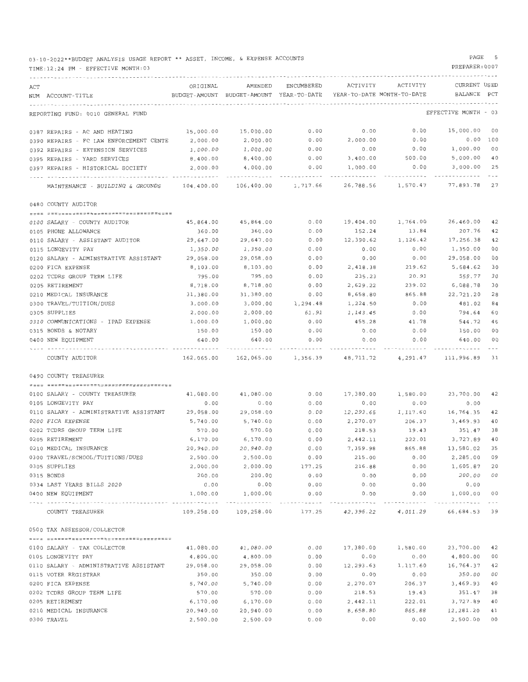03-10-2022\*\*BUDGET ANALYSIS USAGE REPORT \*\* ASSET, INCOME, & EXPENSE ACCOUNTS

#### TIME:12:24 PM - EFFECTIVE MONTH:03

#### PAGE 5

| ACT |                                         | ORIGINAL              | AMENDED                                  | ENCUMBERED          | ACTIVITY                   | ACTIVITY | CURRENT USED                       |                |
|-----|-----------------------------------------|-----------------------|------------------------------------------|---------------------|----------------------------|----------|------------------------------------|----------------|
|     | NUM ACCOUNT-TITLE                       |                       | BUDGET-AMOUNT BUDGET-AMOUNT YEAR-TO-DATE |                     | YEAR-TO-DATE MONTH-TO-DATE |          | BALANCE                            | PCT            |
|     |                                         |                       |                                          |                     |                            |          |                                    |                |
|     | REPORTING FUND: 0010 GENERAL FUND       |                       |                                          |                     |                            |          | EFFECTIVE MONTH - 03               |                |
|     | 0387 REPAIRS - AC AND HEATING           | 15,000.00             | 15,000.00                                | 0.00                | 0.00                       | 0.00     | 15,000.00                          | - 00           |
|     | 0390 REPAIRS - FC LAW ENFORCEMENT CENTE | 2,000.00              | 2,000.00                                 | 0.00                | 2,000.00                   | 0.00     | 0.00 100                           |                |
|     | 0392 REPAIRS - EXTENSION SERVICES       | 1,000.00              | 1,000.00                                 | 0.00                | 0.00                       | 0.00     | 1,000.00                           | 00             |
|     | 0395 REPAIRS - YARD SERVICES            | 8,400.00              | 8,400.00                                 | 0.00                | 3,400.00                   | 500.00   | 5,000.00                           | 40             |
|     | 0397 REPAIRS - HISTORICAL SOCIETY       | 2,000.00              | 4,000.00                                 | 0.00                | 1,000.00                   | 0.00     | 3,000.00                           | 25             |
|     |                                         |                       |                                          |                     |                            |          |                                    |                |
|     | MAINTENANCE - BUILDING & GROUNDS        | 104,400.00            | 106,400.00                               | 1,717.66            | 26,788.56                  | 1,570.47 | 77,893.78                          | 27             |
|     | 0480 COUNTY AUDITOR                     |                       |                                          |                     |                            |          |                                    |                |
|     |                                         |                       |                                          |                     |                            |          |                                    |                |
|     | 0100 SALARY - COUNTY AUDITOR            | 45,864.00             | 45,864.00                                | 0.00                | 19,404.00                  | 1,764.00 | 26,460.00                          | 42             |
|     | 0105 PHONE ALLOWANCE                    | 360.00                | 360.00                                   | 0.00                | 152.24                     | 13.84    | 207.76                             | 42             |
|     | 0110 SALARY - ASSISTANT AUDITOR         | 29,647.00             | 29,647.00                                | 0.00                | 12,390.62                  | 1,126.42 | 17,256.38                          | 42             |
|     | 0115 LONGEVITY PAY                      | 1,350.00              | 1,350.00                                 | 0.00                | 0.00                       | 0.00     | 1,350.00                           | 00             |
|     | 0120 SALARY - ADMINSTRATIVE ASSISTANT   | 29,058.00             | 29,058.00                                | 0.00                | 0.00                       | 0.00     | 29,058.00                          | 00             |
|     | 0200 FICA EXPENSE                       | 8,103.00              | 8,103.00                                 | 0.00                | 2,418.38                   | 219.62   | 5,684.62                           | 30             |
|     | 0202 TCDRS GROUP TERM LIFE              | 795.00                | 795.00                                   | 0.00                | 235.23                     | 20.91    | 559.77                             | 30             |
|     | 0205 RETIREMENT                         | 8,718.00              | 8,718.00                                 | 0.00                | 2,629.22                   | 239.02   | 6,088.78                           | 30             |
|     | 0210 MEDICAL INSURANCE                  | 31,380.00             | 31,380.00                                | 0.00                | 8,658.80                   | 865.88   | 22,721.20                          | 28             |
|     | 0300 TRAVEL/TUITION/DUES                | 3,000.00              | 3,000.00                                 | 1,294.48            | 1,224.50                   | 0.00     | 481.02                             | 84             |
|     | 0305 SUPPLIES                           | 2,000.00              | 2,000.00                                 | 61.91               | 1,143.45                   | 0.00     | 794.64                             | 60             |
|     | 0310 COMMUNICATIONS - IPAD EXPENSE      | 1,000.00              | 1,000.00                                 | 0.00                | 455.28                     | 41.78    | 544.72                             | 46             |
|     | 0315 BONDS & NOTARY                     | 150.00                | 150.00                                   | 0.00                | 0.00                       | 0.00     | 150.00                             | 00             |
|     | 0400 NEW EQUIPMENT                      | 640.00                | 640.00                                   | 0.00                | 0.00                       | 0.00     | 640.00                             | 00             |
|     |                                         |                       |                                          |                     |                            |          |                                    |                |
|     | COUNTY AUDITOR                          | 162,065.00            |                                          | 162,065.00 1,356.39 | 48,711.72                  | 4,291.47 | 111,996.89                         | 31             |
|     | 0490 COUNTY TREASURER                   |                       |                                          |                     |                            |          |                                    |                |
|     |                                         |                       |                                          |                     |                            |          |                                    |                |
|     | 0100 SALARY - COUNTY TREASURER          | 41,080.00             | 41,080.00                                | 0.00                | 17,380.00                  | 1,580.00 | 23,700.00                          | 42             |
|     | 0105 LONGEVITY PAY                      | 0.00                  | 0.00                                     | 0.00                | 0.00                       | 0.00     | 0.00                               |                |
|     | 0110 SALARY - ADMINISTRATIVE ASSISTANT  | 29,058.00             | 29,058.00                                | 0.00                | 12,293.65                  | 1,117.60 | 16,764.35                          | 42             |
|     | 0200 FICA EXPENSE                       | 5,740.00              | 5,740.00                                 | 0.00                | 2,270.07                   | 206.37   | 3,469.93                           | 40             |
|     | 0202 TCDRS GROUP TERM LIFE              | 570.00                | 570.00                                   | 0.00                | 218.53                     | 19.43    | 351.47                             | 38             |
|     | 0205 RETIREMENT                         | 6,170.00              | 6,170.00                                 | 0.00                | 2,442.11                   | 222.01   | 3,727.89                           | 40             |
|     | 0210 MEDICAL INSURANCE                  | 20,940.00             | 20,940.00                                | 0.00                | 7,359.98                   | 865.88   | 13,580.02                          | 35             |
|     | 0300 TRAVEL/SCHOOL/TUITIONS/DUES        | 2,500.00              | 2,500.00                                 | 0.00                | 215.00                     | 0.00     | 2,285.00                           | 09             |
|     | 0305 SUPPLIES                           | 2,000.00              | 2,000.00                                 | 177.25              | 216.88                     | 0.00     | 1,605.87                           | 20             |
|     | 0315 BONDS                              | 200.00                | 200.00                                   | 0.00                | 0.00                       | 0.00     | 200.00 00                          |                |
|     | 0334 LAST YEARS BILLS 2020              | 0.00                  | 0.00                                     | 0.00                | 0.00                       | 0.00     | 0.00                               |                |
|     | 0400 NEW EQUIPMENT                      | 1,000.00              | 1,000.00                                 | 0.00                | 0.00                       | 0.00     | 1,000.00 00                        |                |
|     | COUNTY TREASURER                        | 109,258.00            | 109,258.00                               | 177.25              |                            |          | 42,396.22  4,011.29  66,684.53  39 |                |
|     | 0500 TAX ASSESSOR/COLLECTOR             |                       |                                          |                     |                            |          |                                    |                |
|     |                                         |                       |                                          |                     |                            |          |                                    |                |
|     | 0100 SALARY - TAX COLLECTOR             | 41,080.00             | 41,080.00                                | 0.00                | 17,380.00                  | 1,580.00 | 23,700.00                          | 42             |
|     | 0105 LONGEVITY PAY                      | 4,800.00              | 4,800.00                                 | 0.00                | 0.00                       | 0.00     | 4,800.00                           | 0 <sub>0</sub> |
|     | 0110 SALARY - ADMINISTRATIVE ASSISTANT  | 29,058.00             | 29,058.00                                | 0.00                | 12,293.63                  | 1,117.60 | 16,764.37                          | 42             |
|     | 0115 VOTER REGISTRAR                    | 350.00                | 350.00                                   | 0.00                | 0.00                       | 0.00     | 350.00                             | 0 <sub>0</sub> |
|     | 0200 FICA EXPENSE                       | 5,740.00              | 5,740.00                                 | 0.00                | 2,270.07                   | 206.37   | 3,469.93                           | 40             |
|     |                                         | 570.00                | 570.00                                   | 0.00                | 218.53                     | 19.43    | 351.47                             | 38             |
|     | 0202 TCDRS GROUP TERM LIFE              | 6,170.00              | 6,170.00                                 | 0.00                | 2,442.11                   | 222.01   | 3,727.89                           | 40             |
|     | 0205 RETIREMENT                         |                       |                                          | 0.00                | 8,658.80                   | 865.88   | 12,281.20                          | 41             |
|     | 0210 MEDICAL INSURANCE                  | 20,940.00<br>2,500.00 | 20,940.00<br>2,500.00                    | 0.00                | 0.00                       | 0.00     | 2,500.00                           | 00             |
|     | 0300 TRAVEL                             |                       |                                          |                     |                            |          |                                    |                |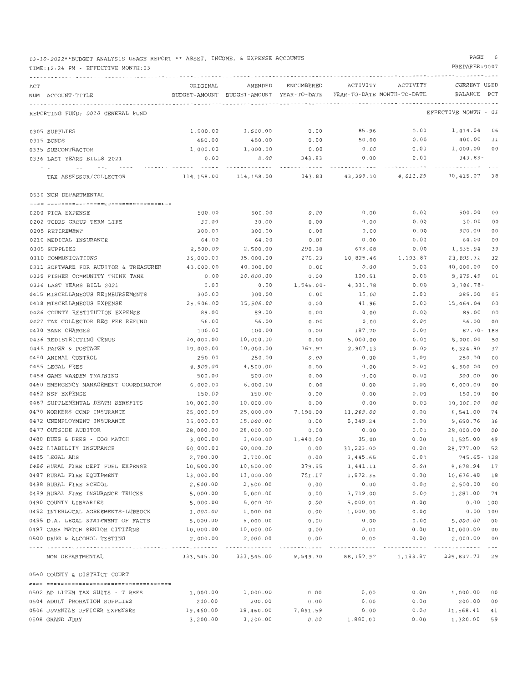| 03-10-2022**BUDGET ANALYSIS USAGE REPORT ** ASSET, INCOME, & EXPENSE ACCOUNTS |  |  |  |  |  |  |  |  |  |  |
|-------------------------------------------------------------------------------|--|--|--|--|--|--|--|--|--|--|
|-------------------------------------------------------------------------------|--|--|--|--|--|--|--|--|--|--|

TIME:12:24 PM - EFFECTIVE MONTH:03

#### PAGE 6

| ACT |                                                             | ORIGINAL   | AMENDED                                  | ENCUMBERED | ACTIVITY                   | ACTIVITY                                          | CURRENT USED         |     |
|-----|-------------------------------------------------------------|------------|------------------------------------------|------------|----------------------------|---------------------------------------------------|----------------------|-----|
|     | NUM ACCOUNT-TITLE                                           |            | BUDGET-AMOUNT BUDGET-AMOUNT YEAR-TO-DATE |            | YEAR-TO-DATE MONTH-TO-DATE |                                                   | BALANCE              | PCT |
|     |                                                             |            |                                          |            |                            |                                                   |                      |     |
|     | REPORTING FUND: 0010 GENERAL FUND                           |            |                                          |            |                            |                                                   | EFFECTIVE MONTH - 03 |     |
|     | 0305 SUPPLIES                                               | 1,500.00   | 1,500.00                                 | 0.00       | 85.96                      | 0.00                                              | 1,414.04 06          |     |
|     | 0315 BONDS                                                  | 450.00     | 450.00                                   | 0.00       | 50.00                      | 0.00                                              | 400.00 11            |     |
|     | 0335 SUBCONTRACTOR                                          | 1,000.00   | 1,000.00                                 | 0.00       | 0.00                       | 0.00                                              | 1,000.00 00          |     |
|     | 0336 LAST YEARS BILLS 2021                                  | 0.00       | 0.00                                     | 343.83     | 0.00                       | 0.00                                              | 343.83-              |     |
|     |                                                             |            |                                          |            |                            |                                                   |                      |     |
|     | TAX ASSESSOR/COLLECTOR                                      | 114,158.00 | 114,158.00                               |            | 343.83 43,399.10           | 4,011.29                                          | 70,415.07 38         |     |
|     | 0530 NON DEPARTMENTAL                                       |            |                                          |            |                            |                                                   |                      |     |
|     |                                                             |            |                                          |            |                            |                                                   |                      |     |
|     | 0200 FICA EXPENSE                                           | 500.00     | 500.00                                   | 0.00       | 0.00                       | 0.00                                              | 500.00               | 00  |
|     | 0202 TCDRS GROUP TERM LIFE                                  | 30.00      | 30.00                                    | 0.00       | 0.00                       | 0.00                                              | 30.00                | 00  |
|     | 0205 RETIREMENT                                             | 300.00     | 300.00                                   | 0.00       | 0.00                       | 0.00                                              | 300.00               | 00  |
|     | 0210 MEDICAL INSURANCE                                      | 64.00      | 64.00                                    | 0.00       | 0.00                       | 0.00                                              | 64.00                | 00  |
|     | 0305 SUPPLIES                                               | 2,500.00   | 2,500.00                                 | 290.38     | 673.68                     | 0.00                                              | 1,535.94             | 39  |
|     | 0310 COMMUNICATIONS                                         | 35,000.00  | 35,000.00                                | 275.23     | 10,825.46                  | 1,193.87                                          | 23,899.31            | 32  |
|     | 0311 SOFTWARE FOR AUDITOR & TREASURER                       | 40,000.00  | 40,000.00                                | 0.00       | 0.00                       | 0.00                                              | 40,000.00            | 00  |
|     | 0335 FISHER COMMUNITY THINK TANK                            | 0.00       | 10,000.00                                | 0.00       | 120.51                     | 0.00                                              | 9,879.49             | 01  |
|     | 0336 LAST YEARS BILL 2021                                   | 0.00       | 0.00                                     | 1,545.00-  | 4,331.78                   | 0.00                                              | 2,786.78-            |     |
|     | 0415 MISCELLANEOUS REIMBURSEMENTS                           | 300.00     | 300.00                                   | 0.00       | 15.00                      | 0.00                                              | 285.00               | 05  |
|     | 0418 MISCELLANEOUS EXPENSE                                  | 25,506.00  | 15,506.00                                | 0.00       | 41.96                      | 0.00                                              | 15,464.04            | 00  |
|     | 0426 COUNTY RESTITUTION EXPENSE                             | 89.00      | 89.00                                    | 0.00       | 0.00                       | 0.00                                              | 89.00                | 00  |
|     | 0427 TAX COLLECTOR REG FEE REFUND                           | 56.00      | 56.00                                    | 0.00       | 0.00                       | 0.00                                              | 56.00                | 00  |
|     | 0430 BANK CHARGES                                           | 100.00     | 100.00                                   | 0.00       | 187.70                     | 0.00                                              | 87.70- 188           |     |
|     | 0436 REDISTRICTING CENUS                                    | 10,000.00  | 10,000.00                                | 0.00       | 5,000.00                   | 0.00                                              | 5,000.00             | 50  |
|     | 0445 PAPER & POSTAGE                                        | 10,000.00  | 10,000.00                                | 767.97     | 2,907.13                   | 0.00                                              | 6,324,90             | 37  |
|     | 0450 ANIMAL CONTROL                                         | 250.00     | 250.00                                   | 0.00       | 0.00                       | 0.00                                              | 250.00               | 00  |
|     | 0455 LEGAL FEES                                             | 4,500.00   | 4,500.00                                 | 0.00       | 0.00                       | 0.00                                              | 4,500.00             | 00  |
|     | 0458 GAME WARDEN TRAINING                                   | 500.00     | 500.00                                   | 0.00       | 0.00                       | 0.00                                              | 500.00               | 00  |
|     | 0460 EMERGENCY MANAGEMENT COORDINATOR                       | 6,000.00   | 6,000.00                                 | 0.00       | 0.00                       | 0.00                                              | 6,000.00             | 00  |
|     | 0462 NSF EXPENSE                                            | 150.00     | 150.00                                   | 0.00       | 0.00                       | 0.00                                              | 150.00               | 00  |
|     | 0467 SUPPLEMENTAL DEATH BENEFITS                            | 10,000.00  | 10,000.00                                | 0.00       | 0.00                       | 0.00                                              | 10,000.00            | 00  |
|     | 0470 WORKERS COMP INSURANCE                                 | 25,000.00  | 25,000.00                                | 7,190.00   | 11,269.00                  | 0.00                                              | 6,541.00             | 74  |
|     | 0472 UNEMPLOYMENT INSURANCE                                 | 15,000.00  | 15,000.00                                | 0.00       | 5,349.24                   | 0.00                                              | 9,650.76             | 36  |
|     | 0477 OUTSIDE AUDITOR                                        | 28,000.00  | 28,000.00                                | 0.00       | 0.00                       | 0.00                                              | 28,000.00            | 00  |
|     | 0480 DUES & FEES - COG MATCH                                | 3,000.00   | 3,000.00                                 | 1,440.00   | 35.00                      | 0.00                                              | 1,525.00             | 49  |
|     | 0482 LIABILITY INSURANCE                                    | 60,000.00  | 60,000.00                                | 0.00       | 31,223.00                  | 0.00                                              | 28,777.00            | 52  |
|     | 0485 LEGAL ADS                                              | 2,700.00   | 2,700.00                                 | 0.00       | 3,445.65                   | 0.00                                              | 745.65- 128          |     |
|     | 0486 RURAL FIRE DEPT FUEL EXPENSE                           | 10,500.00  | 10,500.00                                | 379.95     | 1,441.11                   | 0.00                                              | 8,678.94             | 17  |
|     | 0487 RURAL FIRE EOUIPMENT                                   | 13,000.00  | 13,000.00                                | 751.17     | 1,572.35                   | 0.00                                              | 10,676.48            | 18  |
|     | 0488 RURAL FIRE SCHOOL<br>0489 RURAL FIRE INSURANCE TRUCKS  | 2,500.00   | 2,500.00                                 | 0.00       | 0.00                       | 0.00                                              | 2,500.00             | 00  |
|     |                                                             | 5,000.00   | 5,000.00                                 | 0.00       | 3,719.00                   | 0.00                                              | 1,281.00             | 74  |
|     | 0490 COUNTY LIBRARIES<br>0492 INTERLOCAL AGREEMENTS-LUBBOCK | 5,000.00   | 5,000.00                                 | 0.00       | 5,000.00                   | 0.00                                              | $0.00$ 100           |     |
|     |                                                             | 1,000.00   | 1,000.00                                 | 0.00       | 1,000.00                   | 0.00                                              | 0.00 100             |     |
|     | 0495 D.A. LEGAL STATEMENT OF FACTS                          | 5,000.00   | 5,000.00<br>10,000.00                    | 0.00       | 0.00                       | 0.00                                              | 5,000.00             | 00  |
|     | 0497 CASH MATCH SENIOR CITIZENS                             | 10,000.00  |                                          | 0.00       | 0.00                       | 0.00                                              | 10,000.00 00         |     |
|     | 0500 DRUG & ALCOHOL TESTING                                 | 2,000.00   | 2,000.00<br>------------                 | 0.00       | 0.00                       | 0.00                                              | 2,000.00             | 00  |
|     | NON DEPARTMENTAL                                            |            |                                          |            |                            | 333,545.00 333,545.00 9,549.70 88,157.57 1,193.87 | 235,837.73 29        |     |
|     | 0540 COUNTY & DISTRICT COURT                                |            |                                          |            |                            |                                                   |                      |     |
|     |                                                             |            |                                          |            |                            |                                                   |                      |     |
|     | 0502 AD LITEM TAX SUITS - T REES                            | 1,000.00   | 1,000.00                                 | 0.00       | 0.00                       | 0.00                                              | 1,000.00             | 00  |
|     | 0504 ADULT PROBATION SUPPLIES                               | 200.00     | 200.00                                   | 0.00       | 0.00                       | 0.00                                              | 200.00               | 00  |
|     | 0506 JUVENILE OFFICER EXPENSES                              | 19,460.00  | 19,460.00                                | 7,891.59   | 0.00                       | 0.00                                              | 11,568.41            | 41  |
|     | 0508 GRAND JURY                                             | 3,200.00   | 3,200.00                                 | 0.00       | 1,880.00                   | 0.00                                              | 1,320.00             | 59  |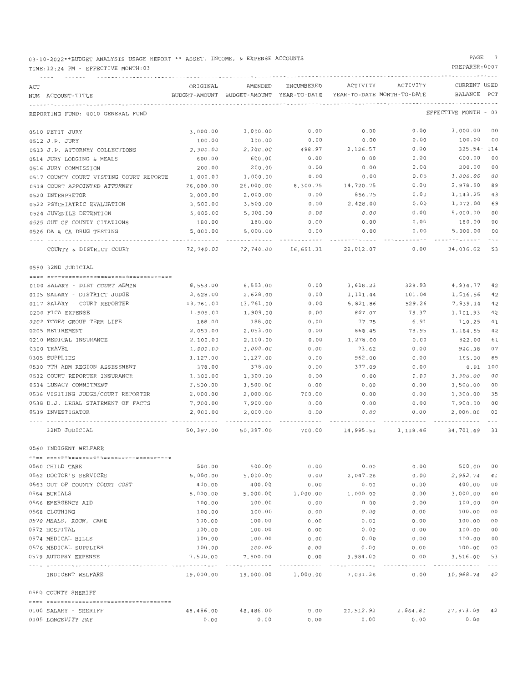03-10-2022\*\*BUDGET ANALYSIS USAGE REPORT \*\* ASSET, INCOME, & EXPENSE ACCOUNTS

TIME:12:24 PM - EFFECTIVE MONTH:03

PAGE 7

| ACT |                                          | ORIGINAL  | AMENDED                                  | ENCUMBERED | ACTIVITY                        | ACTIVITY                            | CURRENT USED         |         |
|-----|------------------------------------------|-----------|------------------------------------------|------------|---------------------------------|-------------------------------------|----------------------|---------|
|     | NUM ACCOUNT-TITLE                        |           | BUDGET-AMOUNT BUDGET-AMOUNT YEAR-TO-DATE |            | YEAR-TO-DATE MONTH-TO-DATE      |                                     | BALANCE              | PCT     |
|     |                                          |           |                                          |            |                                 |                                     |                      |         |
|     | REPORTING FUND: 0010 GENERAL FUND        |           |                                          |            |                                 |                                     | EFFECTIVE MONTH - 03 |         |
|     | 0510 PETIT JURY                          | 3,000.00  | 3,000.00                                 | 0.00       | 0.00                            | 0.00                                | 3,000.00 00          |         |
|     | 0512 J.P. JURY                           | 100.00    | 100.00                                   | 0.00       | 0.00                            | 0.00                                | 100.00               | 00      |
|     | 0513 J.P. ATTORNEY COLLECTIONS           | 2,300.00  | 2,300.00                                 | 498.97     | 2,126.57                        | 0.00                                | 325.54- 114          |         |
|     | 0514 JURY LODGING & MEALS                | 600.00    | 600.00                                   | 0.00       | 0.00                            | 0.00                                | 600.00               | 00      |
|     | 0516 JURY COMMISSION                     | 200.00    | 200.00                                   | 0.00       | 0.00                            | 0.00                                | 200.00               | 00      |
|     | 0517 COUNTY COURT VISTING COURT REPORTE  | 1,000.00  | 1,000.00                                 | 0.00       | 0.00                            | 0.00                                | 1,000.00             | 00      |
|     | 0518 COURT APPOINTED ATTORNEY            | 26,000.00 | 26,000.00                                | 8,300.75   | 14,720.75                       | 0.00                                | 2,978.50             | 89      |
|     | 0520 INTERPRETOR                         | 2,000.00  | 2,000.00                                 | 0.00       | 856.75                          | 0.00                                | 1,143.25             | 43      |
|     | 0522 PSYCHIATRIC EVALUATION              | 3,500.00  | 3,500.00                                 | 0.00       | 2,428.00                        | 0.00                                | 1,072.00             | 69      |
|     | 0524 JUVENILE DETENTION                  | 5,000.00  | 5,000.00                                 | 0.00       | 0.00                            | 0.00                                | 5,000.00             | 00      |
|     | 0525 OUT OF COUNTY CITATIONS             | 180.00    | 180.00                                   | 0.00       | 0.00                            | 0.00                                | 180.00               | 00      |
|     | 0526 DA & CA DRUG TESTING                | 5,000.00  | 5,000.00                                 | 0.00       | 0.00                            | 0.00                                | 5,000.00             | 00      |
|     |                                          |           |                                          |            |                                 |                                     |                      |         |
|     | COUNTY & DISTRICT COURT                  | 72,740.00 |                                          |            | 72,740.00  16,691.31  22,012.07 | 0.00                                | 34,036.62 53         |         |
|     | 0550 32ND JUDICIAL                       |           |                                          |            |                                 |                                     |                      |         |
|     |                                          |           |                                          |            |                                 | 328.93                              | 4,934.77 42          |         |
|     | 0100 SALARY - DIST COURT ADMIN           | 8,553.00  | 8,553.00                                 | 0.00       | 3,618.23                        |                                     |                      |         |
|     | 0105 SALARY - DISTRICT JUDGE             | 2,628.00  | 2,628.00                                 | 0.00       | 1, 111.44                       | 101.04                              | 1,516.56             | 42      |
|     | 0117 SALARY - COURT REPORTER             | 13,761.00 | 13,761.00                                | 0.00       | 5,821.86                        | 529.26                              | 7,939.14             | 42      |
|     | 0200 FICA EXPENSE                        | 1,909.00  | 1,909.00                                 | 0.00       | 807.07                          | 73.37                               | 1,101.93             | 42      |
|     | 0202 TCDRS GROUP TERM LIFE               | 188.00    | 188.00                                   | 0.00       | 77.75                           | 6.91                                | 110.25               | 41      |
|     | 0205 RETIREMENT                          | 2,053.00  | 2,053.00                                 | 0.00       | 868.45                          | 78.95                               | 1,184.55             | 42      |
|     | 0210 MEDICAL INSURANCE                   | 2,100.00  | 2,100.00                                 | 0.00       | 1,278.00                        | 0.00                                | 822.00               | 61      |
|     | 0300 TRAVEL                              | 1,000.00  | 1,000.00                                 | 0.00       | 73.62                           | 0.00                                | 926.38               | 07      |
|     | 0305 SUPPLIES                            | 1,127.00  | 1,127.00                                 | 0.00       | 962.00                          | 0.00                                | 165.00               | 85      |
|     | 0530 7TH ADM REGION ASSESSMENT           | 378.00    | 378.00                                   | 0.00       | 377.09                          | 0.00                                | 0.91                 | 100     |
|     | 0532 COURT REPORTER INSURANCE            | 1,300.00  | 1,300.00                                 | 0.00       | 0.00                            | 0.00                                | 1,300.00             | 00      |
|     | 0534 LUNACY COMMITMENT                   | 3,500.00  | 3,500.00                                 | 0.00       | 0.00                            | 0.00                                | 3,500.00             | 00      |
|     | 0536 VISITING JUDGE/COURT REPORTER       | 2,000.00  | 2,000.00                                 | 700.00     | 0.00                            | 0.00                                | 1,300.00             | 35      |
|     | 0538 D.J. LEGAL STATEMENT OF FACTS       | 7,900.00  | 7,900.00                                 | 0.00       | 0.00                            | 0.00                                | 7,900.00             | 00      |
|     | 0539 INVESTIGATOR                        | 2,000.00  | 2,000.00                                 | 0.00       | 0.00                            | 0.00                                | 2,000.00             | $\circ$ |
|     | 32ND JUDICIAL                            | 50,397.00 |                                          |            |                                 | 50,397.00 700.00 14,995.51 1,118.46 | 34,701.49 31         |         |
|     | 0560 INDIGENT WELFARE                    |           |                                          |            |                                 |                                     |                      |         |
|     |                                          |           |                                          |            |                                 |                                     |                      |         |
|     | 0560 CHILD CARE                          | 500.00    | 500.00                                   | 0.00       | 0.00                            | 0.00                                | 500.00               | 00      |
|     | 0562 DOCTOR'S SERVICES                   | 5,000.00  | 5,000.00                                 | 0.00       | 2,047.26                        | 0.00                                | 2,952.74             | 41      |
|     | 0563 OUT OF COUNTY COURT COST            | 400.00    | 400.00                                   | 0.00       | 0.00                            | 0.00                                | 400.00               | 00      |
|     | 0564 BURIALS                             | 5,000.00  | 5,000.00                                 | 1,000.00   | 1,000.00                        | 0.00                                | 3,000.00             | 40      |
|     | 0566 EMERGENCY AID                       | 100.00    | 100.00                                   | 0.00       | 0.00                            | 0.00                                | 100.00               | 00      |
|     | 0568 CLOTHING                            | 100.00    | 100.00                                   | 0.00       | 0.00                            | 0.00                                | 100.00               | 00      |
|     | 0570 MEALS, ROOM, CARE                   | 100.00    | 100.00                                   | 0.00       | 0.00                            | 0.00                                | 100.00               | 00      |
|     | 0572 HOSPITAL                            | 100.00    | 100.00                                   | 0.00       | 0.00                            | 0.00                                | 100.00               | 00      |
|     | 0574 MEDICAL BILLS                       | 100.00    | 100.00                                   | 0.00       | 0.00                            | 0.00                                | 100.00               | 00      |
|     | 0576 MEDICAL SUPPLIES                    | 100.00    | 100.00                                   | 0.00       | 0.00                            | 0.00                                | 100.00               | 00      |
|     | 0579 AUTOPSY EXPENSE                     | 7,500.00  | 7,500.00                                 | 0.00       | 3,984.00                        | 0.00                                | 3,516.00             | 53      |
|     | --------------------<br>INDIGENT WELFARE |           | .<br>19,000.00  19,000.00  1,000.00      |            | 7,031.26                        | 0.00                                | 10,968.74            | 42      |
|     | 0580 COUNTY SHERIFF                      |           |                                          |            |                                 |                                     |                      |         |
|     |                                          |           |                                          |            |                                 |                                     |                      |         |
|     | 0100 SALARY - SHERIFF                    | 48,486.00 | 48,486.00                                | 0.00       |                                 | 20,512.91 1,864.81                  | 27,973.09 42         |         |
|     | 0105 LONGEVITY PAY                       | 0.00      | 0.00                                     | 0.00       | 0.00                            | 0.00                                | 0.00                 |         |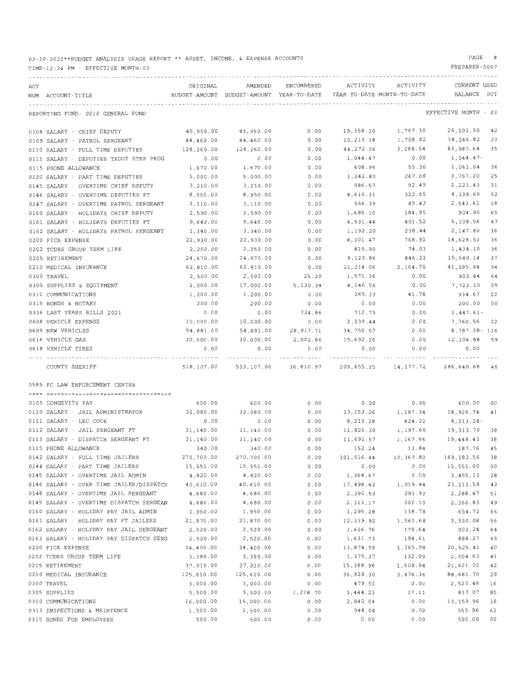### 03-10-2022\*\*BUDGET ANALYSIS USAGE REPORT\*\* ASSET, INCOME, & EXPENSE ACCOUNTS

#### TIME:12:24 PM - EFFECTIVE MONTH:03

0315 BONDS FOR EMPLOYEES

#### PAGE 8

PREPARER:0007

0.00 0.00 500.00 00

| ACT |                                         | ORIGINAL   | AMENDED                                  | ENCUMBERED | ACTIVITY   | ACTIVITY                   | CURRENT USED         |    |
|-----|-----------------------------------------|------------|------------------------------------------|------------|------------|----------------------------|----------------------|----|
|     | NUM ACCOUNT-TITLE                       |            | BUDGET-AMOUNT BUDGET-AMOUNT YEAR-TO-DATE |            |            | YEAR-TO-DATE MONTH-TO-DATE | BALANCE PCT          |    |
|     |                                         |            |                                          |            |            |                            |                      |    |
|     | REPORTING FUND: 0010 GENERAL FUND       |            |                                          |            |            |                            | EFFECTIVE MONTH - 03 |    |
|     | 0108 SALARY - CHIEF DEPUTY              | 45,950.00  | 45,950.00                                | 0.00       | 19,358.10  | 1,767.30                   | 26,591.90            | 42 |
|     | 0109 SALARY - PATROL SERGEANT           | 44,460.00  | 44,460.00                                | 0.00       | 10,213.18  | 1,708.82                   | 34,246.82            | 23 |
|     | 0110 SALARY - FULL TIME DEPUTIES        | 128,260.00 | 128,260.00                               | 0.00       | 44, 272.36 | 3,288.64                   | 83,987.64            | 35 |
|     | 0111 SALARY - DEPUTIES TXDOT STEP PROG  | 0.00       | 0.00                                     | 0.00       | 1,044.47   | 0.00                       | 1,044.47-            |    |
|     | 0115 PHONE ALLOWANCE                    | 1,670.00   | 1,670.00                                 | 0.00       | 608.96     | 55.36                      | 1,061.04             | 36 |
|     | 0120 SALARY - PART TIME DEPUTIES        | 5.000.00   | 5,000.00                                 | 0.00       | 1,242.80   | 267.68                     | 3,757.20             | 25 |
|     | 0145 SALARY - OVERTIME CHIEF DEPUTY     | 3,210.00   | 3,210.00                                 | 0.00       | 986.57     | 92.49                      | 2, 223, 43           | 31 |
|     | 0146 SALARY - OVERTIME DEPUTIES FT      | 8,950.00   | 8,950.00                                 | 0.00       | 4,610.31   | 322.65                     | 4,339.69             | 52 |
|     | 0147 SALARY - OVERTIME PATROL SERGEANT  | 3,110.00   | 3,110.00                                 | 0.00       | 566.39     | 89.43                      | 2,543.61             | 18 |
|     | 0160 SALARY - HOLIDAYS CHIEF DEPUTY     | 2,590.00   | 2,590.00                                 | 0.00       | 1,685.10   | 184.95                     | 904.90               | 65 |
|     | 0161 SALARY - HOLIDAYS DEPUTIES FT      | 9,640.00   | 9,640.00                                 | 0.00       | 4,531.44   | 401.52                     | 5,108.56             | 47 |
|     | 0162 SALARY - HOLIDAYS PATROL SERGEANT  | 3,340.00   | 3,340.00                                 | 0.00       | 1,192.20   | 238.44                     | 2,147.80             | 36 |
|     | 0200 FICA EXPENSE                       | 22,930.00  | 22,930.00                                | 0.00       | 8,301.47   | 768.91                     | 14,628.53            | 36 |
|     | 0202 TCDRS GROUP TERM LIFE              | 2,250.00   | 2,250.00                                 | 0.00       | 815.90     | 74.03                      | 1,434.10             | 36 |
|     | 0205 RETIREMENT                         | 24,670.00  | 24,670.00                                | 0.00       | 9,120.86   | 846.21                     | 15,549.14            | 37 |
|     | 0210 MEDICAL INSURANCE                  | 62,810.00  | 62,810.00                                | 0.00       | 21, 214.06 | 2,164.70                   | 41,595.94            | 34 |
|     | 0300 TRAVEL                             | 2,500.00   | 2,500.00                                 | 25.20      | 1,571.36   | 0.00                       | 903.44               | 64 |
|     | 0305 SUPPLIES & EQUIPMENT               | 2,000.00   | 17,000.00                                | 5,130.34   | 4,146.56   | 0.00                       | 7,723.10             | 55 |
|     | 0310 COMMUNICATIONS                     | 1,200.00   | 1,200.00                                 | 0.00       | 265.33     | 41.78                      | 934.67               | 22 |
|     | 0315 BONDS & NOTARY                     | 200.00     | 200.00                                   | 0.00       | 0.00       | 0.00                       | 200.00               | 00 |
|     | 0336 LAST YEARS BILLS 2021              | 0.00       | 0.00                                     | 734.86     | 712.75     | 0.00                       | $1,447.61-$          |    |
|     | 0608 VEHICLE EXPENSE                    | 10,000.00  | 10,000.00                                | 0.00       | 2,239.44   | 0.00                       | 7,760.56             | 22 |
|     | 0609 NEW VEHICLES                       | 54,881.00  | 54,881.00                                | 28,917.71  | 34,750.57  | 0.00                       | 8,787.28- 116        |    |
|     | 0616 VEHICLE GAS                        | 30,000.00  | 30,000.00                                | 2,002.86   | 15,692.26  | 0.00                       | 12,304.88            | 59 |
|     | 0618 VEHICLE TIRES                      | 0.00       | 0.00                                     | 0.00       | 0.00       | 0.00                       | 0.00                 |    |
|     | COUNTY SHERIFF                          |            | 518,107.00 533,107.00                    | 36,810.97  |            | 209,655.35 14,177.72       | 286,640.68 46        |    |
|     | 0585 FC LAW ENFORCEMENT CENTER          |            |                                          |            |            |                            |                      |    |
|     |                                         |            |                                          |            |            |                            |                      |    |
|     | 0105 LONGEVITY PAY                      | 600.00     | 600.00                                   | 0.00       | 0.00       | 0.00                       | 600.00               | 00 |
|     | 0110 SALARY - JAIL ADMINISTRATOR        | 32,080.00  | 32,080.00                                | 0.00       | 13,153.26  | 1,187.34                   | 18,926.74            | 41 |
|     | 0111 SALARY - LEC COOK                  | 0.00       | 0.00                                     | 0.00       | 8,213.28   | 824.22                     | $8, 213, 28 -$       |    |
|     | 0112 SALARY - JAIL SERGEANT FT          | 31,140.00  | 31,140.00                                | 0.00       | 11,826.30  | 1,197.60                   | 19,313.70            | 38 |
|     | 0113 SALARY - DISPATCH SERGEANT FT      | 31,140.00  | 31,140.00                                | 0.00       | 11,691.57  | 1,167.66                   | 19,448.43            | 38 |
|     | 0115 PHONE ALLOWANCE                    | 340.00     | 340.00                                   | 0.00       | 152.24     | 13.84                      | 187.76               | 45 |
|     | 0142 SALARY - FULL TIME JAILERS         | 270,700.00 | 270,700.00                               | 0.00       | 101,516.44 | 10,367.82                  | 169,183.56           | 38 |
|     | 0144 SALARY - PART TIME JAILERS         | 15,551.00  | 15,551.00                                | 0.00       | 0.00       | 0.00                       | 15,551.00            | 00 |
|     | 0145 SALARY - OVERTIME JAIL ADMIN       | 4,820.00   | 4,820.00                                 | 0.00       | 1,364.67   | 0.00                       | 3,455.33             | 28 |
|     | 0146 SALARY - OVER TIME JAILER/DISPATCH | 40,610.00  | 40,610.00                                | 0.00       | 17,498.42  | 1,019.44                   | 23, 111.58           | 43 |
|     | 0148 SALARY - OVERTIME JAIL SERGEANT    | 4,680.00   | 4,680.00                                 | $0.00$     | 2,391.53   | 291.92                     | 2,288.47             | 51 |
|     | 0149 SALARY - OVERTIME DISPATCH SERGEAN | 4,680.00   | 4,680.00                                 | 0.00       | 2,313.17   | 202.10                     | 2,366.83             | 49 |
|     | 0160 SALARY - HOLIDAY PAY JAIL ADMIN    | 1,950.00   | 1,950.00                                 | 0.00       | 1,295.28   | 138.78                     | 654.72               | 66 |
|     | 0161 SALARY - HOLIDAY PAY FT JAILERS    | 21,870.00  | 21,870.00                                | 0.00       | 12,319.92  | 1,561.68                   | 9,550.08             | 56 |
|     | 0162 SALARY - HOLIDAY PAY JAIL SERGEANT | 2,520.00   | 2,520.00                                 | 0.00       | 1,616.76   | 179.64                     | 903.24               | 64 |
|     | 0163 SALARY - HOLIDAY PAY DISPATCH SERG | 2,520.00   | 2,520.00                                 | 0.00       | 1,631.73   | 194.61                     | 888.27               | 65 |
|     | 0200 FICA EXPENSE                       | 34,400.00  | 34,400.00                                | 0.00       | 13,874.59  | 1,365.98                   | 20,525.41            | 40 |
|     | 0202 TCDRS GROUP TERM LIFE              | 3,380.00   | 3,380.00                                 | 0.00       | 1,375.37   | 132.09                     | 2,004.63             | 41 |
|     | 0205 RETIREMENT                         | 37,010.00  | 37,010.00                                | 0.00       | 15,388.98  | 1,509.94                   | 21,621.02            | 42 |
|     | 0210 MEDICAL INSURANCE                  | 125,610.00 | 125,610.00                               | 0.00       | 36,928.30  | 3,476.36                   | 88,681.70            | 29 |
|     | 0300 TRAVEL                             | 3,000.00   | 3,000.00                                 | 0.00       | 479.51     | 0.00                       | 2,520.49             | 16 |
|     | 0305 SUPPLIES                           | 5,500.00   | 5,500.00                                 | 1,218.70   | 3,444.23   | 17.11                      | 837.07               | 85 |
|     | 0310 COMMUNICATIONS                     | 16,000.00  | 16,000.00                                | 0.00       | 2,840.04   | 0.00                       | 13,159.96            | 18 |
|     | 0313 INSPECTIONS & MAINTENCE            | 1,500.00   | 1,500.00                                 | 0.00       | 944.04     | 0.00                       | 555.96               | 63 |

500 . 00 500 . 00 0.00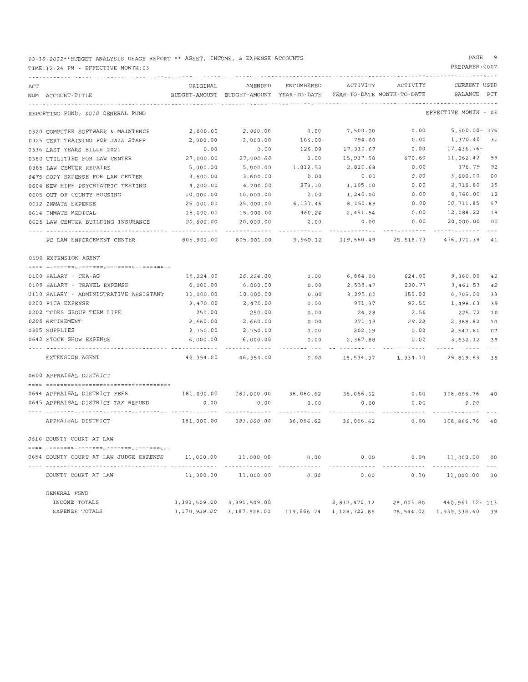03-10-2022 \*\*BUDGET ANALYSIS USAGE REPORT\*\* ASSET, INCOME, & EXPENSE ACCOUNTS

#### TIME :12:24 PM - EFFECTIVE MONTH: 03

### PAGE 9

| ACT | NUM ACCOUNT-TITLE                      | ORIGINAL   | AMENDED<br>BUDGET-AMOUNT BUDGET-AMOUNT YEAR-TO-DATE YEAR-TO-DATE MONTH-TO-DATE | ENCUMBERED | ACTIVITY     | ACTIVITY                      | <b>CURRENT USED</b><br>BALANCE PCT |    |
|-----|----------------------------------------|------------|--------------------------------------------------------------------------------|------------|--------------|-------------------------------|------------------------------------|----|
|     | REPORTING FUND: 0010 GENERAL FUND      |            |                                                                                |            |              |                               | EFFECTIVE MONTH - 03               |    |
|     | 0320 COMPUTER SOFTWARE & MAINTENCE     | 2,000.00   | 2,000.00                                                                       | 0.00       | 7,500.00     | 0.00                          | 5,500.00-375                       |    |
|     | 0325 CERT TRAINING FOR JAIL STAFF      | 2,000.00   | 2,000.00                                                                       | $165.00 -$ | 794.60       | 0.00                          | 1,370.40 31                        |    |
|     | 0336 LAST YEARS BILLS 2021             | 0.00       | 0.00                                                                           | 126.09     | 17,310.67    | 0.00                          | 17,436.76-                         |    |
|     | 0380 UTILITIES FOR LAW CENTER          | 27,000.00  | 27,000.00                                                                      | $0.00$     | 15,937.58    | 670.60                        | 11,062.42 59                       |    |
|     | 0385 LAW CENTER REPAIRS                | 5,000.00   | 5,000.00                                                                       | 1,812.53   | 2,810.68     | 0.00                          | 376.79 92                          |    |
|     | 0475 COPY EXPENSE FOR LAW CENTER       | 3,600.00   | 3,600.00                                                                       | 0.00       | 0.00         | 0.00                          | 3,600.00                           | 00 |
|     | 0604 NEW HIRE PSYCHIATRIC TESTING      | 4,200.00   | 4,200.00                                                                       | 379,10     | 1,105.10     | 0.00                          | 2,715.80                           | 35 |
|     | 0605 OUT OF COUNTY HOUSING             | 10,000.00  | 10,000.00                                                                      | 0.00       | 1,240.00     | 0.00                          | 8,760.00                           | 12 |
|     | 0612 INMATE EXPENSE                    | 25,000.00  | 25,000.00                                                                      | 6,137.46   | 8,150.69     | 0.00                          | 10,711.85                          | 57 |
|     | 0614 INMATE MEDICAL                    | 15,000.00  | 15,000.00                                                                      | 460.24     | 2,451.54     | 0.00                          | 12,088.22                          | 19 |
|     | 0625 LAW CENTER BUILDING INSURANCE     | 20,000.00  | 20,000.00                                                                      | 0.00       | 0.00         | 0.00                          | 20,000.00                          | 00 |
|     |                                        |            |                                                                                |            |              |                               |                                    |    |
|     | FC LAW ENFORCEMENT CENTER              | 805,901.00 | 805,901.00                                                                     |            |              | 9,969.12 319,560.49 25,518.73 | 476, 371.39 41                     |    |
|     | 0590 EXTENSION AGENT                   |            |                                                                                |            |              |                               |                                    |    |
|     |                                        |            |                                                                                |            |              |                               |                                    |    |
|     | 0100 SALARY - CEA-AG                   | 16,224.00  | 16,224.00                                                                      | 0.00       | 6,864.00     | 624.00                        | 9,360.00                           | 42 |
|     | 0109 SALARY - TRAVEL EXPENSE           | 6,000.00   | 6,000.00                                                                       | 0.00       | 2,538.47     | 230.77                        | 3,461.53                           | 42 |
|     | 0110 SALARY - ADMINISTRATIVE ASSISTANT | 10,000.00  | 10,000.00                                                                      | 0.00       | 3, 295, 00   | 355.00                        | 6,705.00                           | 33 |
|     | 0200 FICA EXPENSE                      | 2,470.00   | 2,470.00                                                                       | 0.00       | 971.37       | 92.55                         | 1,498.63                           | 39 |
|     | 0202 TCDRS GROUP TERM LIFE             | 250.00     | 250.00                                                                         | 0.00       | 24.28        | 2.56                          | 225.72                             | 10 |
|     | 0205 RETIREMENT                        | 2,660.00   | 2,660.00                                                                       | 0.00       | 271.18       | 29.22                         | 2,388.82                           | 10 |
|     | 0305 SUPPLIES                          | 2,750.00   | 2,750.00                                                                       | 0.00       | 202.19       | 0.00                          | 2,547.81                           | 07 |
|     | 0642 STOCK SHOW EXPENSE                | 6,000.00   | 6,000.00                                                                       | 0.00       | 2,367.88     | 0.00                          | 3,632.12                           | 39 |
|     | EXTENSION AGENT                        |            | 46, 354, 00 46, 354, 00                                                        | 0.00       |              | 16,534.37 1,334.10            | 29,819,63 36                       |    |
|     | 0600 APPRAISAL DISTRICT                |            |                                                                                |            |              |                               |                                    |    |
|     |                                        |            |                                                                                |            |              |                               |                                    |    |
|     | 0644 APPRAISAL DISTRICT FEES           |            | 181,000.00  181,000.00  36,066.62  36,066.62                                   |            |              |                               | 0.00 108,866.76 40                 |    |
|     | 0645 APPRAISAL DISTRICT TAX REFUND     | 0.00       | 0.00                                                                           | 0.00<br>.  | 0.00         | 0.00                          | 0.00                               |    |
|     | APPRAISAL DISTRICT                     | 181,000.00 | 181,000.00                                                                     | 36,066.62  | 36,066.62    | 0.00                          | 108,866.76 40                      |    |
|     | 0610 COUNTY COURT AT LAW               |            |                                                                                |            |              |                               |                                    |    |
|     |                                        |            |                                                                                |            |              |                               |                                    |    |
|     | 0654 COUNTY COURT AT LAW JUDGE EXPENSE | 11,000.00  | 11,000.00                                                                      | 0.00       | 0.00         |                               | 0.00 11,000.00 00                  |    |
|     | COUNTY COURT AT LAW                    |            | 11,000.00 11,000.00                                                            | 0.00       | 0.00         | 0.00                          | 11,000.00 00                       |    |
|     | GENERAL FUND                           |            |                                                                                |            |              |                               |                                    |    |
|     | INCOME TOTALS                          |            | 3, 391, 509.00 3, 391, 509.00                                                  |            | 3,832,470.12 | 28,003.80                     | 440,961.12+ 113                    |    |
|     | EXPENSE TOTALS                         |            | 3,170,928.00 3,187,928.00 119,866.74 1,128,722.86                              |            |              |                               | 78,544.02 1,939,338.40 39          |    |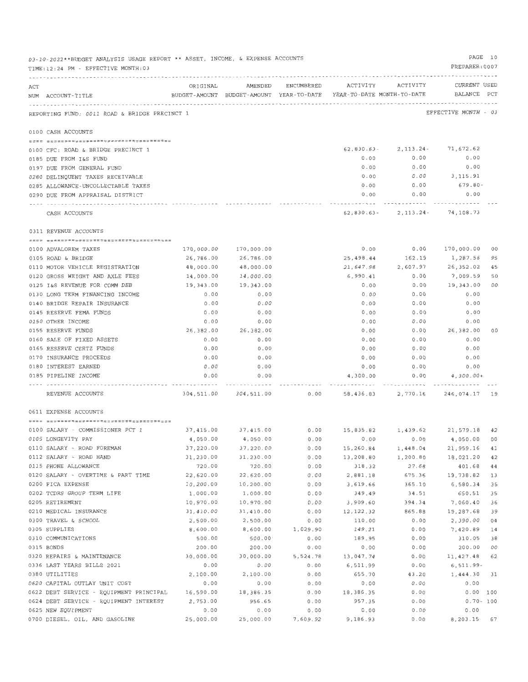|     | 03-10-2022**BUDGET ANALYSIS USAGE REPORT ** ASSET, INCOME, & EXPENSE ACCOUNTS<br>TIME:12:24 PM - EFFECTIVE MONTH:03 |                        |                        |                    |                                                                                 |                                    | PREPARER: 0007         | PAGE 10  |
|-----|---------------------------------------------------------------------------------------------------------------------|------------------------|------------------------|--------------------|---------------------------------------------------------------------------------|------------------------------------|------------------------|----------|
| ACT | NUM ACCOUNT-TITLE                                                                                                   | ORIGINAL               |                        | AMENDED ENCUMBERED | BUDGET-AMOUNT BUDGET-AMOUNT YEAR-TO-DATE YEAR-TO-DATE MONTH-TO-DATE BALANCE PCT | ACTIVITY ACTIVITY                  | CURRENT USED           |          |
|     | REPORTING FUND: 0011 ROAD & BRIDGE PRECINCT 1                                                                       |                        |                        |                    |                                                                                 | ---------------------------------- | EFFECTIVE MONTH - 03   |          |
|     | 0100 CASH ACCOUNTS                                                                                                  |                        |                        |                    |                                                                                 |                                    |                        |          |
|     |                                                                                                                     |                        |                        |                    |                                                                                 |                                    |                        |          |
|     | 0100 CFC: ROAD & BRIDGE PRECINCT 1                                                                                  |                        |                        |                    | 62,830.63-                                                                      | 2, 113. 24 - 71, 672. 62           |                        |          |
|     | 0185 DUE FROM 1&S FUND                                                                                              |                        |                        |                    | 0.00                                                                            | 0.00                               | 0.00                   |          |
|     | 0197 DUE FROM GENERAL FUND                                                                                          |                        |                        |                    | 0.00                                                                            | 0.00                               | 0.00                   |          |
|     | 0280 DELINQUENT TAXES RECEIVABLE                                                                                    |                        |                        |                    | 0.00<br>0.00                                                                    | 0.00<br>0.00                       | 3,115.91<br>679.80-    |          |
|     | 0285 ALLOWANCE-UNCOLLECTABLE TAXES<br>0290 DUE FROM APPRAISAL DISTRICT                                              |                        |                        |                    | 0.00                                                                            | 0.00                               | 0.00                   |          |
|     | ---- -----------------------                                                                                        |                        |                        |                    |                                                                                 | . <b>.</b>                         |                        |          |
|     | CASH ACCOUNTS                                                                                                       |                        |                        |                    |                                                                                 | $62,830.63 - 2,113.24 - 74,108.73$ |                        |          |
|     | 0311 REVENUE ACCOUNTS                                                                                               |                        |                        |                    |                                                                                 |                                    |                        |          |
|     |                                                                                                                     |                        |                        |                    |                                                                                 |                                    |                        |          |
|     | 0100 ADVALOREM TAXES                                                                                                |                        | 170,000.00 170,000.00  |                    | 0.00                                                                            |                                    | 0.00 170,000.00 00     |          |
|     | 0105 ROAD & BRIDGE                                                                                                  | 26,786.00              | 26,786.00              |                    | 25,498.44<br>21,647.98                                                          | 162.19<br>2,607.97                 | 1,287.56<br>26,352.02  | 95       |
|     | 0110 MOTOR VEHICLE REGISTRATION<br>0120 GROSS WEIGHT AND AXLE FEES                                                  | 48,000.00<br>14,000.00 | 48,000.00<br>14,000.00 |                    | 6,990.41                                                                        | 0.00                               | 7,009.59               | 45<br>50 |
|     | 0125 I&S REVENUE FOR COMM DEB                                                                                       | 19,343.00              | 19,343.00              |                    | 0.00                                                                            | 0.00                               | 19,343.00              | 00       |
|     | 0130 LONG TERM FINANCING INCOME                                                                                     | 0.00                   | 0.00                   |                    | 0.00                                                                            | 0.00                               | 0.00                   |          |
|     | 0140 BRIDGE REPAIR INSURANCE                                                                                        | 0.00                   | 0.00                   |                    | 0.00                                                                            | 0.00                               | 0.00                   |          |
|     | 0145 RESERVE FEMA FUNDS                                                                                             | 0.00                   | 0.00                   |                    | 0.00                                                                            | 0.00                               | 0.00                   |          |
|     | 0150 OTHER INCOME                                                                                                   | 0.00                   | 0.00                   |                    | 0.00                                                                            | 0.00                               | 0.00                   |          |
|     | 0155 RESERVE FUNDS                                                                                                  | 26,382.00              | 26,382.00              |                    | 0.00                                                                            | 0.00                               | 26,382.00              | 00       |
|     | 0160 SALE OF FIXED ASSETS                                                                                           | 0.00                   | 0.00                   |                    | 0.00                                                                            | 0.00                               | 0.00                   |          |
|     | 0165 RESERVE CERTZ FUNDS                                                                                            | 0.00                   | 0.00                   |                    | 0.00                                                                            | 0.00                               | 0.00                   |          |
|     | 0170 INSURANCE PROCEEDS                                                                                             | 0.00                   | 0.00                   |                    | 0.00                                                                            | 0.00                               | 0.00                   |          |
|     | 0180 INTEREST EARNED                                                                                                | 0.00                   | 0.00                   |                    | 0.00                                                                            | 0.00                               | 0.00                   |          |
|     | 0185 PIPELINE INCOME                                                                                                | 0.00                   | 0.00                   |                    | 4,300.00<br>.                                                                   | 0.00<br>.                          | $4,300.00+$<br><b></b> |          |
|     | REVENUE ACCOUNTS                                                                                                    |                        |                        |                    |                                                                                 |                                    |                        |          |
|     | 0611 EXPENSE ACCOUNTS                                                                                               |                        |                        |                    |                                                                                 |                                    |                        |          |
|     |                                                                                                                     |                        |                        |                    |                                                                                 |                                    |                        |          |
|     | 0100 SALARY - COMMISSIONER PCT 1                                                                                    | 37,415.00 37,415.00    |                        |                    | $0.00$ 15,835.82 1,439.62 21,579.18 42                                          |                                    |                        |          |
|     | 0105 LONGEVITY PAY                                                                                                  | 4,050.00               | 4,050.00               | 0.00               | 0.00                                                                            | 0.00                               | 4,050.00               | 00       |
|     | 0110 SALARY - ROAD FOREMAN                                                                                          | 37,220.00              | 37,220.00              | 0.00               | 15,260.84                                                                       | 1,448.04                           | 21,959.16              | 41       |
|     | 0112 SALARY - ROAD HAND<br>0115 PHONE ALLOWANCE                                                                     | 31,230.00<br>720.00    | 31,230.00<br>720.00    | $0.00$             | 13,208.80                                                                       | 1,200.80                           | 18,021.20              | 42       |
|     | 0120 SALARY - OVERTIME & PART TIME                                                                                  | 22,620.00              | 22,620.00              | 0.00               | 318.32                                                                          | 27.68                              | 401.68<br>19,738.82    | 44       |
|     | 0200 FICA EXPENSE                                                                                                   | 10,200.00              | 10,200.00              | 0.00<br>0.00       | 2,881.18<br>3,619.66                                                            | 675.36<br>365.10                   | 6,580.34               | 13<br>35 |
|     | 0202 TCDRS GROUP TERM LIFE                                                                                          | 1,000.00               | 1,000.00               | 0.00               | 349.49                                                                          | 34.51                              | 650.51                 | 35       |
|     | 0205 RETIREMENT                                                                                                     | 10,970.00              | 10,970.00              | 0.00               | 3,909.60                                                                        | 394.34                             | 7,060.40               | 36       |
|     | 0210 MEDICAL INSURANCE                                                                                              | 31,410.00              | 31,410.00              | 0.00               | 12, 122.32                                                                      | 865.88                             | 19,287.68              | 39       |
|     | 0300 TRAVEL & SCHOOL                                                                                                | 2,500.00               | 2,500.00               | 0.00               | 110.00                                                                          | 0.00                               | 2,390.00               | 04       |
|     | 0305 SUPPLIES                                                                                                       | 8,600.00               | 8,600.00               | 1,029.90           | 149.21                                                                          | 0.00                               | 7,420.89               | 14       |
|     | 0310 COMMUNICATIONS                                                                                                 | 500.00                 | 500.00                 | 0.00               | 189.95                                                                          | 0.00                               | 310.05                 | 38       |
|     | 0315 BONDS                                                                                                          | 200.00                 | 200.00                 | 0.00               | 0.00                                                                            | 0.00                               | 200.00                 | 00       |
|     | 0320 REPAIRS & MAINTENANCE                                                                                          | 30,000.00              | 30,000.00              | 5,524.78           | 13,047.74                                                                       | $0.00$                             | 11,427.48              | 62       |
|     | 0336 LAST YEARS BILLS 2021                                                                                          | 0.00                   | 0.00                   | 0.00               | 6,511.99                                                                        | 0.00                               | 6,511.99-              |          |
|     | 0380 UTILITIES                                                                                                      | 2,100.00               | 2,100.00               | 0.00               | 655.70                                                                          | 43.20                              | 1,444.30               | 31       |
|     | 0620 CAPITAL OUTLAY UNIT COST                                                                                       | 0.00                   | 0.00                   | 0.00               | 0.00                                                                            | 0.00                               | 0.00                   |          |
|     | 0622 DEBT SERVICE - EQUIPMENT PRINCIPAL                                                                             | 16,590.00              | 18,386.35              | 0.00               | 18,386.35                                                                       | 0.00                               | 0.00 100               |          |
|     | 0624 DEBT SERVICE - EQUIPMENT INTEREST                                                                              | 2,753.00               | 956.65                 | 0.00               | 957.35                                                                          | 0.00                               | $0.70 - 100$           |          |
|     | 0625 NEW EQUIPMENT                                                                                                  | 0.00                   | 0.00                   | 0.00               | 0.00                                                                            | 0.00                               | 0.00                   |          |
|     | 0700 DIESEL, OIL, AND GASOLINE                                                                                      | 25,000.00              | 25,000.00              | 7,609.92           | 9,186.93                                                                        | 0.00                               | 8, 203.15 67           |          |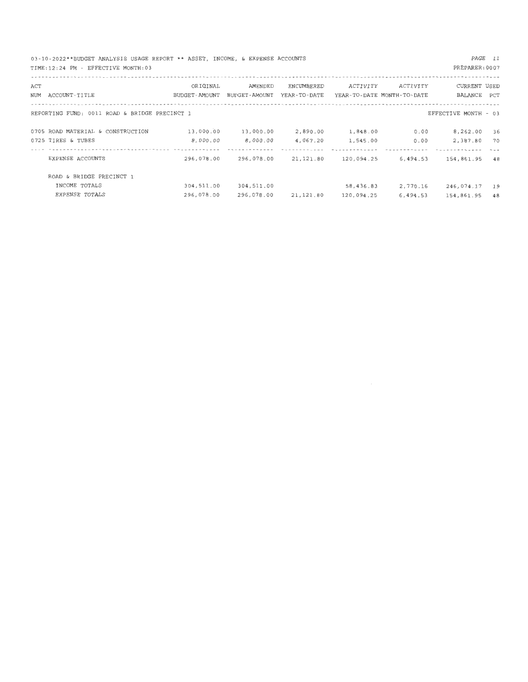| 03-10-2022**BUDGET ANALYSIS USAGE REPORT ** ASSET, INCOME, & EXPENSE ACCOUNTS<br>TIME: 12:24 PM - EFFECTIVE MONTH: 03 |                 |               |              |                            |          | PREPARER: 0007       | PAGE 11 |
|-----------------------------------------------------------------------------------------------------------------------|-----------------|---------------|--------------|----------------------------|----------|----------------------|---------|
| ACT                                                                                                                   | ORIGINAL        | AMENDED       | ENCUMBERED   | ACTIVITY                   | ACTIVITY | CURRENT USED         |         |
| NUM ACCOUNT-TITLE                                                                                                     | BUDGET - AMOUNT | BUDGET-AMOUNT | YEAR-TO-DATE | YEAR-TO-DATE MONTH-TO-DATE |          | BALANCE PCT          |         |
| REPORTING FUND: 0011 ROAD & BRIDGE PRECINCT 1                                                                         |                 |               |              |                            |          | EFFECTIVE MONTH - 03 |         |
| 0705 ROAD MATERIAL & CONSTRUCTION                                                                                     | 13,000.00       | 13,000.00     | 2,890.00     | 1,848.00                   | 0.00     | 8,262.00             | 36      |
| 0725 TIRES & TUBES                                                                                                    | 8,000.00        | 8,000.00      | 4,067.20     | 1,545.00                   | 0.00     | 2,387.80             | 70      |
| EXPENSE ACCOUNTS                                                                                                      | 296,078.00      | 296,078.00    | 21,121.80    | 120,094.25                 | 6,494.53 | 154,861.95 48        |         |
| ROAD & BRIDGE PRECINCT 1                                                                                              |                 |               |              |                            |          |                      |         |
| INCOME TOTALS                                                                                                         | 304,511.00      | 304,511.00    |              | 58,436.83                  | 2,770.16 | 246,074.17           | 19      |
| EXPENSE TOTALS                                                                                                        | 296,078.00      | 296,078.00    | 21,121.80    | 120,094.25                 | 6,494.53 | 154,861,95           | 48      |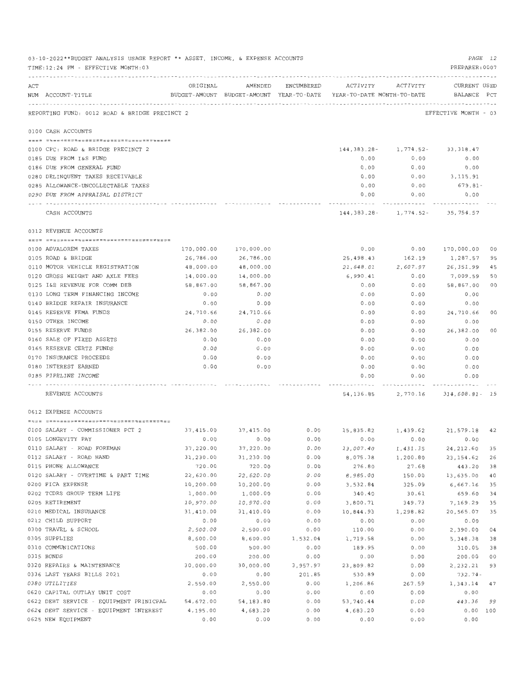|     | 03-10-2022**BUDGET ANALYSIS USAGE REPORT ** ASSET, INCOME, & EXPENSE ACCOUNTS<br>TIME:12:24 PM - EFFECTIVE MONTH:03 |            |                               |                    |                       |                                                                                             | PAGE 12<br>PREPARER: 0007 |    |
|-----|---------------------------------------------------------------------------------------------------------------------|------------|-------------------------------|--------------------|-----------------------|---------------------------------------------------------------------------------------------|---------------------------|----|
| ACT | NUM ACCOUNT-TITLE                                                                                                   | ORIGINAL   |                               | AMENDED ENCUMBERED | ACTIVITY              | ACTIVITY<br>BUDGET-AMOUNT BUDGET-AMOUNT YEAR-TO-DATE YEAR-TO-DATE MONTH-TO-DATE BALANCE PCT | CURRENT USED              |    |
|     | REPORTING FUND: 0012 ROAD & BRIDGE PRECINCT 2                                                                       |            |                               |                    |                       |                                                                                             | EFFECTIVE MONTH - 03      |    |
|     | 0100 CASH ACCOUNTS                                                                                                  |            |                               |                    |                       |                                                                                             |                           |    |
|     |                                                                                                                     |            |                               |                    |                       |                                                                                             |                           |    |
|     | 0100 CFC: ROAD & BRIDGE PRECINCT 2                                                                                  |            |                               |                    | 144,383.28-           | 1,774.52-                                                                                   | 33,318.47                 |    |
|     | 0185 DUE FROM I&S FUND                                                                                              |            |                               |                    | 0.00                  | 0.00                                                                                        | 0.00                      |    |
|     | 0186 DUE FROM GENERAL FUND                                                                                          |            |                               |                    | 0.00                  | 0.00                                                                                        | 0.00                      |    |
|     | 0280 DELINQUENT TAXES RECEIVABLE                                                                                    |            |                               |                    | 0.00                  | 0.00                                                                                        | 3,115.91                  |    |
|     | 0285 ALLOWANCE-UNCOLLECTABLE TAXES                                                                                  |            |                               |                    | 0.00<br>0.00          | 0.00<br>0.00                                                                                | 679.81-<br>0.00           |    |
|     | 0290 DUE FROM APPRAISAL DISTRICT                                                                                    |            |                               |                    |                       | . <u>.</u>                                                                                  |                           |    |
|     | CASH ACCOUNTS                                                                                                       |            |                               |                    |                       | $144, 383.28 - 1, 774.52 - 35, 754.57$                                                      |                           |    |
|     | 0312 REVENUE ACCOUNTS                                                                                               |            |                               |                    |                       |                                                                                             |                           |    |
|     | 0100 ADVALOREM TAXES                                                                                                | 170,000.00 | 170,000.00                    |                    | 0.00                  | 0.00                                                                                        | 170,000.00                | 00 |
|     | 0105 ROAD & BRIDGE                                                                                                  | 26,786.00  | 26,786.00                     |                    | 25,498.43             | 162.19                                                                                      | 1,287.57                  | 95 |
|     | 0110 MOTOR VEHICLE REGISTRATION                                                                                     | 48,000.00  | 48,000.00                     |                    | 21,648.01             | 2,607.97                                                                                    | 26,351.99                 | 45 |
|     | 0120 GROSS WEIGHT AND AXLE FEES                                                                                     | 14,000.00  | 14,000.00                     |                    | 6,990.41              | 0.00                                                                                        | 7,009.59                  | 50 |
|     | 0125 I&S REVENUE FOR COMM DEB                                                                                       | 58,867.00  | 58,867.00                     |                    | 0.00                  | 0.00                                                                                        | 58,867.00                 | 00 |
|     | 0130 LONG TERM FINANCING INCOME                                                                                     | 0.00       | 0.00                          |                    | 0.00                  | 0.00                                                                                        | 0.00                      |    |
|     | 0140 BRIDGE REPAIR INSURANCE                                                                                        | 0.00       | 0.00                          |                    | 0.00                  | 0.00                                                                                        | 0.00                      |    |
|     | 0145 RESERVE FEMA FUNDS                                                                                             | 24,710.66  | 24,710.66                     |                    | 0.00                  | 0.00                                                                                        | 24,710.66                 | 00 |
|     | 0150 OTHER INCOME                                                                                                   | 0.00       | 0.00                          |                    | 0.00                  | 0.00                                                                                        | 0.00                      |    |
|     | 0155 RESERVE FUNDS                                                                                                  | 26,382.00  | 26,382.00                     |                    | 0.00                  | 0.00                                                                                        | 26,382.00                 | 00 |
|     | 0160 SALE OF FIXED ASSETS                                                                                           | 0.00       | 0.00                          |                    | 0.00                  | 0.00                                                                                        | 0.00                      |    |
|     | 0165 RESERVE CERTZ FUNDS                                                                                            | 0.00       | 0.00                          |                    | 0.00                  | 0.00                                                                                        | 0.00                      |    |
|     | 0170 INSURANCE PROCEEDS                                                                                             | 0.00       | 0.00                          |                    | 0.00                  | 0.00                                                                                        | 0.00                      |    |
|     | 0180 INTEREST EARNED                                                                                                | 0.00       | 0.00                          |                    | 0.00                  | 0.00                                                                                        | 0.00                      |    |
|     | 0185 PIPELINE INCOME<br>.                                                                                           |            |                               |                    | 0.00                  | 0.00                                                                                        | 0.00                      |    |
|     | REVENUE ACCOUNTS                                                                                                    |            |                               |                    |                       | 54, 136.85 2, 770.16 314, 608.81 - 15                                                       |                           |    |
|     | 0612 EXPENSE ACCOUNTS                                                                                               |            |                               |                    |                       |                                                                                             |                           |    |
|     |                                                                                                                     |            |                               |                    |                       | $0.00$ 15,835.82 1,439.62 21,579.18 42                                                      |                           |    |
|     | 0100 SALARY - COMMISSIONER PCT 2<br>0105 LONGEVITY PAY                                                              | 0.00       | 37, 415.00 37, 415.00<br>0.00 | 0.00               | 0.00                  | 0.00                                                                                        | 0.00                      |    |
|     | 0110 SALARY - ROAD FOREMAN                                                                                          | 37,220.00  | 37,220.00                     | 0.00               | 13,007.40             | 1,431.35                                                                                    | 24, 212.60                | 35 |
|     | 0112 SALARY - ROAD HAND                                                                                             | 31,230.00  | 31,230.00                     | 0.00               | 8,075.38              | 1,200.80                                                                                    | 23, 154.62                | 26 |
|     | 0115 PHONE ALLOWANCE                                                                                                | 720.00     | 720.00                        | 0.00               | 276.80                | 27.68                                                                                       | 443.20                    | 38 |
|     | 0120 SALARY - OVERTIME & PART TIME                                                                                  | 22,620.00  | 22,620.00                     | 0.00               | 8,985.00              | 150.00                                                                                      | 13,635.00                 | 40 |
|     | 0200 FICA EXPENSE                                                                                                   | 10,200.00  | 10,200.00                     | 0.00               | 3,532.84              | 325.09                                                                                      | 6,667.16                  | 35 |
|     | 0202 TCDRS GROUP TERM LIFE                                                                                          | 1,000.00   | 1,000.00                      | 0.00               | 340.40                | 30.61                                                                                       | 659.60                    | 34 |
|     | 0205 RETIREMENT                                                                                                     | 10,970.00  | 10,970.00                     | 0.00               | 3,800.71              | 349.73                                                                                      | 7,169.29                  | 35 |
|     | 0210 MEDICAL INSURANCE                                                                                              | 31,410.00  | 31,410.00                     | 0.00               | 10,844.93             | 1,298.82                                                                                    | 20,565.07                 | 35 |
|     | 0212 CHILD SUPPORT                                                                                                  | 0.00       | 0.00                          | 0.00               | 0.00                  | 0.00                                                                                        | 0.00                      |    |
|     | 0300 TRAVEL & SCHOOL                                                                                                | 2,500.00   | 2,500.00                      | 0.00               | 110.00                | 0.00                                                                                        | 2,390.00                  | 04 |
|     | 0305 SUPPLIES                                                                                                       | 8,600.00   | 8,600.00                      | 1,532.04           | 1,719.58              | 0.00                                                                                        | 5,348.38                  | 38 |
|     | 0310 COMMUNICATIONS                                                                                                 | 500.00     | 500.00                        | 0.00               | 189.95                | 0.00                                                                                        | 310.05                    | 38 |
|     | 0315 BONDS                                                                                                          | 200.00     | 200.00                        | 0.00               | 0.00                  | 0.00                                                                                        | 200.00                    | 00 |
|     | 0320 REPAIRS & MAINTENANCE                                                                                          | 30,000.00  | 30,000.00                     | 3,957.97           | 23,809.82             | 0.00                                                                                        | 2, 232.21                 | 93 |
|     | 0336 LAST YEARS BILLS 2021                                                                                          | 0.00       | 0.00                          | 201.85             | 530.89                | 0.00                                                                                        | $732.74 -$                |    |
|     | 0380 UTILITIES                                                                                                      | 2,550.00   | 2,550.00                      | 0.00               | 1,206.86              | 267.59                                                                                      | 1,343.14                  | 47 |
|     | 0620 CAPITAL OUTLAY UNIT COST                                                                                       | 0.00       | 0.00                          | 0.00               | 0.00                  | 0.00                                                                                        | 0.00                      |    |
|     | 0622 DEBT SERVICE - EQUIPMENT PRINICPAL 54,672.00                                                                   |            | 54,183.80                     | 0.00<br>0.00       | 53,740.44<br>4,683.20 | 0.00<br>0.00                                                                                | 443.36<br>0.00 100        | 99 |
|     | 0624 DEBT SERVICE - EQUIPMENT INTEREST 4,195.00<br>0625 NEW EQUIPMENT                                               | 0.00       | 4,683.20<br>0.00              | 0.00               | 0.00                  | 0.00                                                                                        | 0.00                      |    |
|     |                                                                                                                     |            |                               |                    |                       |                                                                                             |                           |    |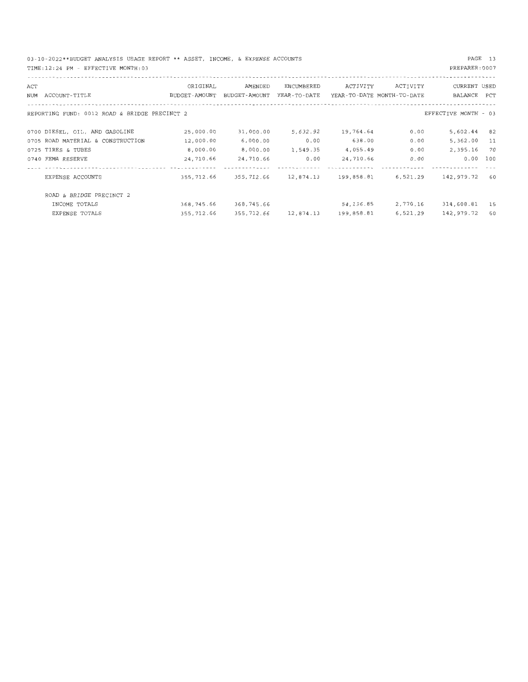03 - 10-2022\*\*BUDGET ANALYSIS USAGE REPORT\*\* ASSET, INCOME, & EXPENSE ACCOUNTS TIME : 12:24 PM - EFFECTIVE MONTH:03

PAGE 13

|     | TIME: 12:24 PM - EFFECTIVE MONTH: 03          |               |               |                                          |            |                            | PREPARER: 0007       |     |
|-----|-----------------------------------------------|---------------|---------------|------------------------------------------|------------|----------------------------|----------------------|-----|
| ACT |                                               | ORIGINAL      | AMENDED       | ENCUMBERED                               | ACTIVITY   | ACTIVITY                   | CURRENT USED         |     |
|     |                                               |               |               |                                          |            |                            |                      |     |
|     | NUM ACCOUNT-TITLE                             | BUDGET-AMOUNT | BUDGET-AMOUNT | YEAR-TO-DATE                             |            | YEAR-TO-DATE MONTH-TO-DATE | BALANCE PCT          |     |
|     | REPORTING FUND: 0012 ROAD & BRIDGE PRECINCT 2 |               |               |                                          |            |                            | EFFECTIVE MONTH - 03 |     |
|     | 0700 DIESEL, OIL, AND GASOLINE                | 25,000.00     | 31,000.00     | 5,632.92                                 | 19,764.64  | 0.00                       | 5,602.44             | 82  |
|     | 0705 ROAD MATERIAL & CONSTRUCTION             | 12,000.00     | 6,000.00      | 0.00                                     | 638.00     | 0.00                       | 5,362.00             | 11  |
|     | 0725 TIRES & TUBES                            | 8,000.00      | 8,000.00      | 1,549.35                                 | 4,055.49   | 0.00                       | 2,395.16             | 70  |
|     | 0740 FEMA RESERVE                             | 24,710.66     | 24,710.66     | 0.00                                     | 24,710.66  | 0.00                       | 0.00                 | 100 |
|     |                                               |               |               |                                          |            |                            |                      |     |
|     | EXPENSE ACCOUNTS                              | 355,712.66    |               | 355, 712.66    12, 874.13    199, 858.81 |            | 6,521.29                   | 142,979.72           | 60  |
|     | ROAD & BRIDGE PRECINCT 2                      |               |               |                                          |            |                            |                      |     |
|     | INCOME TOTALS                                 | 368,745.66    | 368,745.66    |                                          | 54,136.85  | 2,770.16                   | 314,608.81           | 15  |
|     | EXPENSE TOTALS                                | 355,712.66    |               | 355, 712.66 12, 874.13                   | 199,858.81 | 6,521.29                   | 142,979.72           | 60  |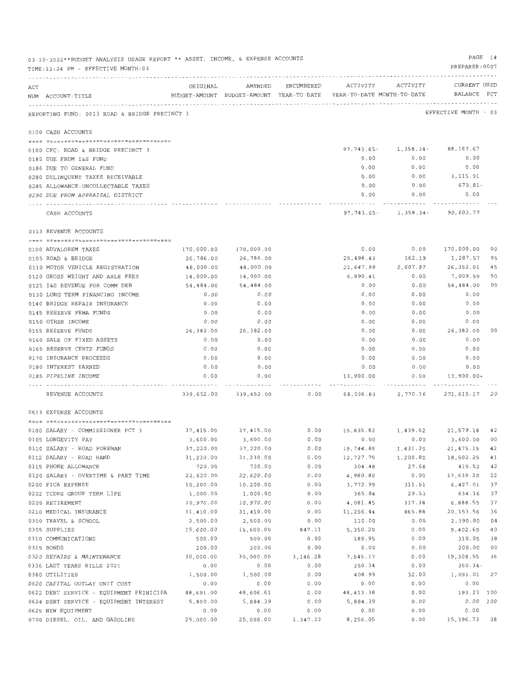|     | 03-10-2022**BUDGET ANALYSIS USAGE REPORT ** ASSET, INCOME, & EXPENSE ACCOUNTS<br>TIME: 12:24 PM - EFFECTIVE MONTH: 03 |                        |                                                                     |              |                              |                                         | PAGE 14<br>PREPARER: 0007 |                |
|-----|-----------------------------------------------------------------------------------------------------------------------|------------------------|---------------------------------------------------------------------|--------------|------------------------------|-----------------------------------------|---------------------------|----------------|
|     |                                                                                                                       |                        | AMENDED                                                             |              | ENCUMBERED ACTIVITY ACTIVITY |                                         | CURRENT USED              |                |
| ACT | NUM ACCOUNT-TITLE                                                                                                     | ORIGINAL               | BUDGET-AMOUNT BUDGET-AMOUNT YEAR-TO-DATE YEAR-TO-DATE MONTH-TO-DATE |              |                              |                                         | BALANCE PCT               |                |
|     | REPORTING FUND: 0013 ROAD & BRIDGE PRECINCT 3                                                                         |                        |                                                                     |              |                              |                                         | EFFECTIVE MONTH - 03      |                |
|     | 0100 CASH ACCOUNTS                                                                                                    |                        |                                                                     |              |                              |                                         |                           |                |
|     |                                                                                                                       |                        |                                                                     |              |                              | $97, 743, 65 - 1, 358, 34 - 88, 167.67$ |                           |                |
|     | 0100 CFC: ROAD & BRIDGE PRECINCT 3                                                                                    |                        |                                                                     |              | 0.00                         | 0.00                                    | 0.00                      |                |
|     | 0185 DUE FROM I&S FUND                                                                                                |                        |                                                                     |              | 0.00                         | 0.00                                    | 0.00                      |                |
|     | 0186 DUE TO GENERAL FUND                                                                                              |                        |                                                                     |              | 0.00                         | 0.00                                    | 3,115.91                  |                |
|     | 0280 DELINQUENT TAXES RECEIVABLE<br>0285 ALLOWANCE-UNCOLLECTABLE TAXES                                                |                        |                                                                     |              | 0.00                         | 0.00                                    | 679.81-                   |                |
|     | 0290 DUE FROM APPRAISAL DISTRICT                                                                                      |                        |                                                                     |              | 0.00                         | 0.00                                    | 0.00                      |                |
|     |                                                                                                                       |                        |                                                                     |              |                              |                                         |                           |                |
|     | CASH ACCOUNTS                                                                                                         |                        |                                                                     |              |                              | 97, 743.65- 1, 358.34- 90, 603.77       |                           |                |
|     | 0313 REVENUE ACCOUNTS                                                                                                 |                        |                                                                     |              |                              |                                         |                           |                |
|     | 0100 ADVALOREM TAXES                                                                                                  | 170,000.00             | 170,000.00                                                          |              | 0.00                         | 0.00                                    | 170,000.00                | 00             |
|     | 0105 ROAD & BRIDGE                                                                                                    | 26,786.00              | 26,786.00                                                           |              | 25,498.43                    | 162.19                                  | 1,287.57                  | 95             |
|     | 0110 MOTOR VEHICLE REGISTRATION                                                                                       | 48,000.00              | 48,000.00                                                           |              | 21,647.99                    | 2,607.97                                | 26,352.01                 | 45             |
|     | 0120 GROSS WEIGHT AND AXLE FEES                                                                                       | 14,000.00              | 14,000.00                                                           |              | 6,990.41                     | 0.00                                    | 7,009.59                  | 50             |
|     | 0125 I&S REVENUE FOR COMM DEB                                                                                         | 54,484.00              | 54,484.00                                                           |              | 0.00                         | 0.00                                    | 54,484.00                 | 0 <sup>0</sup> |
|     | 0130 LONG TERM FINANCING INCOME                                                                                       | 0.00                   | 0.00                                                                |              | 0.00                         | 0.00                                    | 0.00                      |                |
|     | 0140 BRIDGE REPAIR INSURANCE                                                                                          | 0.00                   | 0.00                                                                |              | 0.00                         | 0.00                                    | 0.00                      |                |
|     | 0145 RESERVE FEMA FUNDS                                                                                               | 0.00                   | 0.00                                                                |              | 0.00                         | 0.00                                    | 0.00                      |                |
|     | 0150 OTHER INCOME                                                                                                     | 0.00                   | 0.00                                                                |              | 0.00                         | 0.00                                    | 0.00                      |                |
|     | 0155 RESERVE FUNDS                                                                                                    | 26,382.00              | 26,382.00                                                           |              | 0.00                         | 0.00                                    | 26,382.00                 | 00             |
|     | 0160 SALE OF FIXED ASSETS                                                                                             | 0.00                   | 0.00                                                                |              | 0.00                         | 0.00                                    | 0.00                      |                |
|     | 0165 RESERVE CERTZ FUNDS                                                                                              | 0.00                   | 0.00                                                                |              | 0.00                         | 0.00                                    | 0.00                      |                |
|     | 0170 INSURANCE PROCEEDS                                                                                               | 0.00                   | 0.00                                                                |              | 0.00                         | 0.00                                    | 0.00                      |                |
|     | 0180 INTEREST EARNED                                                                                                  | 0.00                   | 0.00                                                                |              | 0.00                         | 0.00                                    | 0.00                      |                |
|     | 0185 PIPELINE INCOME                                                                                                  | 0.00                   | 0.00                                                                |              | 13,900.00                    | 0.00                                    | 13,900.00+                |                |
|     | .<br>REVENUE ACCOUNTS                                                                                                 |                        | 339,652.00 339,652.00                                               | 0.00         |                              |                                         |                           |                |
|     | 0613 EXPENSE ACCOUNTS                                                                                                 |                        |                                                                     |              |                              |                                         |                           |                |
|     |                                                                                                                       |                        |                                                                     |              |                              |                                         |                           |                |
|     | 0100 SALARY - COMMISSIONER PCT 3                                                                                      | 37,415.00              | 37,415.00                                                           | 0.00         |                              | 15,835.82   1,439.62   21,579.18   42   |                           |                |
|     | 0105 LONGEVITY PAY                                                                                                    | 3,600.00               | 3,600.00                                                            | 0.00         | 0.00                         | 0.00                                    | 3,600.00 00               |                |
|     | 0110 SALARY - ROAD FOREMAN                                                                                            | 37,220.00              | 37,220.00                                                           | 0.00         | 15,744.85                    | 1,431.35                                | 21, 475. 15 42            |                |
|     | 0112 SALARY - ROAD HAND                                                                                               | 31,230.00              | 31,230.00                                                           | 0.00         | 12,727.75                    | 1,200.80                                | 18,502.25 41              |                |
|     | 0115 PHONE ALLOWANCE                                                                                                  | 720.00                 | 720.00                                                              | 0.00         | 304.48                       | 27.68                                   | 415.52 42                 |                |
|     | 0120 SALARY - OVERTIME & PART TIME                                                                                    | 22,620.00              | 22,620.00                                                           | 0.00         | 4,980.80                     | 0.00                                    | 17,639.20                 | 22<br>37       |
|     | 0200 FICA EXPENSE                                                                                                     | 10,200.00              | 10,200.00                                                           | 0.00         | 3,772.99<br>365.84           | 311.51                                  | 6,427.01                  | 37             |
|     | 0202 TCDRS GROUP TERM LIFE                                                                                            | 1,000.00               | 1,000.00                                                            | 0.00         | 4,081.45                     | 29.53<br>337.38                         | 634.16<br>6,888.55        | 37             |
|     | 0205 RETIREMENT<br>0210 MEDICAL INSURANCE                                                                             | 10,970.00<br>31,410.00 | 10,970.00<br>31,410.00                                              | 0.00<br>0.00 | 11,256.44                    | 865.88                                  | 20,153.56                 | 36             |
|     | 0300 TRAVEL & SCHOOL                                                                                                  | 2,500.00               | 2,500.00                                                            | 0.00         | 110.00                       | 0.00                                    | 2,390.00                  | 04             |
|     | 0305 SUPPLIES                                                                                                         | 15,600.00              | 15,600.00                                                           | 847.11       | 5,350.20                     | 0.00                                    | 9,402.69                  | 40             |
|     | 0310 COMMUNICATIONS                                                                                                   | 500.00                 | 500.00                                                              | 0.00         | 189.95                       | 0.00                                    | 310.05                    | 38             |
|     | 0315 BONDS                                                                                                            | 200.00                 | 200.00                                                              | 0.00         | 0.00                         | 0.00                                    | 200.00                    | 00             |
|     | 0320 REPAIRS & MAINTENANCE                                                                                            | 30,000.00              | 30,000.00                                                           | 3,146.28     | 7,545.17                     | 0.00                                    | 19,308.55                 | 36             |
|     | 0336 LAST YEARS BILLS 2021                                                                                            | 0.00                   | 0.00                                                                | 0.00         | 350.34                       | 0.00                                    | $350.34 -$                |                |
|     | 0380 UTILITIES                                                                                                        | 1,500.00               | 1,500.00                                                            | 0.00         | 408.99                       | 32.00                                   | 1,091.01 27               |                |
|     | 0620 CAPITAL OUTLAY UNIT COST                                                                                         | 0.00                   | 0.00                                                                | 0.00         | 0.00                         | 0.00                                    | 0.00                      |                |
|     | 0622 DEBT SERVICE - EQUIPMENT PRINICIPA 48,691.00                                                                     |                        | 48,606.61                                                           | 0.00         | 48, 413.38                   | 0.00                                    | 193.23 100                |                |
|     | 0624 DEBT SERVICE - EQUIPMENT INTEREST 5,800.00                                                                       |                        | 5,884.39                                                            | 0.00         | 5,884.39                     | 0.00                                    | $0.00$ 100                |                |
|     | 0625 NEW EQUIPMENT                                                                                                    | 0.00                   | 0.00                                                                | 0.00         | 0.00                         | 0.00                                    | 0.00                      |                |
|     | 0700 DIESEL, OIL, AND GASOLINE                                                                                        | 25,000.00              | 25,000.00                                                           | 1,347.22     | 8,256.05                     | 0.00                                    | 15,396.73 38              |                |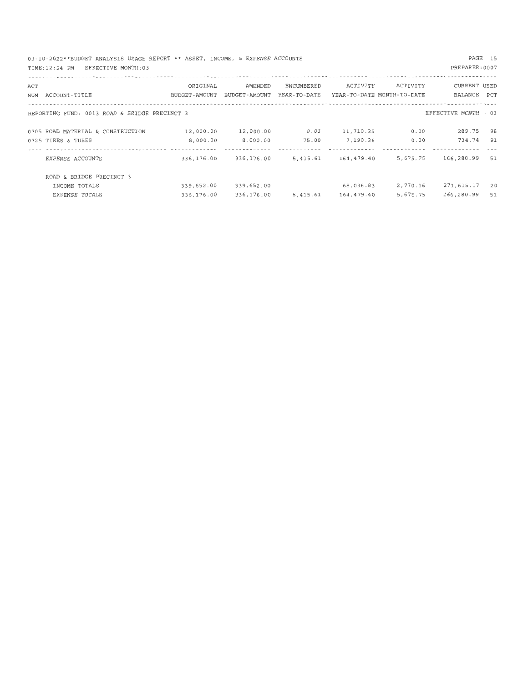03 - 10-2022\*\*BUDGET ANALYSIS USAGE REPORT\*\* ASSET, INCOME, & EXPENSE ACCOUNTS TIME:12:24 PM - EFFECTIVE MONTH:03

### PAGE 15

| ACT<br>NUM | ACCOUNT-TITLE                                           | ORIGINAL<br><b>BUDGET-AMOUNT</b> | AMENDED<br>BUDGET-AMOUNT | ENCUMBERED<br>YEAR-TO-DATE | ACTIVITY              | ACTIVITY<br>YEAR-TO-DATE MONTH-TO-DATE | CURRENT USED<br>BALANCE | PCT      |
|------------|---------------------------------------------------------|----------------------------------|--------------------------|----------------------------|-----------------------|----------------------------------------|-------------------------|----------|
|            | REPORTING FUND: 0013 ROAD & BRIDGE PRECINCT 3           |                                  |                          |                            |                       |                                        | EFFECTIVE MONTH - 03    |          |
|            | 0705 ROAD MATERIAL & CONSTRUCTION<br>0725 TIRES & TUBES | 12,000.00<br>8.000.00            | 12,000.00<br>8.000.00    | 0.00<br>75.00              | 11,710.25<br>7,190.26 | 0.00<br>0.00                           | 289.75<br>734.74        | 98<br>91 |
|            | EXPENSE ACCOUNTS                                        | 336,176.00                       | 336,176.00               | 5,415.61                   | 164,479.40            | 5,675.75                               | 166,280.99              | 51       |
|            | ROAD & BRIDGE PRECINCT 3<br>INCOME TOTALS               | 339,652.00                       | 339,652.00               |                            | 68,036.83             | 2,770.16                               | 271,615.17              | 20       |
|            | EXPENSE TOTALS                                          | 336,176.00                       | 336,176.00               | 5,415.61                   | 164,479.40            | 5,675.75                               | 166,280.99              | 51       |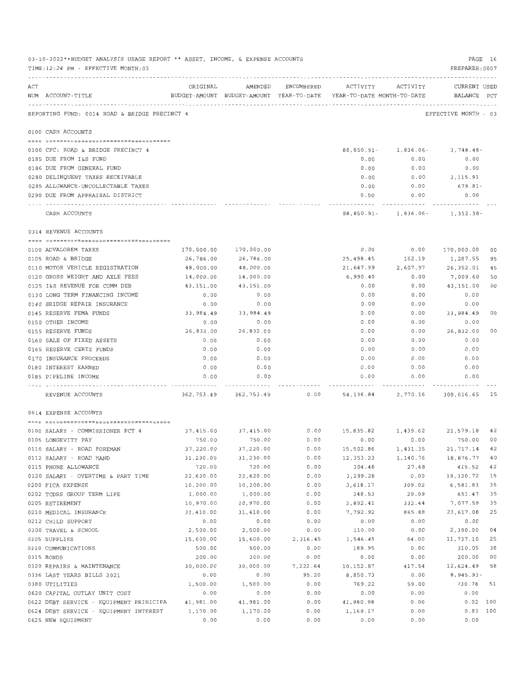|     | 03-10-2022**BUDGET ANALYSIS USAGE REPORT ** ASSET, INCOME, & EXPENSE ACCOUNTS<br>TIME: 12:24 PM - EFFECTIVE MONTH: 03 |                       |                       |                    |                                                                                 |                                                     | PREPARER: 0007         | PAGE 16        |
|-----|-----------------------------------------------------------------------------------------------------------------------|-----------------------|-----------------------|--------------------|---------------------------------------------------------------------------------|-----------------------------------------------------|------------------------|----------------|
| ACT | NUM ACCOUNT-TITLE                                                                                                     | ORIGINAL              |                       | AMENDED ENCUMBERED | BUDGET-AMOUNT BUDGET-AMOUNT YEAR-TO-DATE YEAR-TO-DATE MONTH-TO-DATE BALANCE PCT | ACTIVITY ACTIVITY                                   | CURRENT USED           |                |
|     | REPORTING FUND: 0014 ROAD & BRIDGE PRECINCT 4                                                                         |                       |                       |                    |                                                                                 |                                                     | EFFECTIVE MONTH - 03   |                |
|     | 0100 CASH ACCOUNTS                                                                                                    |                       |                       |                    |                                                                                 |                                                     |                        |                |
|     | 0100 CFC: ROAD & BRIDGE PRECINCT 4                                                                                    |                       |                       |                    |                                                                                 |                                                     |                        |                |
|     | 0185 DUE FROM I&S FUND                                                                                                |                       |                       |                    | 0.00                                                                            | 88,850.91- 1,836.06-<br>0.00                        | 3,748.48-<br>0.00      |                |
|     | 0186 DUE FROM GENERAL FUND                                                                                            |                       |                       |                    | 0.00                                                                            | 0.00                                                | 0.00                   |                |
|     | 0280 DELINQUENT TAXES RECEIVABLE                                                                                      |                       |                       |                    | 0.00                                                                            |                                                     | $0.00$ 3, 115, 91      |                |
|     | 0285 ALLOWANCE-UNCOLLECTABLE TAXES                                                                                    |                       |                       |                    | 0.00                                                                            | 0.00                                                | 679.81-                |                |
|     | 0290 DUE FROM APPRAISAL DISTRICT                                                                                      |                       |                       |                    | 0.00                                                                            | 0.00                                                | 0.00                   |                |
|     | CASH ACCOUNTS                                                                                                         |                       |                       |                    |                                                                                 | ------------<br>$88,850.91 - 1,836.06 - 1,312.38 -$ |                        |                |
|     | 0314 REVENUE ACCOUNTS                                                                                                 |                       |                       |                    |                                                                                 |                                                     |                        |                |
|     |                                                                                                                       |                       |                       |                    |                                                                                 |                                                     |                        |                |
|     | 0100 ADVALOREM TAXES                                                                                                  |                       | 170,000.00 170,000.00 |                    | 0.00                                                                            |                                                     | 0.00 170,000.00 00     |                |
|     | 0105 ROAD & BRIDGE                                                                                                    | 26,786.00             | 26,786.00             |                    | 25,498.45                                                                       | 162.19                                              | 1,287.55               | 95             |
|     | 0110 MOTOR VEHICLE REGISTRATION                                                                                       | 48,000.00             | 48,000.00             |                    | 21,647.99                                                                       | 2,607.97                                            | 26,352.01              | 45             |
|     | 0120 GROSS WEIGHT AND AXLE FEES                                                                                       | 14,000.00             | 14,000.00             |                    | 6,990.40                                                                        | 0.00                                                | 7,009.60               | 50             |
|     | 0125 I&S REVENUE FOR COMM DEB                                                                                         | 43,151.00             | 43,151.00             |                    | 0.00                                                                            | 0.00                                                | 43,151.00              | 0 <sub>0</sub> |
|     | 0130 LONG TERM FINANCING INCOME<br>0140 BRIDGE REPAIR INSURANCE                                                       | 0.00                  | 0.00                  |                    | 0.00<br>0.00                                                                    | 0.00<br>0.00                                        | 0.00                   |                |
|     | 0145 RESERVE FEMA FUNDS                                                                                               | 0.00<br>33,984.49     | 0.00<br>33,984.49     |                    | 0.00                                                                            | 0.00                                                | 0.00<br>33,984.49      | 00             |
|     | 0150 OTHER INCOME                                                                                                     | 0.00                  | 0.00                  |                    | 0.00                                                                            | 0.00                                                | 0.00                   |                |
|     | 0155 RESERVE FUNDS                                                                                                    | 26,832.00             | 26,832.00             |                    | 0.00                                                                            | 0.00                                                | 26,832.00              | 00             |
|     | 0160 SALE OF FIXED ASSETS                                                                                             | 0.00                  | 0.00                  |                    | 0.00                                                                            | 0.00                                                | 0.00                   |                |
|     | 0165 RESERVE CERTZ FUNDS                                                                                              | 0.00                  | 0.00                  |                    | 0.00                                                                            | 0.00                                                | 0.00                   |                |
|     | 0170 INSURANCE PROCEEDS                                                                                               | 0.00                  | 0.00                  |                    | 0.00                                                                            | 0.00                                                | 0.00                   |                |
|     | 0180 INTEREST EARNED                                                                                                  | 0.00                  | 0.00                  |                    | 0.00                                                                            | 0.00                                                | 0.00                   |                |
|     | 0185 PIPELINE INCOME                                                                                                  | 0.00                  | 0.00                  |                    | 0.00                                                                            | 0.00                                                | 0.00                   |                |
|     | REVENUE ACCOUNTS                                                                                                      |                       |                       |                    | 362, 753.49 362, 753.49 0.00 54, 136.84 2, 770.16 308, 616.65 15                |                                                     |                        |                |
|     | 0614 EXPENSE ACCOUNTS                                                                                                 |                       |                       |                    |                                                                                 |                                                     |                        |                |
|     |                                                                                                                       |                       |                       |                    |                                                                                 |                                                     |                        |                |
|     | 0100 SALARY - COMMISSIONER PCT 4                                                                                      | 37, 415.00 37, 415.00 |                       |                    | $0.00$ 15,835.82 1,439.62 21,579.18 42                                          |                                                     |                        |                |
|     | 0105 LONGEVITY PAY                                                                                                    | 750.00                | 750.00                | 0.00               | 0.00                                                                            | 0.00                                                | 750.00 00              |                |
|     | 0110 SALARY - ROAD FOREMAN<br>0112 SALARY - ROAD HAND                                                                 | 37,220.00             | 37,220.00             | 0.00               | 15,502.86                                                                       | 1,431.35                                            | 21,717.14              | 42             |
|     | 0115 PHONE ALLOWANCE                                                                                                  | 31,230.00<br>720.00   | 31,230.00<br>720.00   | 0.00<br>0.00       | 12, 353.23<br>304.48                                                            | 1,140.76<br>27.68                                   | 18,876.77<br>415.52    | 40<br>42       |
|     | 0120 SALARY - OVERTIME & PART TIME                                                                                    | 22,620.00             | 22,620.00             | 0.00               | 3,299.28                                                                        | 0.00                                                | 19,320.72              | 15             |
|     | 0200 FICA EXPENSE                                                                                                     | 10,200.00             | 10,200.00             | 0.00               | 3,618.17                                                                        | 309.02                                              | 6,581.83               | 35             |
|     | 0202 TCDRS GROUP TERM LIFE                                                                                            | 1,000.00              | 1,000.00              | 0.00               | 348.53                                                                          | 29.09                                               | 651.47                 | 35             |
|     | 0205 RETIREMENT                                                                                                       | 10,970.00             | 10,970.00             | 0.00               | 3,892.41                                                                        | 332.44                                              | 7,077.59               | 35             |
|     | 0210 MEDICAL INSURANCE                                                                                                | 31,410.00             | 31,410.00             | 0.00               | 7,792.92                                                                        | 865.88                                              | 23,617.08              | 25             |
|     | 0212 CHILD SUPPORT                                                                                                    | 0.00                  | 0.00                  | 0.00               | 0.00                                                                            | 0.00                                                | 0.00                   |                |
|     | 0300 TRAVEL & SCHOOL                                                                                                  | 2,500.00              | 2,500.00              | 0.00               | 110.00                                                                          | 0.00                                                | 2,390.00               | 04             |
|     | 0305 SUPPLIES                                                                                                         | 15,600.00             | 15,600.00             | 2,316.45           | 1,546.45                                                                        | 64.00                                               | 11,737.10              | 25             |
|     | 0310 COMMUNICATIONS                                                                                                   | 500.00                | 500.00                | 0.00               | 189.95                                                                          | 0.00                                                | 310.05                 | 38             |
|     | 0315 BONDS                                                                                                            | 200.00                | 200.00                | 0.00               | 0.00                                                                            | 0.00                                                | 200.00                 | 00             |
|     | 0320 REPAIRS & MAINTENANCE                                                                                            | 30,000.00             | 30,000.00             | 7,222.64           | 10,152.87                                                                       | 417.54                                              | 12,624.49              | 58             |
|     | 0336 LAST YEARS BILLS 2021                                                                                            | 0.00                  | 0.00                  | 95.20              | 8,850.73                                                                        | 0.00                                                | 8,945.93-              |                |
|     | 0380 UTILITIES                                                                                                        | 1,500.00              | 1,500.00              | 0.00               | 769.22                                                                          | 59.00                                               | 730.78                 | 51             |
|     | 0620 CAPITAL OUTLAY UNIT COST                                                                                         | 0.00                  | 0.00                  | 0.00               | 0.00                                                                            | 0.00                                                | 0.00                   |                |
|     | 0622 DEBT SERVICE - EQUIPMENT PRINICIPA<br>0624 DEBT SERVICE - EQUIPMENT INTEREST                                     | 41,981.00<br>1,170.00 | 41,981.00<br>1,170.00 | 0.00<br>0.00       | 41,980.98<br>1,169.17                                                           | 0.00<br>0.00                                        | 0.02 100<br>$0.83$ 100 |                |
|     | 0625 NEW EQUIPMENT                                                                                                    | 0.00                  | 0.00                  | 0.00               | 0.00                                                                            | 0.00                                                | 0.00                   |                |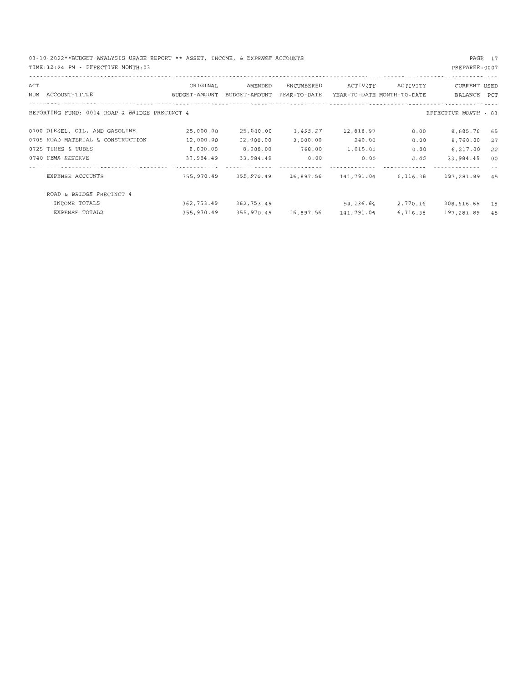03-10-2022\*\*BUDGET ANALYSIS USAGE REPORT\*\* ASSET, INCOME, & EXPENSE ACCOUNTS TIME : 12:24 PM - EFFECTIVE MONTH:03

| ACT |                                               | ORIGINAL      | AMENDED       | ENCUMBERED   | ACTIVITY                   | ACTIVITY | CURRENT USED         |     |
|-----|-----------------------------------------------|---------------|---------------|--------------|----------------------------|----------|----------------------|-----|
|     | NUM ACCOUNT-TITLE                             | BUDGET-AMOUNT | BUDGET-AMOUNT | YEAR-TO-DATE | YEAR-TO-DATE MONTH-TO-DATE |          | BALANCE              | PCT |
|     | REPORTING FUND: 0014 ROAD & BRIDGE PRECINCT 4 |               |               |              |                            |          | EFFECTIVE MONTH - 03 |     |
|     | 0700 DIESEL, OIL, AND GASOLINE                | 25,000.00     | 25,000.00     | 3,495.27     | 12,818.97                  | 0.00     | 8,685.76             | 65  |
|     | 0705 ROAD MATERIAL & CONSTRUCTION             | 12,000.00     | 12,000.00     | 3,000.00     | 240.00                     | 0.00     | 8,760.00             | 27  |
|     | 0725 TIRES & TUBES                            | 8,000.00      | 8.000.00      | 768.00       | 1,015.00                   | 0.00     | 6,217.00             | 22  |
|     | 0740 FEMA RESERVE                             | 33,984.49     | 33,984.49     | 0.00         | 0.00                       | 0.00     | 33,984.49            | 00  |
|     |                                               |               |               |              |                            |          |                      |     |
|     | EXPENSE ACCOUNTS                              | 355,970.49    | 355,970.49    | 16,897.56    | 141,791.04                 | 6,116.38 | 197,281.89           | 45  |
|     | ROAD & BRIDGE PRECINCT 4                      |               |               |              |                            |          |                      |     |
|     | INCOME TOTALS                                 | 362,753.49    | 362,753.49    |              | 54, 136.84                 | 2,770.16 | 308,616.65           | 15  |
|     | EXPENSE TOTALS                                | 355,970.49    | 355,970.49    | 16,897.56    | 141,791.04                 | 6,116.38 | 197,281.89           | 45  |

PAGE 17 PREPARER:0007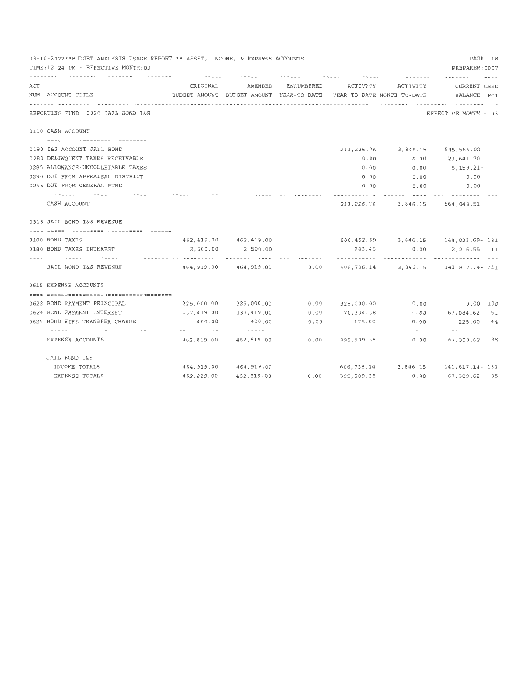|     | 03-10-2022**BUDGET ANALYSIS USAGE REPORT ** ASSET, INCOME, & EXPENSE ACCOUNTS<br>TIME: 12:24 PM - EFFECTIVE MONTH: 03 |                                                                                 |                           |            |                 |                            | PAGE 18<br>PREPARER: 0007                                                       |  |
|-----|-----------------------------------------------------------------------------------------------------------------------|---------------------------------------------------------------------------------|---------------------------|------------|-----------------|----------------------------|---------------------------------------------------------------------------------|--|
| ACT | NUM ACCOUNT-TITLE                                                                                                     | BUDGET-AMOUNT BUDGET-AMOUNT YEAR-TO-DATE YEAR-TO-DATE MONTH-TO-DATE BALANCE PCT |                           |            |                 |                            | ORIGINAL AMENDED ENCUMBERED ACTIVITY ACTIVITY CURRENTUSED                       |  |
|     | REPORTING FUND: 0020 JAIL BOND I&S                                                                                    |                                                                                 |                           |            |                 |                            | EFFECTIVE MONTH - 03                                                            |  |
|     | 0100 CASH ACCOUNT                                                                                                     |                                                                                 |                           |            |                 |                            |                                                                                 |  |
|     |                                                                                                                       |                                                                                 |                           |            |                 |                            |                                                                                 |  |
|     | 0190 I&S ACCOUNT JAIL BOND                                                                                            |                                                                                 |                           |            |                 |                            | 211, 226, 76 3, 846. 15 545, 566. 02                                            |  |
|     | 0280 DELINQUENT TAXES RECEIVABLE                                                                                      |                                                                                 |                           |            | 0.00            | 0.00                       | 23,641.70                                                                       |  |
|     | 0285 ALLOWANCE-UNCOLLETABLE TAXES                                                                                     |                                                                                 |                           |            | 0.00            | 0.00                       | $5.159.21 -$                                                                    |  |
|     | 0290 DUE FROM APPRAISAL DISTRICT                                                                                      |                                                                                 |                           |            | 0.00            | 0.00                       | 0.00                                                                            |  |
|     | 0295 DUE FROM GENERAL FUND                                                                                            |                                                                                 |                           |            | 0.00            |                            | $0.00$ 0.00                                                                     |  |
|     | CASH ACCOUNT                                                                                                          |                                                                                 |                           |            | . <i>. .</i> .  | -----------                | ------------<br>211, 226.76 3, 846.15 564, 048.51                               |  |
|     | 0315 JAIL BOND I&S REVENUE                                                                                            |                                                                                 |                           |            |                 |                            |                                                                                 |  |
|     |                                                                                                                       |                                                                                 |                           |            |                 |                            |                                                                                 |  |
|     | 0100 BOND TAXES                                                                                                       |                                                                                 | 462,419.00 462,419.00     |            |                 |                            | $606, 452.69$ 3, 846.15 144, 033.69+ 131                                        |  |
|     | 0180 BOND TAXES INTEREST                                                                                              | 2,500.00                                                                        | 2,500.00                  |            | 283.45          | 0.00                       | 2,216.55 11                                                                     |  |
|     | JAIL BOND I&S REVENUE                                                                                                 |                                                                                 |                           |            |                 |                            | 464, 919, 00   464, 919, 00   0.00   606, 736.14   3, 846.15   141, 817.14+ 131 |  |
|     | 0615 EXPENSE ACCOUNTS                                                                                                 |                                                                                 |                           |            |                 |                            |                                                                                 |  |
|     | <u> 2211   CRAACUSESCORATEURSE EN COMPARABIUS DE E</u>                                                                |                                                                                 |                           |            |                 |                            |                                                                                 |  |
|     | 0622 BOND PAYMENT PRINCIPAL                                                                                           |                                                                                 | 325,000.00 325,000.00     |            |                 |                            | $0.00$ $325,000.00$ $0.00$ $0.00$ $0.00$ $100$                                  |  |
|     | 0624 BOND PAYMENT INTEREST                                                                                            |                                                                                 | 137, 419, 00 137, 419, 00 |            |                 |                            | $0.00$ $70,334.38$ $0.00$ $67,084.62$ 51                                        |  |
|     | 0625 BOND WIRE TRANSFER CHARGE                                                                                        | 400.00                                                                          | 400.00                    | 0.00       |                 | 175.00 0.00                | 225.00 44                                                                       |  |
|     | EXPENSE ACCOUNTS                                                                                                      | .                                                                               | . <i>.</i>                | ---------- |                 | ------------ ------------- | 462,819.00 462,819.00 0.00 395,509.38 0.00 67,309.62 85                         |  |
|     | JAIL BOND I&S                                                                                                         |                                                                                 |                           |            |                 |                            |                                                                                 |  |
|     | INCOME TOTALS                                                                                                         |                                                                                 | 464,919.00  464,919.00    |            |                 |                            | 606,736.14 3,846.15 141,817.14+131                                              |  |
|     | EXPENSE TOTALS                                                                                                        |                                                                                 | 462,819.00 462,819.00     |            | 0.00 395.509.38 | 0.00                       | 67,309.62 85                                                                    |  |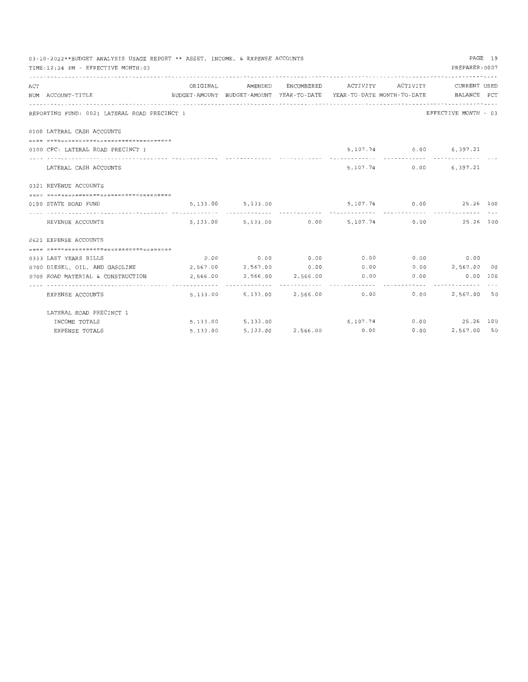| PAGE 19<br>03-10-2022**BUDGET ANALYSIS USAGE REPORT ** ASSET, INCOME, & EXPENSE ACCOUNTS |                                              |                                                                                 |                     |  |                              |               |                                                |  |
|------------------------------------------------------------------------------------------|----------------------------------------------|---------------------------------------------------------------------------------|---------------------|--|------------------------------|---------------|------------------------------------------------|--|
|                                                                                          | TIME:12:24 PM - EFFECTIVE MONTH:03           |                                                                                 |                     |  |                              |               | PREPARER: 0007                                 |  |
| ACT                                                                                      |                                              | ORIGINAL                                                                        | AMENDED             |  | ENCUMBERED ACTIVITY ACTIVITY |               | CURRENT USED                                   |  |
|                                                                                          | NUM ACCOUNT-TITLE                            | BUDGET-AMOUNT BUDGET-AMOUNT YEAR-TO-DATE YEAR-TO-DATE MONTH-TO-DATE BALANCE PCT |                     |  |                              |               |                                                |  |
|                                                                                          |                                              |                                                                                 |                     |  |                              |               |                                                |  |
|                                                                                          | REPORTING FUND: 0021 LATERAL ROAD PRECINCT 1 |                                                                                 |                     |  |                              |               | EFFECTIVE MONTH - 03                           |  |
|                                                                                          | 0100 LATERAL CASH ACCOUNTS                   |                                                                                 |                     |  |                              |               |                                                |  |
|                                                                                          |                                              |                                                                                 |                     |  |                              |               |                                                |  |
|                                                                                          | 0100 CFC: LATERAL ROAD PRECINCT 1            |                                                                                 |                     |  |                              |               | 5,107.74 0.00 6,397.21                         |  |
|                                                                                          |                                              |                                                                                 |                     |  |                              | ------------- | -------------                                  |  |
|                                                                                          | LATERAL CASH ACCOUNTS                        |                                                                                 |                     |  |                              |               | 5,107.74 0.00 6,397.21                         |  |
|                                                                                          | 0321 REVENUE ACCOUNTS                        |                                                                                 |                     |  |                              |               |                                                |  |
|                                                                                          |                                              |                                                                                 |                     |  |                              |               |                                                |  |
|                                                                                          | 0190 STATE ROAD FUND                         |                                                                                 | 5, 133.00 5, 133.00 |  |                              |               | $5,107.74$ 0.00 25.26 100                      |  |
|                                                                                          |                                              |                                                                                 |                     |  |                              |               |                                                |  |
|                                                                                          | REVENUE ACCOUNTS                             |                                                                                 |                     |  |                              |               | 5,133.00 5,133.00 0.00 5,107.74 0.00 25.26 100 |  |
|                                                                                          | 0621 EXPENSE ACCOUNTS                        |                                                                                 |                     |  |                              |               |                                                |  |
|                                                                                          |                                              |                                                                                 |                     |  |                              |               |                                                |  |
|                                                                                          | 0333 LAST YEARS BILLS                        |                                                                                 |                     |  |                              |               | $0.00$ 0.00 0.00 0.00 0.00 0.00 0.00 0.00      |  |
|                                                                                          | 0700 DIESEL, OIL, AND GASOLINE               |                                                                                 |                     |  |                              |               | 2,567.00 2,567.00 0.00 0.00 0.00 2,567.00 00   |  |
|                                                                                          | 0705 ROAD MATERIAL & CONSTRUCTION            | 2,566.00                                                                        |                     |  |                              |               | 2,566.00 2,566.00 0.00 0.00 0.00 0.00 100      |  |
|                                                                                          | EXPENSE ACCOUNTS                             | 5,133,00                                                                        |                     |  | 5,133.00 2,566.00 0.00 0.00  | ----------    | 2,567.00 50                                    |  |
|                                                                                          | LATERAL ROAD PRECINCT 1                      |                                                                                 |                     |  |                              |               |                                                |  |
|                                                                                          | INCOME TOTALS                                |                                                                                 |                     |  |                              |               | 5,133.00 5,133.00 5,107.74 0.00 25.26 100      |  |
|                                                                                          | EXPENSE TOTALS                               | 5,133.00                                                                        |                     |  |                              |               | 5,133.00 2,566.00 0.00 0.00 2,567.00 50        |  |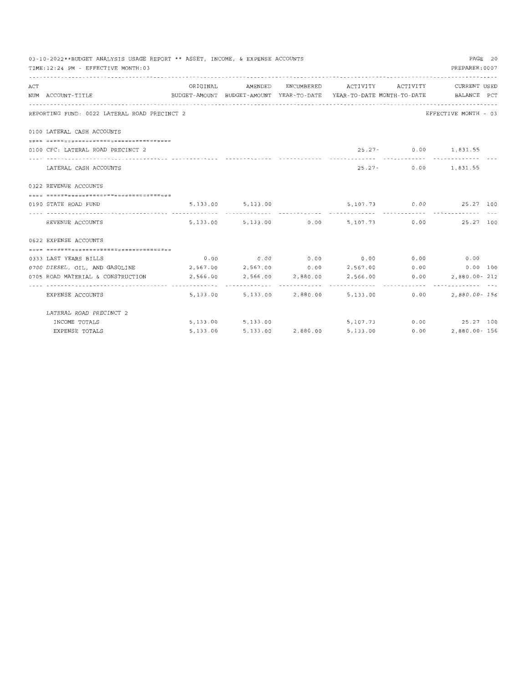| PAGE 20<br>03-10-2022**BUDGET ANALYSIS USAGE REPORT ** ASSET, INCOME, & EXPENSE ACCOUNTS |                                                                                          |                                                                                 |                                                            |  |                                    |                               |                                                            |  |  |
|------------------------------------------------------------------------------------------|------------------------------------------------------------------------------------------|---------------------------------------------------------------------------------|------------------------------------------------------------|--|------------------------------------|-------------------------------|------------------------------------------------------------|--|--|
|                                                                                          | TIME: 12:24 PM - EFFECTIVE MONTH: 03                                                     |                                                                                 |                                                            |  |                                    |                               | PREPARER: 0007                                             |  |  |
| ACT                                                                                      |                                                                                          |                                                                                 |                                                            |  |                                    |                               | ORIGINAL AMENDED ENCUMBERED ACTIVITY ACTIVITY CURRENT USED |  |  |
|                                                                                          | NUM ACCOUNT-TITLE                                                                        | BUDGET-AMOUNT BUDGET-AMOUNT YEAR-TO-DATE YEAR-TO-DATE MONTH-TO-DATE BALANCE PCT |                                                            |  |                                    |                               |                                                            |  |  |
|                                                                                          | REPORTING FUND: 0022 LATERAL ROAD PRECINCT 2                                             |                                                                                 |                                                            |  |                                    |                               | EFFECTIVE MONTH - 03                                       |  |  |
|                                                                                          | 0100 LATERAL CASH ACCOUNTS                                                               |                                                                                 |                                                            |  |                                    |                               |                                                            |  |  |
|                                                                                          |                                                                                          |                                                                                 |                                                            |  |                                    |                               |                                                            |  |  |
|                                                                                          | 0100 CFC; LATERAL ROAD PRECINCT 2                                                        |                                                                                 |                                                            |  |                                    |                               | 25.27- 0.00 1,831.55                                       |  |  |
|                                                                                          |                                                                                          |                                                                                 |                                                            |  |                                    | ***************************** |                                                            |  |  |
|                                                                                          | LATERAL CASH ACCOUNTS                                                                    |                                                                                 |                                                            |  |                                    |                               | 25.27- 0.00 1,831.55                                       |  |  |
|                                                                                          | 0322 REVENUE ACCOUNTS                                                                    |                                                                                 |                                                            |  |                                    |                               |                                                            |  |  |
|                                                                                          |                                                                                          |                                                                                 |                                                            |  |                                    |                               |                                                            |  |  |
|                                                                                          | 0190 STATE ROAD FUND                                                                     | 5, 133.00 5, 133.00                                                             |                                                            |  |                                    |                               | $5,107.73$ 0.00 25.27 100                                  |  |  |
|                                                                                          | REVENUE ACCOUNTS                                                                         |                                                                                 |                                                            |  |                                    |                               | 5,133.00 5,133.00 0.00 5,107.73 0.00 25.27 100             |  |  |
|                                                                                          | 0622 EXPENSE ACCOUNTS                                                                    |                                                                                 |                                                            |  |                                    |                               |                                                            |  |  |
|                                                                                          |                                                                                          |                                                                                 |                                                            |  |                                    |                               |                                                            |  |  |
|                                                                                          | 0333 LAST YEARS BILLS                                                                    |                                                                                 |                                                            |  |                                    |                               | $0.00$ $0.00$ $0.00$ $0.00$ $0.00$ $0.00$ $0.00$ $0.00$    |  |  |
|                                                                                          | 0700 DIESEL, OIL, AND GASOLINE $2,567.00$ $2,567.00$ 0.00 $2,567.00$ 0.00 0.00 0.00 0.00 |                                                                                 |                                                            |  |                                    |                               |                                                            |  |  |
|                                                                                          | 0705 ROAD MATERIAL & CONSTRUCTION                                                        |                                                                                 | $2,566.00$ $2,566.00$ $2,880.00$ $2,566.00$ $0.00$         |  |                                    |                               | 2,880.00-212                                               |  |  |
|                                                                                          | EXPENSE ACCOUNTS                                                                         |                                                                                 | . <i>.</i><br>5, 133.00 5, 133.00 2, 880.00 5, 133.00 0.00 |  |                                    |                               | 2,880.00- 156                                              |  |  |
|                                                                                          | LATERAL ROAD PRECINCT 2                                                                  |                                                                                 |                                                            |  |                                    |                               |                                                            |  |  |
|                                                                                          | INCOME TOTALS                                                                            |                                                                                 |                                                            |  |                                    |                               | 5,133.00 5,133.00 5,107.73 0.00 25.27 100                  |  |  |
|                                                                                          | EXPENSE TOTALS                                                                           | 5,133.00                                                                        |                                                            |  | 5, 133.00 2, 880.00 5, 133.00 0.00 |                               | 2,880.00- 156                                              |  |  |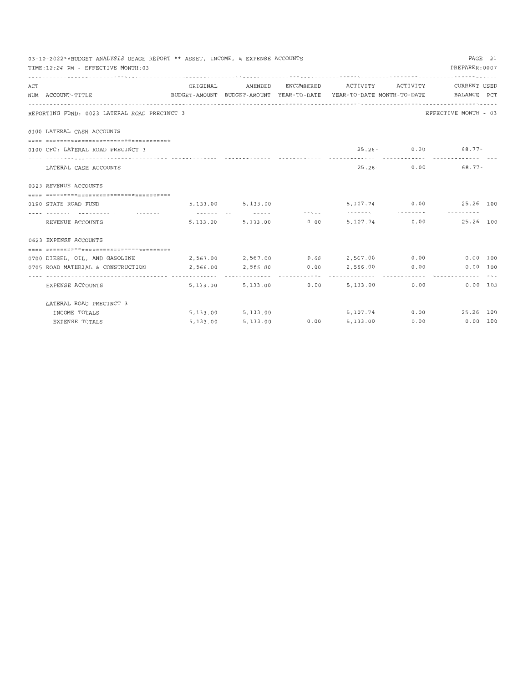|     | 03-10-2022**BUDGET ANALYSIS USAGE REPORT ** ASSET, INCOME, & EXPENSE ACCOUNTS                        |                                                            |                       |                                                |                                                      | PAGE 21 |
|-----|------------------------------------------------------------------------------------------------------|------------------------------------------------------------|-----------------------|------------------------------------------------|------------------------------------------------------|---------|
|     | TIME: 12:24 PM - EFFECTIVE MONTH: 03                                                                 |                                                            |                       |                                                | PREPARER: 0007                                       |         |
|     |                                                                                                      |                                                            |                       |                                                |                                                      |         |
| ACT |                                                                                                      | ORIGINAL                                                   | AMENDED               | ENCUMBERED ACTIVITY ACTIVITY CURRENT USED      |                                                      |         |
|     | BUDGET-AMOUNT BUDGET-AMOUNT YEAR-TO-DATE YEAR-TO-DATE MONTH-TO-DATE BALANCE PCT<br>NUM ACCOUNT-TITLE |                                                            |                       |                                                |                                                      |         |
|     |                                                                                                      |                                                            |                       |                                                |                                                      |         |
|     | REPORTING FUND: 0023 LATERAL ROAD PRECINCT 3                                                         |                                                            |                       |                                                | EFFECTIVE MONTH - 03                                 |         |
|     | 0100 LATERAL CASH ACCOUNTS                                                                           |                                                            |                       |                                                |                                                      |         |
|     |                                                                                                      |                                                            |                       |                                                |                                                      |         |
|     | 0100 CFC: LATERAL ROAD PRECINCT 3                                                                    |                                                            |                       |                                                | $25.26 - 0.00$ 68.77-<br>------------- ------------- |         |
|     | LATERAL CASH ACCOUNTS                                                                                |                                                            |                       |                                                | $25.26 - 0.00$ 68.77-                                |         |
|     | 0323 REVENUE ACCOUNTS                                                                                |                                                            |                       |                                                |                                                      |         |
|     |                                                                                                      |                                                            |                       |                                                |                                                      |         |
|     | 0190 STATE ROAD FUND                                                                                 |                                                            |                       | 5, 133.00 5, 133.00 5, 107.74 0.00 25.26 100   |                                                      |         |
|     |                                                                                                      |                                                            |                       |                                                |                                                      |         |
|     | REVENUE ACCOUNTS                                                                                     |                                                            |                       | 5,133.00 5,133.00 0.00 5,107.74 0.00 25.26 100 |                                                      |         |
|     | 0623 EXPENSE ACCOUNTS                                                                                |                                                            |                       |                                                |                                                      |         |
|     |                                                                                                      |                                                            |                       |                                                |                                                      |         |
|     | 0700 DIESEL, OIL, AND GASOLINE                                                                       | 2,567.00  2,567.00  0.00  2,567.00  0.00  0.00  0.00  0.00 |                       |                                                |                                                      |         |
|     |                                                                                                      |                                                            |                       |                                                | 0.00 100                                             |         |
|     | EXPENSE ACCOUNTS                                                                                     |                                                            |                       | 5,133.00 5,133.00 0.00 5,133.00 0.00 0.00      | 0.00 100                                             |         |
|     | LATERAL ROAD PRECINCT 3                                                                              |                                                            |                       |                                                |                                                      |         |
|     | INCOME TOTALS                                                                                        |                                                            | 5, 133, 00 5, 133. 00 | $5,107.74$ 0.00 25.26 100                      |                                                      |         |
|     | EXPENSE TOTALS                                                                                       | 5,133.00                                                   | 5, 133.00             | $0.00$ 5,133.00 0.00 0.00 100                  |                                                      |         |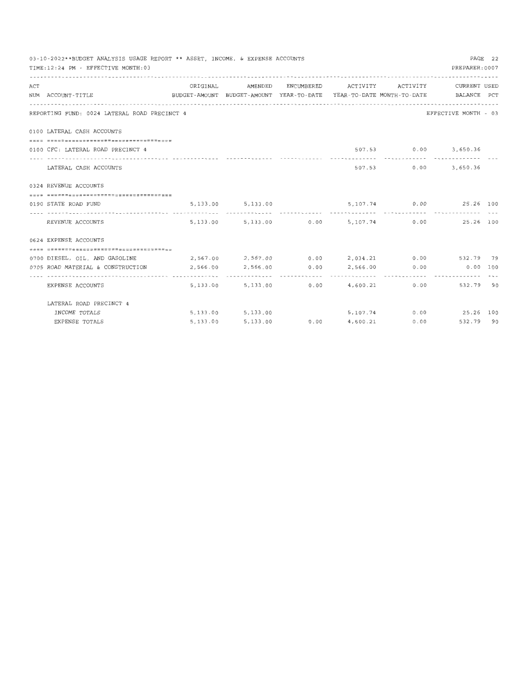|     | 03-10-2022**BUDGET ANALYSIS USAGE REPORT ** ASSET, INCOME, & EXPENSE ACCOUNTS                        |                                                      |                   |   |                          |                                                            | PAGE 22 |
|-----|------------------------------------------------------------------------------------------------------|------------------------------------------------------|-------------------|---|--------------------------|------------------------------------------------------------|---------|
|     | TIME:12:24 PM - EFFECTIVE MONTH:03                                                                   |                                                      |                   |   |                          | PREPARER: 0007                                             |         |
|     |                                                                                                      |                                                      |                   |   |                          |                                                            |         |
| ACT |                                                                                                      | ORIGINAL                                             | AMENDED           |   |                          | ENCUMBERED ACTIVITY ACTIVITY CURRENT USED                  |         |
|     | BUDGET-AMOUNT BUDGET-AMOUNT YEAR-TO-DATE YEAR-TO-DATE MONTH-TO-DATE BALANCE PCT<br>NUM ACCOUNT-TITLE |                                                      |                   |   |                          |                                                            |         |
|     |                                                                                                      |                                                      |                   |   |                          |                                                            |         |
|     | REPORTING FUND: 0024 LATERAL ROAD PRECINCT 4                                                         |                                                      |                   |   |                          | EFFECTIVE MONTH - 03                                       |         |
|     | 0100 LATERAL CASH ACCOUNTS                                                                           |                                                      |                   |   |                          |                                                            |         |
|     |                                                                                                      |                                                      |                   |   |                          |                                                            |         |
|     | 0100 CFC: LATERAL ROAD PRECINCT 4                                                                    |                                                      |                   |   |                          | 507.53 0.00 3,650.36                                       |         |
|     | LATERAL CASH ACCOUNTS                                                                                |                                                      |                   |   |                          | 507.53 0.00 3,650.36                                       |         |
|     | 0324 REVENUE ACCOUNTS                                                                                |                                                      |                   |   |                          |                                                            |         |
|     |                                                                                                      |                                                      |                   |   |                          |                                                            |         |
|     | 0190 STATE ROAD FUND                                                                                 |                                                      |                   |   |                          | 5, 133.00 5, 133.00 5, 107.74 0.00 25.26 100               |         |
|     |                                                                                                      |                                                      |                   |   |                          |                                                            |         |
|     | REVENUE ACCOUNTS                                                                                     |                                                      |                   |   |                          | 5,133.00 5,133.00 0.00 5,107.74 0.00 25.26 100             |         |
|     | 0624 EXPENSE ACCOUNTS                                                                                |                                                      |                   |   |                          |                                                            |         |
|     |                                                                                                      |                                                      |                   |   |                          |                                                            |         |
|     | 0700 DIESEL, OIL, AND GASOLINE                                                                       | 2,567.00  2,567.00  0.00  2,034.21  0.00  532.79  79 |                   |   |                          |                                                            |         |
|     | 0705 ROAD MATERIAL & CONSTRUCTION                                                                    |                                                      |                   |   |                          | 2,566.00  2,566.00  0.00  2,566.00  0.00  0.00  0.00  0.00 |         |
|     | EXPENSE ACCOUNTS                                                                                     | .                                                    |                   | . |                          | 5,133.00 5,133.00 0.00 4,600.21 0.00 532.79 90             |         |
|     | LATERAL ROAD PRECINCT 4                                                                              |                                                      |                   |   |                          |                                                            |         |
|     | INCOME TOTALS                                                                                        |                                                      | 5,133.00 5,133.00 |   |                          | $5,107.74$ 0.00 25.26 100                                  |         |
|     | EXPENSE TOTALS                                                                                       | 5,133.00                                             | 5,133.00          |   | $0.00$ $4.600.21$ $0.00$ | 532.79 90                                                  |         |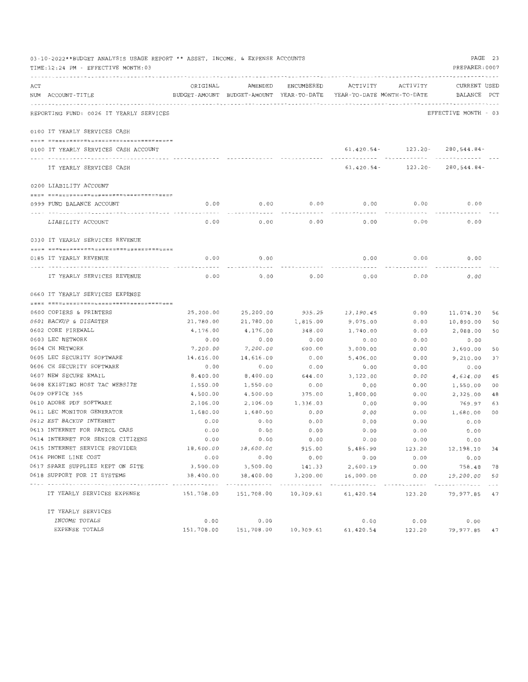|     | 03-10-2022**BUDGET ANALYSIS USAGE REPORT ** ASSET, INCOME, & EXPENSE ACCOUNTS<br>TIME: 12:24 PM - EFFECTIVE MONTH: 03 |           |                                                     |               |                                        |          | PAGE 23<br>PREPARER: 0007   |    |
|-----|-----------------------------------------------------------------------------------------------------------------------|-----------|-----------------------------------------------------|---------------|----------------------------------------|----------|-----------------------------|----|
| ACT | NUM ACCOUNT-TITLE                                                                                                     | ORIGINAL  | AMENDED<br>BUDGET-AMOUNT BUDGET-AMOUNT YEAR-TO-DATE | ENCUMBERED    | ACTIVITY<br>YEAR-TO-DATE MONTH-TO-DATE | ACTIVITY | CURRENT USED<br>BALANCE PCT |    |
|     | REPORTING FUND: 0026 IT YEARLY SERVICES                                                                               |           |                                                     |               |                                        |          | EFFECTIVE MONTH - 03        |    |
|     | 0100 IT YEARLY SERVICES CASH                                                                                          |           |                                                     |               |                                        |          |                             |    |
|     | 0100 IT YEARLY SERVICES CASH ACCOUNT                                                                                  |           |                                                     |               | $61,420.54-$                           | 123.20-  | 280,544.84-                 |    |
|     | IT YEARLY SERVICES CASH                                                                                               |           |                                                     |               | $61,420.54-$                           | 123.20-  | 280,544.84-                 |    |
|     | 0200 LIABILITY ACCOUNT                                                                                                |           |                                                     |               |                                        |          |                             |    |
|     |                                                                                                                       |           |                                                     |               |                                        |          |                             |    |
|     | 0999 FUND BALANCE ACCOUNT                                                                                             | 0.00      | 0.00                                                | 0.00          | 0.00                                   | 0.00     | 0.00                        |    |
|     | LIABILITY ACCOUNT                                                                                                     | 0.00      | 0.00                                                | 0.00          | 0.00                                   | 0.00     | 0.00                        |    |
|     | 0330 IT YEARLY SERVICES REVENUE                                                                                       |           |                                                     |               |                                        |          |                             |    |
|     |                                                                                                                       |           |                                                     |               |                                        |          |                             |    |
|     | 0185 IT YEARLY REVENUE                                                                                                | 0.00      | 0.00                                                |               | 0.00                                   | 0.00     | 0.00                        |    |
|     | IT YEARLY SERVICES REVENUE                                                                                            | 0.00      | 0.00                                                | 0.00          | 0.00                                   | 0.00     | 0.00                        |    |
|     | 0660 IT YEARLY SERVICES EXPENSE                                                                                       |           |                                                     |               |                                        |          |                             |    |
|     |                                                                                                                       |           |                                                     |               |                                        |          |                             |    |
|     | 0600 COPIERS & PRINTERS                                                                                               | 25,200.00 | 25,200.00                                           | 935.25        | 13,190.45                              | 0.00     | 11,074.30                   | 56 |
|     | 0601 BACKUP & DISASTER                                                                                                | 21,780.00 | 21,780.00                                           | 1,815.00      | 9,075.00                               | 0.00     | 10,890.00                   | 50 |
|     | 0602 CORE FIREWALL                                                                                                    | 4,176.00  | 4,176.00                                            | 348.00        | 1,740.00                               | 0.00     | 2,088.00                    | 50 |
|     | 0603 LEC NETWORK                                                                                                      | 0.00      | 0.00                                                | 0.00          | 0.00                                   | 0.00     | 0.00                        |    |
|     | 0604 CH NETWORK                                                                                                       | 7,200.00  | 7,200.00                                            | 600.00        | 3,000.00                               | 0.00     | 3,600.00                    | 50 |
|     | 0605 LEC SECURITY SOFTWARE                                                                                            | 14,616.00 | 14,616.00                                           | 0.00          | 5,406.00                               | 0.00     | 9,210.00                    | 37 |
|     | 0606 CH SECURITY SOFTWARE                                                                                             | 0.00      | 0.00                                                | 0.00          | 0.00                                   | 0.00     | 0.00                        |    |
|     | 0607 NEW SECURE EMAIL                                                                                                 | 8,400.00  | 8,400.00                                            | 644.00        | 3,122.00                               | 0.00     | 4,634.00                    | 45 |
|     | 0608 EXISTING HOST TAC WEBSITE                                                                                        | 1,550.00  | 1,550.00                                            | 0.00          | 0.00                                   | 0.00     | 1,550.00                    | 00 |
|     | 0609 OFFICE 365                                                                                                       | 4,500.00  | 4,500.00                                            | 375.00        | 1,800.00                               | 0.00     | 2,325.00                    | 48 |
|     | 0610 ADOBE PDF SOFTWARE                                                                                               | 2,106.00  | 2,106.00                                            | 1,336.03      | 0.00                                   | 0.00     | 769.97                      | 63 |
|     | 0611 LEC MONITOR GENERATOR                                                                                            | 1,680.00  | 1,680.00                                            | 0.00          | 0.00                                   | 0.00     | 1,680.00                    | 00 |
|     | 0612 EST BACKUP INTERNET                                                                                              | 0.00      | 0.00                                                | 0.00          | 0.00                                   | 0.00     | 0.00                        |    |
|     | 0613 INTERNET FOR PATROL CARS                                                                                         | 0.00      | 0.00                                                | 0.00          | 0.00                                   | 0.00     | 0.00                        |    |
|     | 0614 INTERNET FOR SENIOR CITIZENS                                                                                     | 0.00      | 0.00                                                | 0.00          | 0.00                                   | 0.00     | 0.00                        |    |
|     | 0615 INTERNET SERVICE PROVIDER                                                                                        | 18,600.00 | 18,600.00                                           | 915.00        | 5,486.90                               | 123.20   | 12,198.10 34                |    |
|     | 0616 PHONE LINE COST                                                                                                  | 0.00      | 0.00                                                | 0.00          | 0.00                                   | 0.00     | 0.00                        |    |
|     | 0617 SPARE SUPPLIES KEPT ON SITE                                                                                      |           | 3,500.00 3,500.00                                   | 141.33        | 2,600.19                               | 0.00     | 758.48 78                   |    |
|     | 0618 SUPPORT FOR IT SYSTEMS<br>------------------------------                                                         | 38,400.00 | 38,400.00<br>. <i>.</i> .                           | 3,200.00<br>. | 16,000.00                              | 0.00     | 19,200.00                   | 50 |
|     | IT YEARLY SERVICES EXPENSE                                                                                            |           | 151,708.00 151,708.00                               | 10,309.61     | 61,420.54                              | 123.20   | 79,977.85 47                |    |
|     | IT YEARLY SERVICES                                                                                                    |           |                                                     |               |                                        |          |                             |    |
|     | INCOME TOTALS                                                                                                         | 0.00      | 0.00                                                |               | 0.00                                   | 0.00     | 0.00                        |    |
|     | EXPENSE TOTALS                                                                                                        |           | 151,708.00 151,708.00 10,309.61                     |               | 61,420.54                              | 123.20   | 79,977.85 47                |    |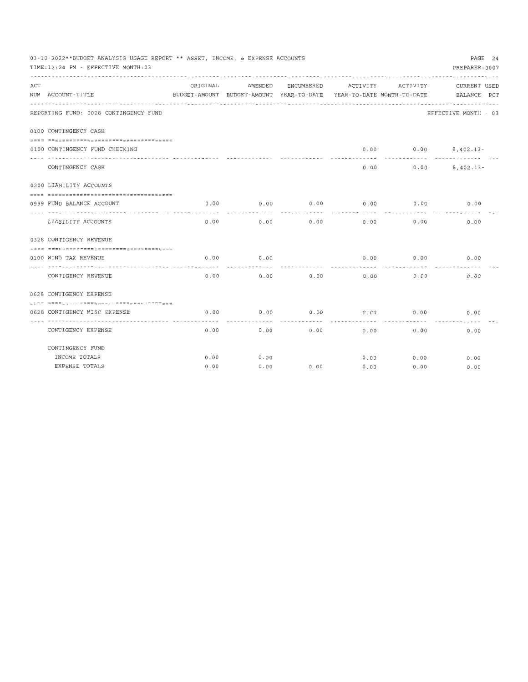|     | PAGE 24<br>03-10-2022**BUDGET ANALYSIS USAGE REPORT ** ASSET, INCOME, & EXPENSE ACCOUNTS<br>PREPARER: 0007<br>TIME:12:24 PM - EFFECTIVE MONTH:03 |          |         |            |                                                                                 |                   |                             |  |  |
|-----|--------------------------------------------------------------------------------------------------------------------------------------------------|----------|---------|------------|---------------------------------------------------------------------------------|-------------------|-----------------------------|--|--|
| ACT | NUM ACCOUNT-TITLE                                                                                                                                | ORIGINAL | AMENDED | ENCUMBERED | ACTIVITY<br>BUDGET-AMOUNT BUDGET-AMOUNT YEAR-TO-DATE YEAR-TO-DATE MONTH-TO-DATE | ACTIVITY          | CURRENT USED<br>BALANCE PCT |  |  |
|     | REPORTING FUND: 0028 CONTINGENCY FUND                                                                                                            |          |         |            |                                                                                 |                   | EFFECTIVE MONTH - 03        |  |  |
|     | 0100 CONTINGENCY CASH                                                                                                                            |          |         |            |                                                                                 |                   |                             |  |  |
|     | ================================                                                                                                                 |          |         |            |                                                                                 |                   |                             |  |  |
|     | 0100 CONTINGENCY FUND CHECKING                                                                                                                   |          |         |            | 0.00                                                                            | 0.00<br>--------- | $8,402.13-$                 |  |  |
|     | CONTINGENCY CASH                                                                                                                                 |          |         |            | 0.00                                                                            |                   | 0.00<br>$8,402.13 -$        |  |  |
|     | 0200 LIABILITY ACCOUNTS                                                                                                                          |          |         |            |                                                                                 |                   |                             |  |  |
|     | ------------------------------------                                                                                                             |          |         |            |                                                                                 |                   |                             |  |  |
|     | 0999 FUND BALANCE ACCOUNT                                                                                                                        | 0.00     | 0.00    | 0.00       | 0.00                                                                            | 0.00              | 0.00                        |  |  |
|     | .<br>LIABILITY ACCOUNTS                                                                                                                          | 0.00     | 0.00    | 0.00       | 0.00                                                                            | 0.00              | 0.00                        |  |  |
|     | 0328 CONTIGENCY REVENUE                                                                                                                          |          |         |            |                                                                                 |                   |                             |  |  |
|     | -------------------------------------                                                                                                            |          |         |            |                                                                                 |                   |                             |  |  |
|     | 0100 WIND TAX REVENUE                                                                                                                            | 0.00     | 0.00    |            | 0.00                                                                            | 0.00              | 0.00                        |  |  |
|     | -------------------------------<br>CONTIGENCY REVENUE                                                                                            | 0.00     | 0.00    | 0.00       | 0.00                                                                            | 0.00              | 0.00                        |  |  |
|     | 0628 CONTIGENCY EXPENSE                                                                                                                          |          |         |            |                                                                                 |                   |                             |  |  |
|     | -----+===============================                                                                                                            |          |         |            |                                                                                 |                   |                             |  |  |
|     | 0628 CONTIGENCY MISC EXPENSE                                                                                                                     | 0.00     | 0.00    | 0.00       | 0.00                                                                            | 0.00              | 0.00                        |  |  |
|     | CONTIGENCY EXPENSE                                                                                                                               | 0.00     | 0.00    | 0.00       | 0.00                                                                            | 0.00              | 0.00                        |  |  |
|     | CONTINGENCY FUND                                                                                                                                 |          |         |            |                                                                                 |                   |                             |  |  |
|     | INCOME TOTALS                                                                                                                                    | 0.00     | 0.00    |            | 0.00                                                                            | 0.00              | 0.00                        |  |  |
|     | EXPENSE TOTALS                                                                                                                                   | 0.00     | 0.00    | 0.00       | 0.00                                                                            | 0.00              | 0.00                        |  |  |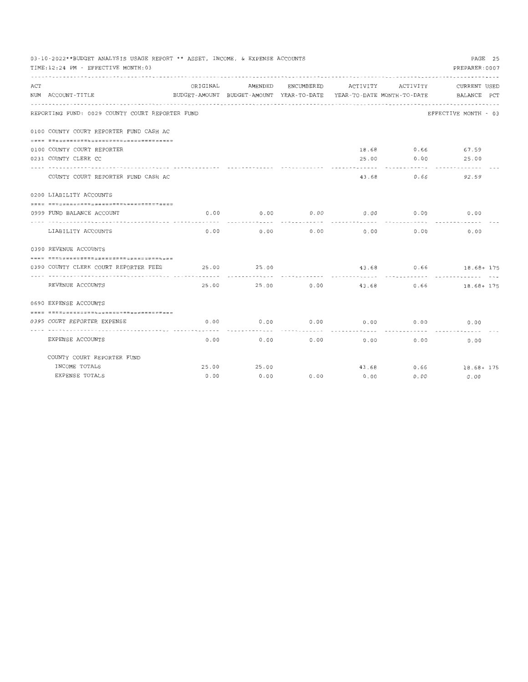|     | PAGE 25<br>03-10-2022**BUDGET ANALYSIS USAGE REPORT ** ASSET, INCOME, & EXPENSE ACCOUNTS<br>PREPARER: 0007<br>TIME:12:24 PM - EFFECTIVE MONTH:03 |          |         |            |       |                       |                                                                                 |  |  |  |
|-----|--------------------------------------------------------------------------------------------------------------------------------------------------|----------|---------|------------|-------|-----------------------|---------------------------------------------------------------------------------|--|--|--|
|     |                                                                                                                                                  |          |         |            |       |                       |                                                                                 |  |  |  |
| ACT |                                                                                                                                                  | ORIGINAL | AMENDED | ENCUMBERED |       | ACTIVITY ACTIVITY     | CURRENT USED                                                                    |  |  |  |
|     | NUM ACCOUNT-TITLE                                                                                                                                |          |         |            |       |                       | BUDGET-AMOUNT BUDGET-AMOUNT YEAR-TO-DATE YEAR-TO-DATE MONTH-TO-DATE BALANCE PCT |  |  |  |
|     | REPORTING FUND: 0029 COUNTY COURT REPORTER FUND                                                                                                  |          |         |            |       |                       | EFFECTIVE MONTH - 03                                                            |  |  |  |
|     | 0100 COUNTY COURT REPORTER FUND CASH AC                                                                                                          |          |         |            |       |                       |                                                                                 |  |  |  |
|     |                                                                                                                                                  |          |         |            |       |                       |                                                                                 |  |  |  |
|     | 0100 COUNTY COURT REPORTER                                                                                                                       |          |         |            |       |                       | 18.68 0.66 67.59                                                                |  |  |  |
|     | 0231 COUNTY CLERK CC                                                                                                                             |          |         |            | 25.00 |                       | $0.00$ 25.00                                                                    |  |  |  |
|     | COUNTY COURT REPORTER FUND CASH AC                                                                                                               |          |         |            | 43.68 | 0.66                  | 92.59                                                                           |  |  |  |
|     | 0200 LIABILITY ACCOUNTS                                                                                                                          |          |         |            |       |                       |                                                                                 |  |  |  |
|     | ------------------------------------                                                                                                             |          |         |            |       |                       |                                                                                 |  |  |  |
|     | 0999 FUND BALANCE ACCOUNT<br>--------------------------------- ----                                                                              | 0.00     | 0.00    | 0.00       | 0.00  | 0.00                  | 0.00                                                                            |  |  |  |
|     | LIABILITY ACCOUNTS                                                                                                                               | 0.00     | 0.00    | 0.00       | 0.00  | 0.00                  | 0.00                                                                            |  |  |  |
|     | 0390 REVENUE ACCOUNTS                                                                                                                            |          |         |            |       |                       |                                                                                 |  |  |  |
|     |                                                                                                                                                  |          |         |            |       |                       |                                                                                 |  |  |  |
|     | 0390 COUNTY CLERK COURT REPORTER FEES                                                                                                            | 25.00    | 25.00   |            |       | 43.68 0.66<br>------- | 18.68+ 175                                                                      |  |  |  |
|     | REVENUE ACCOUNTS                                                                                                                                 | 25.00    | 25,00   | 0.00       | 43.68 | 0.66                  | 18.68+ 175                                                                      |  |  |  |
|     | 0690 EXPENSE ACCOUNTS                                                                                                                            |          |         |            |       |                       |                                                                                 |  |  |  |
|     |                                                                                                                                                  |          |         |            |       |                       |                                                                                 |  |  |  |
|     | 0395 COURT REPORTER EXPENSE                                                                                                                      | 0.00     | 0.00    | 0.00       | 0.00  | 0.00                  | 0.00                                                                            |  |  |  |
|     | EXPENSE ACCOUNTS                                                                                                                                 | 0.00     | 0.00    | 0.00       | 0.00  | 0.00                  | 0.00                                                                            |  |  |  |
|     | COUNTY COURT REPORTER FUND                                                                                                                       |          |         |            |       |                       |                                                                                 |  |  |  |
|     | INCOME TOTALS                                                                                                                                    | 25.00    | 25.00   |            |       |                       | 43.68 0.66 18.68+ 175                                                           |  |  |  |
|     | EXPENSE TOTALS                                                                                                                                   | 0.00     | 0.00    | 0.00       | 0.00  | 0.00                  | 0.00                                                                            |  |  |  |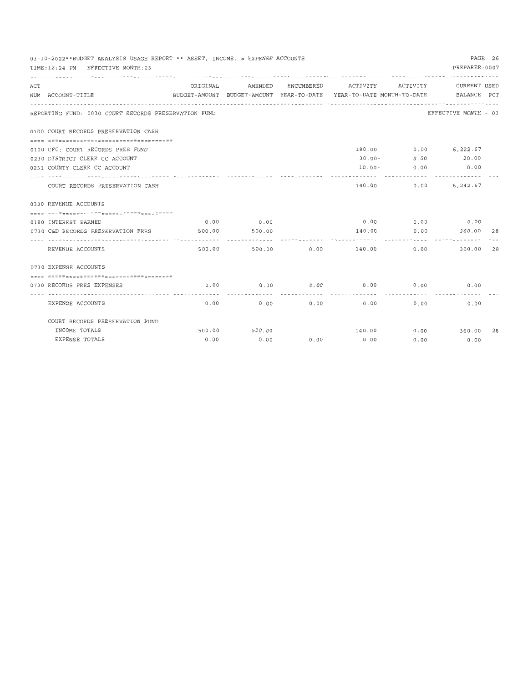|     | PAGE 26<br>03-10-2022**BUDGET ANALYSIS USAGE REPORT ** ASSET, INCOME, & EXPENSE ACCOUNTS<br>PREPARER: 0007<br>TIME:12:24 PM - EFFECTIVE MONTH:03<br>AMENDED ENCUMBERED ACTIVITY ACTIVITY |                                                                                             |               |             |                                 |        |                             |    |  |
|-----|------------------------------------------------------------------------------------------------------------------------------------------------------------------------------------------|---------------------------------------------------------------------------------------------|---------------|-------------|---------------------------------|--------|-----------------------------|----|--|
| ACT | NUM ACCOUNT-TITLE                                                                                                                                                                        | ORIGINAL<br>BUDGET-AMOUNT BUDGET-AMOUNT YEAR-TO-DATE YEAR-TO-DATE MONTH-TO-DATE BALANCE PCT |               |             |                                 |        | CURRENT USED                |    |  |
|     | REPORTING FUND: 0030 COURT RECORDS PRESERVATION FUND                                                                                                                                     |                                                                                             |               |             |                                 |        | EFFECTIVE MONTH - 03        |    |  |
|     | 0100 COURT RECORDS PRESERVATION CASH                                                                                                                                                     |                                                                                             |               |             |                                 |        |                             |    |  |
|     | 0100 CFC: COURT RECORDS PRES FUND                                                                                                                                                        |                                                                                             |               |             |                                 |        | 180.00 0.00 6,222.67        |    |  |
|     | 0230 DISTRICT CLERK CC ACCOUNT                                                                                                                                                           |                                                                                             |               |             |                                 |        | 30.00 - 0.00 20.00          |    |  |
|     | 0231 COUNTY CLERK CC ACCOUNT                                                                                                                                                             |                                                                                             |               |             |                                 |        | $10.00 - 0.00$ 0.00         |    |  |
|     | COURT RECORDS PRESERVATION CASH                                                                                                                                                          |                                                                                             |               |             |                                 | .      | 140.00 0.00 6,242.67        |    |  |
|     | 0330 REVENUE ACCOUNTS                                                                                                                                                                    |                                                                                             |               |             |                                 |        |                             |    |  |
|     | =====================================                                                                                                                                                    |                                                                                             |               |             |                                 |        |                             |    |  |
|     | 0180 INTEREST EARNED                                                                                                                                                                     |                                                                                             | $0.00$ 0.00   |             |                                 |        | $0.00$ $0.00$ $0.00$ $0.00$ |    |  |
|     | 0730 C&D RECORDS PRESERVATION FEES 500.00 500.00                                                                                                                                         |                                                                                             |               |             | 140.00<br>---------------       |        | $0.00$ 360.00 28<br>        |    |  |
|     | REVENUE ACCOUNTS                                                                                                                                                                         |                                                                                             | 500.00        | 500.00 0.00 |                                 | 140.00 | 0.00<br>360.00              | 28 |  |
|     | 0730 EXPENSE ACCOUNTS                                                                                                                                                                    |                                                                                             |               |             |                                 |        |                             |    |  |
|     | ------------------------------------                                                                                                                                                     |                                                                                             |               |             |                                 |        |                             |    |  |
|     | 0730 RECORDS PRES EXPENSES                                                                                                                                                               |                                                                                             |               |             | $0.00$ 0.00 0.00 0.00 0.00 0.00 |        | 0.00                        |    |  |
|     | EXPENSE ACCOUNTS                                                                                                                                                                         | 0.00                                                                                        | -----------   | 0.00        | 0.00<br>0.00                    |        | 0.00<br>0.00                |    |  |
|     | COURT RECORDS PRESERVATION FUND                                                                                                                                                          |                                                                                             |               |             |                                 |        |                             |    |  |
|     | INCOME TOTALS                                                                                                                                                                            |                                                                                             | 500.00 500.00 |             |                                 |        | 140.00   0.00   360.00   28 |    |  |
|     | EXPENSE TOTALS                                                                                                                                                                           | 0.00                                                                                        | 0.00          | 0.00        | 0.00                            | 0.00   | 0.00                        |    |  |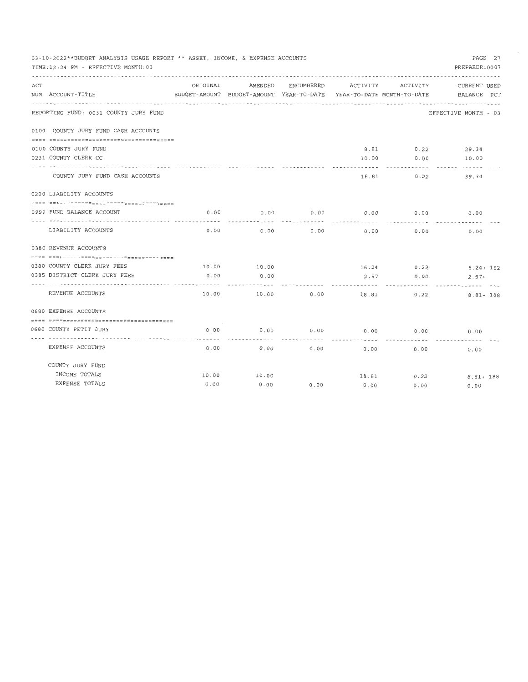|     | 03-10-2022**BUDGET ANALYSIS USAGE REPORT ** ASSET, INCOME, & EXPENSE ACCOUNTS |          |                                          |            |                            |            | PAGE 27              |
|-----|-------------------------------------------------------------------------------|----------|------------------------------------------|------------|----------------------------|------------|----------------------|
|     | TIME: 12:24 PM - EFFECTIVE MONTH: 03                                          |          |                                          |            |                            |            | PREPARER: 0007       |
|     |                                                                               |          |                                          |            |                            |            |                      |
| ACT |                                                                               | ORIGINAL | AMENDED                                  | ENCUMBERED | ACTIVITY                   | ACTIVITY   | CURRENT USED         |
|     | NUM ACCOUNT-TITLE                                                             |          | BUDGET-AMOUNT BUDGET-AMOUNT YEAR-TO-DATE |            | YEAR-TO-DATE MONTH-TO-DATE |            | BALANCE PCT          |
|     |                                                                               |          |                                          |            |                            |            |                      |
|     | REPORTING FUND: 0031 COUNTY JURY FUND                                         |          |                                          |            |                            |            | EFFECTIVE MONTH - 03 |
|     | 0100 COUNTY JURY FUND CASH ACCOUNTS                                           |          |                                          |            |                            |            |                      |
|     |                                                                               |          |                                          |            |                            |            |                      |
|     | 0100 COUNTY JURY FUND                                                         |          |                                          |            | 8.81                       | 0.22       | 29.34                |
|     | 0231 COUNTY CLERK CC                                                          |          |                                          |            | 10.00                      | 0.00       | 10.00                |
|     |                                                                               |          |                                          |            |                            |            |                      |
|     | COUNTY JURY FUND CASH ACCOUNTS                                                |          |                                          |            | 18.81                      | 0.22       | 39.34                |
|     | 0200 LIABILITY ACCOUNTS                                                       |          |                                          |            |                            |            |                      |
|     |                                                                               |          |                                          |            |                            |            |                      |
|     | 0999 FUND BALANCE ACCOUNT                                                     | 0.00     | 0.00                                     | 0.00       | 0.00                       | 0.00       | 0.00                 |
|     |                                                                               |          |                                          |            |                            |            |                      |
|     | LIABILITY ACCOUNTS                                                            | 0.00     | 0.00                                     | 0.00       | 0.00                       | 0.00       | 0.00                 |
|     | 0380 REVENUE ACCOUNTS                                                         |          |                                          |            |                            |            |                      |
|     |                                                                               |          |                                          |            |                            |            |                      |
|     | 0380 COUNTY CLERK JURY FEES                                                   | 10.00    | 10.00                                    |            |                            | 16.24 0.22 | $6.24 + 162$         |
|     | 0385 DISTRICT CLERK JURY FEES                                                 | 0.00     | 0.00                                     |            | 2.57                       | 0.00       | $2.57+$              |
|     |                                                                               |          |                                          |            |                            |            |                      |
|     | REVENUE ACCOUNTS                                                              | 10.00    | 10.00                                    | 0.00       | 18.81                      | 0.22       | $8.81 + 188$         |
|     | 0680 EXPENSE ACCOUNTS                                                         |          |                                          |            |                            |            |                      |
|     |                                                                               |          |                                          |            |                            |            |                      |
|     | 0680 COUNTY PETIT JURY                                                        | 0.00     | 0.00                                     | 0.00       | 0.00                       | 0.00       | 0.00                 |
|     | EXPENSE ACCOUNTS                                                              | 0.00     | 0.00                                     | 0.00       | 0.00                       | 0.00       | 0.00                 |
|     | COUNTY JURY FUND                                                              |          |                                          |            |                            |            |                      |
|     | INCOME TOTALS                                                                 | 10.00    | 10.00                                    |            | 18.81                      | 0.22       | $8.81 + 188$         |
|     | EXPENSE TOTALS                                                                | 0.00     | 0.00                                     | 0.00       | 0.00                       | 0.00       | 0.00                 |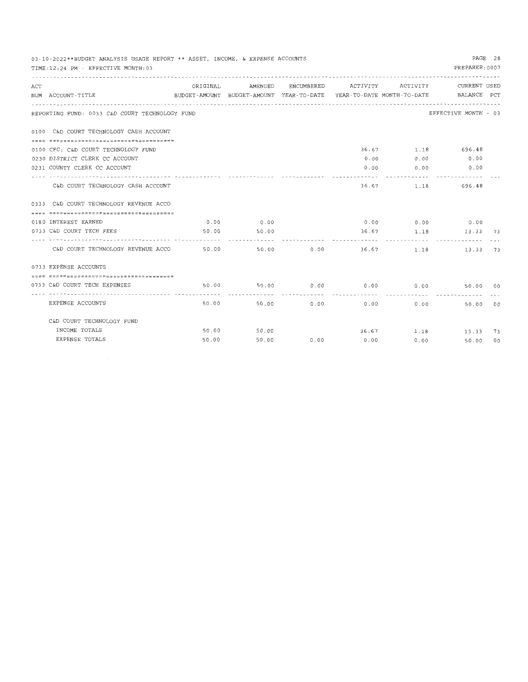|     | PAGE 28<br>03-10-2022**BUDGET ANALYSIS USAGE REPORT ** ASSET, INCOME, & EXPENSE ACCOUNTS<br>PREPARER: 0007<br>TIME: 12:24 PM - EFFECTIVE MONTH: 03 |       |             |            |                       |              |                                                            |  |  |
|-----|----------------------------------------------------------------------------------------------------------------------------------------------------|-------|-------------|------------|-----------------------|--------------|------------------------------------------------------------|--|--|
| ACT |                                                                                                                                                    |       |             |            |                       |              | ORIGINAL AMENDED ENCUMBERED ACTIVITY ACTIVITY CURRENT USED |  |  |
|     | BUDGET-AMOUNT BUDGET-AMOUNT YEAR-TO-DATE YEAR-TO-DATE MONTH-TO-DATE BALANCE PCT<br>NUM ACCOUNT-TITLE                                               |       |             |            |                       |              |                                                            |  |  |
|     | REPORTING FUND: 0033 C&D COURT TECHNOLOGY FUND                                                                                                     |       |             |            |                       |              | EFFECTIVE MONTH - 03                                       |  |  |
|     | 0100 C&D COURT TECHNOLOGY CASH ACCOUNT                                                                                                             |       |             |            |                       |              |                                                            |  |  |
|     |                                                                                                                                                    |       |             |            |                       |              |                                                            |  |  |
|     | 0100 CFC: C&D COURT TECHNOLOGY FUND                                                                                                                |       |             |            |                       |              | 36.67 1.18 696.48                                          |  |  |
|     | 0230 DISTRICT CLERK CC ACCOUNT                                                                                                                     |       |             |            |                       | 0.00<br>0.00 | 0.00                                                       |  |  |
|     | 0231 COUNTY CLERK CC ACCOUNT                                                                                                                       |       |             |            | ------- <i>------</i> |              | $0.00$ 0.00 0.00<br>------------- --------------           |  |  |
|     | C&D COURT TECHNOLOGY CASH ACCOUNT                                                                                                                  |       |             |            |                       |              | 36.67 1.18 696.48                                          |  |  |
|     | 0333 C&D COURT TECHNOLOGY REVENUE ACCO                                                                                                             |       |             |            |                       |              |                                                            |  |  |
|     |                                                                                                                                                    |       |             |            |                       |              |                                                            |  |  |
|     | 0180 INTEREST EARNED                                                                                                                               |       | $0.00$ 0.00 |            |                       |              | $0.00$ $0.00$ $0.00$ $0.00$                                |  |  |
|     | 0733 C&D COURT TECH FEES                                                                                                                           |       | 50.00 50.00 |            |                       |              | 36.67 1.18 13.33 73                                        |  |  |
|     |                                                                                                                                                    |       |             |            |                       |              |                                                            |  |  |
|     | C&D COURT TECHNOLOGY REVENUE ACCO 50.00 50.00 0.00 36.67 1.18 13.33 73                                                                             |       |             |            |                       |              |                                                            |  |  |
|     | 0733 EXPENSE ACCOUNTS                                                                                                                              |       |             |            |                       |              |                                                            |  |  |
|     | -------------------------------------                                                                                                              |       |             |            |                       |              |                                                            |  |  |
|     | 0733 C&D COURT TECH EXPENSES                                                                                                                       |       |             |            |                       |              | 50.00 50.00 0.00 0.00 0.00 0.00 50.00 00                   |  |  |
|     |                                                                                                                                                    |       |             |            |                       |              |                                                            |  |  |
|     | EXPENSE ACCOUNTS                                                                                                                                   |       | 50.00       | 50.00 0.00 |                       | 0.00         | 0.00<br>50.00 00                                           |  |  |
|     | C&D COURT TECHNOLOGY FUND                                                                                                                          |       |             |            |                       |              |                                                            |  |  |
|     | INCOME TOTALS                                                                                                                                      |       | 50.00 50.00 |            |                       |              | 36.67 1.18 13.33 73                                        |  |  |
|     | EXPENSE TOTALS                                                                                                                                     | 50.00 | 50.00       | 0.00       | 0.00                  | 0.00         | 50.00 00                                                   |  |  |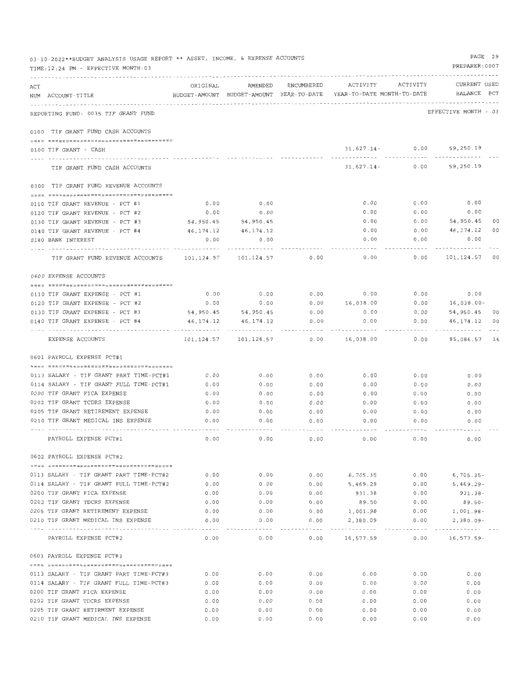|     | 03-10-2022**BUDGET ANALYSIS USAGE REPORT ** ASSET, INCOME, & EXPENSE ACCOUNTS<br>TIME:12:24 PM - EFFECTIVE MONTH:03 |              |                         |             |                                                                                                             |                     | PAGE 29<br>PREPARER: 0007    |    |
|-----|---------------------------------------------------------------------------------------------------------------------|--------------|-------------------------|-------------|-------------------------------------------------------------------------------------------------------------|---------------------|------------------------------|----|
| ACT | NUM ACCOUNT-TITLE                                                                                                   | ORIGINAL     |                         |             | AMENDED ENCUMBERED ACTIVITY ACTIVITY<br>BUDGET-AMOUNT BUDGET-AMOUNT YEAR-TO-DATE YEAR-TO-DATE MONTH-TO-DATE |                     | CURRENT USED<br>BALANCE PCT  |    |
|     | REPORTING FUND: 0035 TIF GRANT FUND                                                                                 |              |                         |             |                                                                                                             |                     | EFFECTIVE MONTH - 03         |    |
|     | 0100 TIF GRANT FUND CASH ACCOUNTS                                                                                   |              |                         |             |                                                                                                             |                     |                              |    |
|     | 0100 TIF GRANT - CASH                                                                                               |              |                         |             |                                                                                                             |                     | $31,627.14 - 0.00$ 59,250.19 |    |
|     | TIF GRANT FUND CASH ACCOUNTS                                                                                        |              |                         |             |                                                                                                             |                     | $31,627.14 - 0.00$ 59,250.19 |    |
|     | 0300 TIF GRANT FUND REVENUE ACCOUNTS                                                                                |              |                         |             |                                                                                                             |                     |                              |    |
|     |                                                                                                                     |              |                         |             |                                                                                                             |                     |                              |    |
|     | 0110 TIF GRANT REVENUE - PCT #1                                                                                     | 0.00         | 0.00                    |             | 0.00                                                                                                        | 0.00                | 0.00                         |    |
|     | 0120 TIF GRANT REVENUE - PCT #2                                                                                     | 0.00         | 0.00                    |             | 0.00                                                                                                        | 0.00                | 0.00                         |    |
|     | 0130 TIF GRANT REVENUE - PCT #3                                                                                     | 54,950.45    | 54,950.45               |             | 0.00                                                                                                        | 0.00                | 54,950.45                    | 00 |
|     | 0140 TIF GRANT REVENUE - PCT #4                                                                                     |              | 46, 174. 12 46, 174. 12 |             | 0.00                                                                                                        |                     | $0.00$ $46,174.12$           | 00 |
|     | 0180 BANK INTEREST                                                                                                  | 0.00         | 0.00                    |             | 0.00                                                                                                        | 0.00                | 0.00                         |    |
|     | TIF GRANT FUND REVENUE ACCOUNTS 101,124.57 101,124.57                                                               |              |                         | 0.00        | 0.00                                                                                                        | 0.00                | 101,124.57 00                |    |
|     | 0600 EXPENSE ACCOUNTS                                                                                               |              |                         |             |                                                                                                             |                     |                              |    |
|     | 0110 TIF GRANT EXPENSE - PCT #1                                                                                     |              | 0.00                    | 0.00        | 0.00                                                                                                        | 0.00                | 0.00                         |    |
|     | 0120 TIF GRANT EXPENSE - PCT #2                                                                                     | 0.00<br>0.00 | 0.00                    |             | $0.00$ 16,038.00                                                                                            | 0.00                | 16,038.00-                   |    |
|     | 0130 TIF GRANT EXPENSE - PCT #3                                                                                     | 54,950.45    | 54,950.45               | 0.00        | 0.00                                                                                                        | 0.00                | 54,950.45                    | 00 |
|     | 0140 TIF GRANT EXPENSE - PCT #4                                                                                     |              |                         | 0.00        | 0.00                                                                                                        | 0.00                | 46, 174. 12 00               |    |
|     |                                                                                                                     | 46,174.12    | 46,174.12               |             |                                                                                                             |                     |                              |    |
|     | EXPENSE ACCOUNTS                                                                                                    |              |                         | 0.00        | 16,038.00                                                                                                   | 0.00                | 85,086.57 16                 |    |
|     | 0601 PAYROLL EXPENSE PCT#1                                                                                          |              |                         |             |                                                                                                             |                     |                              |    |
|     | 0113 SALARY - TIF GRANT PART TIME-PCT#1                                                                             | 0.00         | 0.00                    | 0.00        | 0.00                                                                                                        | 0.00                | 0.00                         |    |
|     | 0114 SALARY - TIF GRANT FULL TIME-PCT#1                                                                             | 0.00         | 0.00                    | 0.00        | 0.00                                                                                                        | 0.00                |                              |    |
|     | 0200 TIF GRANT FICA EXPENSE                                                                                         | 0.00         |                         |             |                                                                                                             |                     | 0.00                         |    |
|     | 0202 TIF GRANT TCDRS EXPENSE                                                                                        |              | 0.00                    | 0.00        | 0.00                                                                                                        | 0.00                | 0.00                         |    |
|     | 0205 TIF GRANT RETIREMENT EXPENSE                                                                                   | 0.00         | 0.00                    | 0.00        | 0.00                                                                                                        | 0.00                | 0.00                         |    |
|     | 0210 TIF GRANT MEDICAL INS EXPENSE                                                                                  | 0.00<br>0.00 | 0.00                    | 0.00        | 0.00                                                                                                        | 0.00                | 0.00                         |    |
|     |                                                                                                                     |              | 0.00                    | 0.00        | 0.00                                                                                                        | 0.00                | 0.00                         |    |
|     | PAYROLL EXPENSE PCT#1                                                                                               | 0.00         | 0.00                    | 0.00        | 0.00                                                                                                        | 0.00                | 0.00                         |    |
|     | 0602 PAYROLL EXPENSE PCT#2                                                                                          |              |                         |             |                                                                                                             |                     |                              |    |
|     | 0113 SALARY - TIF GRANT PART TIME-PCT#2                                                                             | 0.00         | 0.00                    | 0.00        | 6,705.35                                                                                                    | 0.00                | $6,705.35-$                  |    |
|     | 0114 SALARY - TIF GRANT FULL TIME-PCT#2                                                                             | 0.00         | 0.00                    | 0.00        | 5,469.29                                                                                                    | 0.00                | $5,469.29 -$                 |    |
|     | 0200 TIF GRANT FICA EXPENSE                                                                                         | 0.00         | 0.00                    | 0.00        | 931.38                                                                                                      | 0.00                | 931.38-                      |    |
|     | 0202 TIF GRANT TDCRS EXPENSE                                                                                        | 0.00         | 0.00                    | 0.00        | 89.50                                                                                                       | 0.00                | $89.50 -$                    |    |
|     | 0205 TIF GRANT RETIREMENT EXPENSE                                                                                   | 0.00         | 0.00                    | 0.00        | 1,001.98                                                                                                    | 0.00                | $1,001.98 -$                 |    |
|     | 0210 TIF GRANT MEDICAL INS EXPENSE                                                                                  | 0.00         | 0.00                    | 0.00        | 2,380.09                                                                                                    | 0.00                | $2,380.09 -$                 |    |
|     |                                                                                                                     | . . <i>.</i> |                         | $- - - - -$ | ------------                                                                                                | - - - - - - - - - - | ----------                   |    |
|     | PAYROLL EXPENSE PCT#2                                                                                               | 0.00         | 0.00                    | 0.00        | 16,577.59                                                                                                   | 0.00                | 16,577.59-                   |    |
|     | 0603 PAYROLL EXPENSE PCT#3                                                                                          |              |                         |             |                                                                                                             |                     |                              |    |
|     | 0113 SALARY - TIF GRANT PART TIME-PCT#3                                                                             | $0.00$       | 0.00                    | 0.00        | 0.00                                                                                                        | 0.00                | 0.00                         |    |
|     | 0114 SALARY - TIF GRANT FULL TIME-PCT#3                                                                             | 0.00         | 0.00                    | 0.00        | 0.00                                                                                                        | 0.00                | 0.00                         |    |
|     | 0200 TIF GRANT FICA EXPENSE                                                                                         | 0.00         | 0.00                    | 0.00        | 0.00                                                                                                        | 0.00                | 0.00                         |    |
|     | 0202 TIF GRANT TDCRS EXPENSE                                                                                        | 0.00         | 0.00                    | 0.00        | 0.00                                                                                                        | 0.00                | 0.00                         |    |
|     | 0205 TIF GRANT RETIRMENT EXPENSE                                                                                    | 0.00         | 0.00                    | 0.00        | 0.00                                                                                                        | 0.00                | 0.00                         |    |
|     | 0210 TIF GRANT MEDICAL INS EXPENSE                                                                                  | 0.00         | 0.00                    | 0.00        | 0.00                                                                                                        | 0.00                | 0.00                         |    |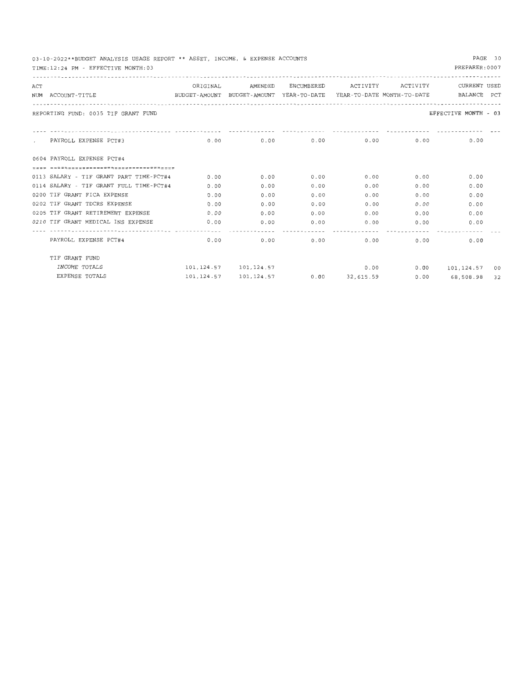|     | 03-10-2022**BUDGEI ANALISIS USAGE KEPUKI ** ASSEI, INCOME, & EAPENSE ACCOUNIS<br>TIME: 12:24 PM - EFFECTIVE MONTH: 03 |      |                                                  |      |                  |      | PREPARER: 0007            |  |
|-----|-----------------------------------------------------------------------------------------------------------------------|------|--------------------------------------------------|------|------------------|------|---------------------------|--|
| ACT |                                                                                                                       |      | ORIGINAL AMENDED ENCUMBERED ACTIVITY ACTIVITY    |      |                  |      | CURRENT USED              |  |
|     | NUM ACCOUNT-TITLE SALANCE PCT AMOUNT BUDGET-AMOUNT YEAR-TO-DATE YEAR-TO-DATE MONTH-TO-DATE BALANCE PCT                |      |                                                  |      |                  |      |                           |  |
|     | REPORTING FUND: 0035 TIF GRANT FUND                                                                                   |      |                                                  |      |                  |      | EFFECTIVE MONTH - 03      |  |
|     |                                                                                                                       |      |                                                  |      |                  |      |                           |  |
|     | , PAYROLL EXPENSE PCT#3                                                                                               |      | $0.00$ $0.00$ $0.00$ $0.00$ $0.00$ $0.00$ $0.00$ |      |                  |      | 0.00                      |  |
|     | 0604 PAYROLL EXPENSE PCT#4                                                                                            |      |                                                  |      |                  |      |                           |  |
|     |                                                                                                                       |      |                                                  |      |                  |      |                           |  |
|     | 0113 SALARY - TIF GRANT PART TIME-PCT#4                                                                               | 0.00 | 0.00                                             | 0.00 | 0.00             | 0.00 | 0.00                      |  |
|     | 0114 SALARY - TIF GRANT FULL TIME-PCT#4                                                                               | 0.00 | 0.00                                             | 0.00 | 0.00             | 0.00 | 0.00                      |  |
|     | 0200 TIF GRANT FICA EXPENSE                                                                                           | 0.00 | 0.00                                             | 0.00 | 0.00             | 0.00 | 0.00                      |  |
|     | 0202 TIF GRANT TDCRS EXPENSE                                                                                          | 0.00 | 0.00                                             | 0.00 | 0.00             | 0.00 | 0.00                      |  |
|     | 0205 TIF GRANT RETIREMENT EXPENSE                                                                                     | 0.00 | 0.00                                             | 0.00 | 0.00             | 0.00 | 0.00                      |  |
|     | 0210 TIF GRANT MEDICAL INS EXPENSE                                                                                    | 0.00 | 0.00                                             |      | $0.00$ 0.00 0.00 |      | 0.00                      |  |
|     | PAYROLL EXPENSE PCT#4                                                                                                 |      | $0.00$ 0.00                                      |      | $0.00$ 0.00      |      | 0.00<br>0.00              |  |
|     | TIF GRANT FUND                                                                                                        |      |                                                  |      |                  |      |                           |  |
|     | INCOME TOTALS                                                                                                         |      | 101, 124, 57   101, 124, 57                      |      |                  |      | $0.00$ 0.00 101,124.57 00 |  |
|     | EXPENSE TOTALS                                                                                                        |      | 101, 124, 57 101, 124, 57 0.00 32, 615, 59       |      |                  |      | $0.00$ 68,508.98 32       |  |

## PAGE 30

68,508.98 32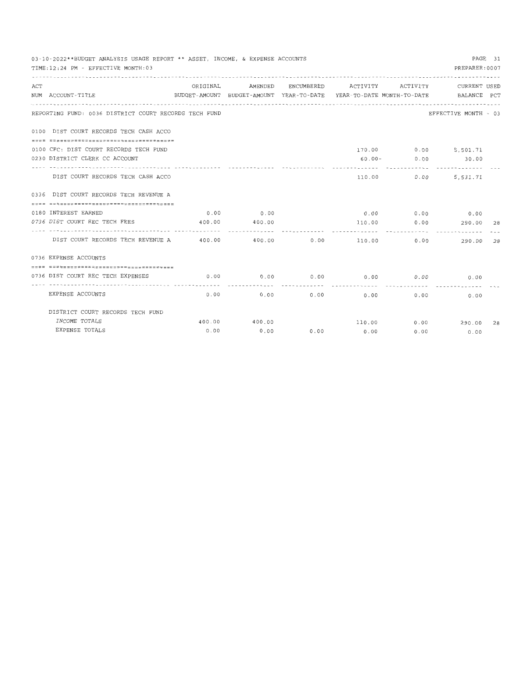|     | 03-10-2022**BUDGET ANALYSIS USAGE REPORT ** ASSET, INCOME, & EXPENSE ACCOUNTS<br>TIME: 12:24 PM - EFFECTIVE MONTH: 03 |          |         |             |                                                                                            |                     | PREPARER: 0007                      | PAGE 31 |
|-----|-----------------------------------------------------------------------------------------------------------------------|----------|---------|-------------|--------------------------------------------------------------------------------------------|---------------------|-------------------------------------|---------|
| ACT | NUM ACCOUNT-TITLE                                                                                                     | ORIGINAL | AMENDED |             | ENCUMBERED ACTIVITY<br>BUDGET-AMOUNT BUDGET-AMOUNT YEAR-TO-DATE YEAR-TO-DATE MONTH-TO-DATE | ACTIVITY            | CURRENT USED<br>BALANCE PCT         |         |
|     | REPORTING FUND: 0036 DISTRICT COURT RECORDS TECH FUND                                                                 |          |         |             |                                                                                            |                     | EFFECTIVE MONTH - 03                |         |
|     | 0100 DIST COURT RECORDS TECH CASH ACCO                                                                                |          |         |             |                                                                                            |                     |                                     |         |
|     | 0100 CFC: DIST COURT RECORDS TECH FUND                                                                                |          |         |             |                                                                                            |                     | 170.00 0.00 5,501.71                |         |
|     | 0230 DISTRICT CLERK CC ACCOUNT                                                                                        |          |         |             |                                                                                            |                     | $60.00 - 0.00$ 30.00                |         |
|     | DIST COURT RECORDS TECH CASH ACCO                                                                                     |          |         |             | -------<br>110.00                                                                          | -----------<br>0.00 | . . <i>. .</i> <b>.</b><br>5,531.71 |         |
|     | 0336 DIST COURT RECORDS TECH REVENUE A                                                                                |          |         |             |                                                                                            |                     |                                     |         |
|     | -------------------------------------                                                                                 |          |         |             |                                                                                            |                     |                                     |         |
|     | 0180 INTEREST EARNED                                                                                                  | 0.00     | 0.00    |             |                                                                                            |                     | $0.00$ 0.00 0.00                    |         |
|     | 0736 DIST COURT REC TECH FEES                                                                                         | 400.00   | 400.00  |             | 110.00                                                                                     |                     | $0.00$ 290.00 28                    |         |
|     | ----------------- -------------                                                                                       |          |         |             |                                                                                            | .                   | <b></b>                             |         |
|     | DIST COURT RECORDS TECH REVENUE A 400.00                                                                              |          |         | 400.00 0.00 |                                                                                            | 110.00 0.00         | 290.00                              | 28      |
|     | 0736 EXPENSE ACCOUNTS                                                                                                 |          |         |             |                                                                                            |                     |                                     |         |
|     | =================================                                                                                     |          |         |             |                                                                                            |                     |                                     |         |
|     | 0736 DIST COURT REC TECH EXPENSES                                                                                     | 0.00     | 0.00    | 0.00        | 0.00                                                                                       | 0.00                | 0.00                                |         |
|     | EXPENSE ACCOUNTS                                                                                                      | 0.00     | 0.00    | 0.00        | 0.00                                                                                       | 0.00                | 0.00                                |         |
|     | DISTRICT COURT RECORDS TECH FUND                                                                                      |          |         |             |                                                                                            |                     |                                     |         |
|     | INCOME TOTALS                                                                                                         | 400.00   | 400.00  |             |                                                                                            | 110.00 0.00         | 290.00 28                           |         |
|     | EXPENSE TOTALS                                                                                                        | 0.00     | 0.00    |             | $0.00$ 0.00                                                                                | 0.00                | 0.00                                |         |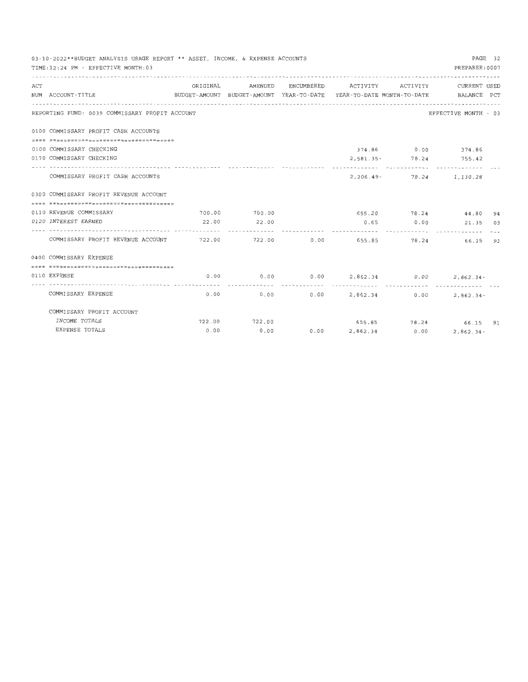|     | 03-10-2022**BUDGET ANALYSIS USAGE REPORT ** ASSET, INCOME, & EXPENSE ACCOUNTS<br>TIME: 12:24 PM - EFFECTIVE MONTH: 03 |          |                  |            |                                                                                 |              | PREPARER: 0007              | PAGE 32 |
|-----|-----------------------------------------------------------------------------------------------------------------------|----------|------------------|------------|---------------------------------------------------------------------------------|--------------|-----------------------------|---------|
| ACT |                                                                                                                       | ORIGINAL | AMENDED          |            | ENCUMBERED ACTIVITY ACTIVITY CURRENT USED                                       |              |                             |         |
|     | NUM ACCOUNT-TITLE                                                                                                     |          |                  |            | BUDGET-AMOUNT BUDGET-AMOUNT YEAR-TO-DATE YEAR-TO-DATE MONTH-TO-DATE BALANCE PCT |              |                             |         |
|     | REPORTING FUND: 0039 COMMISSARY PROFIT ACCOUNT                                                                        |          |                  |            |                                                                                 |              | EFFECTIVE MONTH - 03        |         |
|     | 0100 COMMISSARY PROFIT CASH ACCOUNTS                                                                                  |          |                  |            |                                                                                 |              |                             |         |
|     | 0100 COMMISSARY CHECKING                                                                                              |          |                  |            |                                                                                 |              | 374.86 0.00 374.86          |         |
|     | 0170 COMMISSARY CHECKING                                                                                              |          |                  |            |                                                                                 |              | 2,581.35 - 78.24 755.42     |         |
|     | COMMISSARY PROFIT CASH ACCOUNTS                                                                                       |          |                  |            |                                                                                 |              | 2, 206.49 - 78.24 1, 130.28 |         |
|     | 0300 COMMISSARY PROFIT REVENUE ACCOUNT                                                                                |          |                  |            |                                                                                 |              |                             |         |
|     |                                                                                                                       |          |                  |            |                                                                                 |              |                             |         |
|     | 0110 REVENUE COMMISSARY                                                                                               |          | 700.00 700.00    |            |                                                                                 |              | 655.20 78.24 44.80 94       |         |
|     | 0120 INTEREST EARNED                                                                                                  | 22.00    | 22.00            |            |                                                                                 |              | $0.65$ 0.00 21.35 03        |         |
|     |                                                                                                                       |          |                  |            |                                                                                 |              | <u>-------------</u>        |         |
|     | COMMISSARY PROFIT REVENUE ACCOUNT 49 722.00 422.00 10.00 655.85 78.24 66.15 91                                        |          |                  |            |                                                                                 |              |                             |         |
|     | 0400 COMMISSARY EXPENSE                                                                                               |          |                  |            |                                                                                 |              |                             |         |
|     | --------------------------------------                                                                                |          |                  |            |                                                                                 |              |                             |         |
|     | 0110 EXPENSE<br>-------------------- --------------                                                                   |          |                  |            | $0.00$ 0.00 0.00 2,862.34 0.00                                                  |              | $2,862.34-$                 |         |
|     | COMMISSARY EXPENSE                                                                                                    |          | .<br>$0.00$ 0.00 | . <i>.</i> | ------------<br>$0.00$ 2,862.34 0.00                                            | ------------ | $2,862,34-$                 |         |
|     | COMMISSARY PROFIT ACCOUNT                                                                                             |          |                  |            |                                                                                 |              |                             |         |
|     | INCOME TOTALS                                                                                                         |          | 722.00 722.00    |            |                                                                                 |              | 655.85 78.24 66.15 91       |         |
|     | EXPENSE TOTALS                                                                                                        | 0.00     | 0.00             |            | $0.00$ 2,862.34 0.00                                                            |              | $2,862.34 -$                |         |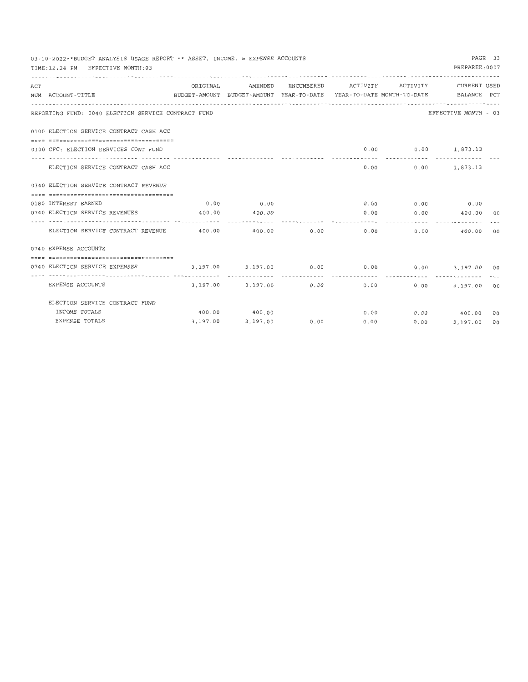|     | 03-10-2022**BUDGET ANALYSIS USAGE REPORT ** ASSET, INCOME, & EXPENSE ACCOUNTS |          |                   |      |      |              |                                                                                 | PAGE 33 |
|-----|-------------------------------------------------------------------------------|----------|-------------------|------|------|--------------|---------------------------------------------------------------------------------|---------|
|     | TIME: 12:24 PM - EFFECTIVE MONTH: 03                                          |          |                   |      |      |              | PREPARER: 0007                                                                  |         |
|     |                                                                               |          |                   |      |      |              |                                                                                 |         |
| ACT |                                                                               | ORIGINAL | AMENDED           |      |      |              | ENCUMBERED ACTIVITY ACTIVITY CURRENT USED                                       |         |
|     | NUM ACCOUNT-TITLE                                                             |          |                   |      |      |              | BUDGET-AMOUNT BUDGET-AMOUNT YEAR-TO-DATE YEAR-TO-DATE MONTH-TO-DATE BALANCE PCT |         |
|     |                                                                               |          |                   |      |      |              |                                                                                 |         |
|     | REPORTING FUND: 0040 ELECTION SERVICE CONTRACT FUND                           |          |                   |      |      |              | EFFECTIVE MONTH - 03                                                            |         |
|     | 0100 ELECTION SERVICE CONTRACT CASH ACC                                       |          |                   |      |      |              |                                                                                 |         |
|     |                                                                               |          |                   |      |      |              |                                                                                 |         |
|     | 0100 CFC: ELECTION SERVICES CONT FUND                                         |          |                   |      |      |              | $0.00$ $0.00$ $1,873.13$<br>---------------------------                         |         |
|     | ELECTION SERVICE CONTRACT CASH ACC                                            |          |                   |      |      |              | $0.00$ $0.00$ $1,873.13$                                                        |         |
|     | 0340 ELECTION SERVICE CONTRACT REVENUE                                        |          |                   |      |      |              |                                                                                 |         |
|     | -------------------------------------                                         |          |                   |      |      |              |                                                                                 |         |
|     | 0180 INTEREST EARNED                                                          |          | $0.00$ 0.00       |      |      |              | $0.00$ $0.00$ $0.00$ $0.00$                                                     |         |
|     | 0740 ELECTION SERVICE REVENUES                                                |          | 400.00 400.00     |      |      |              | $0.00$ 0.00 400.00 00                                                           |         |
|     | ELECTION SERVICE CONTRACT REVENUE 400.00 400.00 0.00 0.00                     |          |                   |      |      | $0.00$ 0.00  | 400.00                                                                          | 00      |
|     | 0740 EXPENSE ACCOUNTS                                                         |          |                   |      |      |              |                                                                                 |         |
|     |                                                                               |          |                   |      |      |              |                                                                                 |         |
|     | 0740 ELECTION SERVICE EXPENSES                                                |          |                   |      |      |              | $3.197.00$ $3.197.00$ $0.00$ $0.00$ $0.00$ $0.00$ $3.197.00$ $0.0$              |         |
|     | EXPENSE ACCOUNTS                                                              |          |                   |      |      | ------------ | 3,197.00 3,197.00 0.00 0.00 0.00 3,197.00 00                                    |         |
|     | ELECTION SERVICE CONTRACT FUND                                                |          |                   |      |      |              |                                                                                 |         |
|     | INCOME TOTALS                                                                 |          | 400.00 400.00     |      |      |              | $0.00$ $0.00$ $400.00$ 00                                                       |         |
|     | EXPENSE TOTALS                                                                |          | 3,197.00 3,197.00 | 0.00 | 0.00 |              | $0.00$ 3,197.00 00                                                              |         |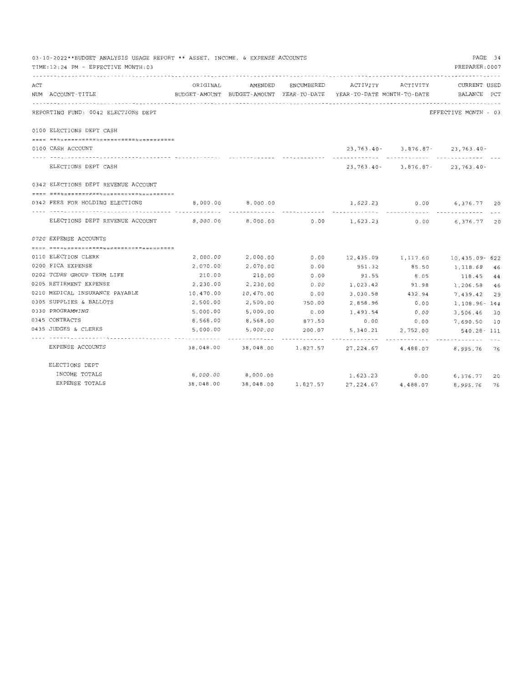|     | 03-10-2022**BUDGET ANALYSIS USAGE REPORT ** ASSET, INCOME, & EXPENSE ACCOUNTS |                                                                     |                              |                    |                    |                             | PAGE 34                                  |  |
|-----|-------------------------------------------------------------------------------|---------------------------------------------------------------------|------------------------------|--------------------|--------------------|-----------------------------|------------------------------------------|--|
|     | TIME: 12:24 PM - EFFECTIVE MONTH: 03                                          |                                                                     |                              |                    |                    |                             | PREPARER: 0007                           |  |
|     |                                                                               |                                                                     |                              |                    |                    |                             |                                          |  |
| ACT |                                                                               | ORIGINAL                                                            | AMENDED                      | ENCUMBERED         | ACTIVITY           | ACTIVITY                    | CURRENT USED                             |  |
|     | NUM ACCOUNT-TITLE                                                             | BUDGET-AMOUNT BUDGET-AMOUNT YEAR-TO-DATE YEAR-TO-DATE MONTH-TO-DATE |                              |                    |                    |                             | BALANCE PCT                              |  |
|     |                                                                               |                                                                     |                              |                    |                    |                             |                                          |  |
|     | REPORTING FUND: 0042 ELECTIONS DEPT                                           |                                                                     |                              |                    |                    |                             | EFFECTIVE MONTH - 03                     |  |
|     | 0100 ELECTIONS DEPT CASH                                                      |                                                                     |                              |                    |                    |                             |                                          |  |
|     |                                                                               |                                                                     |                              |                    |                    |                             |                                          |  |
|     | 0100 CASH ACCOUNT                                                             |                                                                     |                              |                    |                    |                             | 23, 763. 40 - 3, 876. 87 - 23, 763. 40 - |  |
|     | ELECTIONS DEPT CASH                                                           |                                                                     |                              |                    |                    | ------------- ------------- | $23, 763.40 - 3, 876.87 - 23, 763.40 -$  |  |
|     |                                                                               |                                                                     |                              |                    |                    |                             |                                          |  |
|     | 0342 ELECTIONS DEPT REVENUE ACCOUNT                                           |                                                                     |                              |                    |                    |                             |                                          |  |
|     |                                                                               |                                                                     |                              |                    |                    |                             |                                          |  |
|     | 0342 FEES FOR HOLDING ELECTIONS                                               | 8,000.00                                                            | 8,000,00                     |                    |                    |                             | 1,623.23 0.00 6,376.77 20                |  |
|     | ELECTIONS DEPT REVENUE ACCOUNT                                                | 8,000.00                                                            |                              |                    |                    |                             | 6,376.77 20                              |  |
|     | 0720 EXPENSE ACCOUNTS                                                         |                                                                     |                              |                    |                    |                             |                                          |  |
|     |                                                                               |                                                                     |                              |                    |                    |                             |                                          |  |
|     | 0110 ELECTION CLERK                                                           | 2,000.00                                                            | 2,000.00                     | 0.00               | 12,435.09 1,117.60 |                             | 10,435.09- 622                           |  |
|     | 0200 FICA EXPENSE                                                             | 2,070.00                                                            | 2,070.00                     | 0.00               | 951.32             | 85.50                       | 1,118.68 46                              |  |
|     | 0202 TCDRS GROUP TERM LIFE                                                    | 210.00                                                              | 210.00                       | 0.00               | 91.55              | 8.05                        | 118.45 44                                |  |
|     | 0205 RETIRMENT EXPENSE                                                        | 2,230.00                                                            | 2,230.00                     | 0.00               | 1,023.42           | 91.98                       | 1,206.58 46                              |  |
|     | 0210 MEDICAL INSURANCE PAYABLE                                                | 10,470.00                                                           | 10,470.00                    | 0.00               | 3,030.58           | 432.94                      | 7,439.42 29                              |  |
|     | 0305 SUPPLIES & BALLOTS                                                       | 2,500.00                                                            | 2,500.00                     | 750.00             | 2,858.96           | 0.00                        | 1,108.96-144                             |  |
|     | 0330 PROGRAMMING                                                              | 5,000.00                                                            | 5,000.00                     | 0.00               | 1,493.54           | 0.00                        | 3,506.46 30                              |  |
|     | 0345 CONTRACTS                                                                | 8,568.00                                                            | 8,568.00                     | 877.50             | 0.00               | 0.00                        | 7,690.50 10                              |  |
|     | 0435 JUDGES & CLERKS                                                          | 5,000.00                                                            | 5,000.00                     | 200.07             | 5,340.21           | 2,752.00                    | 540.28-111                               |  |
|     | EXPENSE ACCOUNTS                                                              |                                                                     | 38,048.00 38,048.00 1,827.57 |                    | .<br>27, 224.67    | 4,488.07                    | 8,995.76 76                              |  |
|     | ELECTIONS DEPT                                                                |                                                                     |                              |                    |                    |                             |                                          |  |
|     | INCOME TOTALS                                                                 |                                                                     | 8,000.00 8,000.00            |                    |                    | 1,623.23 0.00               | 6,376.77 20                              |  |
|     | EXPENSE TOTALS                                                                | 38,048.00                                                           |                              | 38,048.00 1,827.57 | 27,224.67          | 4,488.07                    | 8,995.76<br>76                           |  |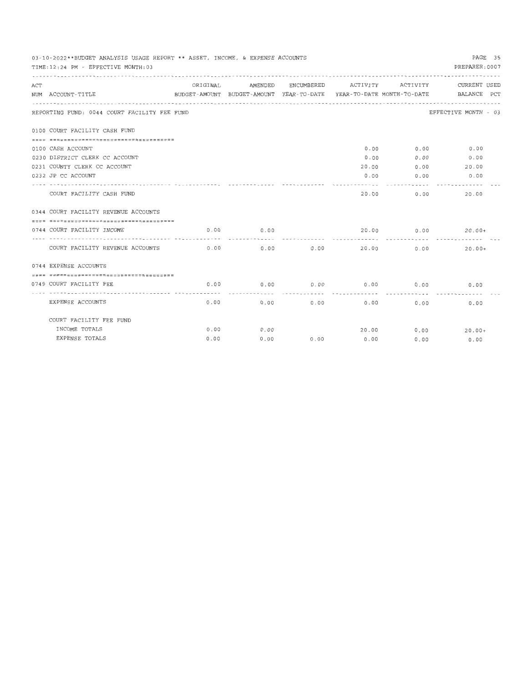| PAGE 35<br>03-10-2022**BUDGET ANALYSIS USAGE REPORT ** ASSET, INCOME, & EXPENSE ACCOUNTS |                                              |      |                                               |      |                      |              |                                                                                 |  |  |
|------------------------------------------------------------------------------------------|----------------------------------------------|------|-----------------------------------------------|------|----------------------|--------------|---------------------------------------------------------------------------------|--|--|
|                                                                                          | TIME: 12:24 PM - EFFECTIVE MONTH: 03         |      |                                               |      |                      |              | PREPARER: 0007                                                                  |  |  |
| ACT                                                                                      |                                              |      | ORIGINAL AMENDED ENCUMBERED ACTIVITY ACTIVITY |      |                      |              | CURRENT USED                                                                    |  |  |
|                                                                                          | NUM ACCOUNT-TITLE                            |      |                                               |      |                      |              | BUDGET-AMOUNT BUDGET-AMOUNT YEAR-TO-DATE YEAR-TO-DATE MONTH-TO-DATE BALANCE PCT |  |  |
|                                                                                          | REPORTING FUND: 0044 COURT FACILITY FEE FUND |      |                                               |      |                      |              | EFFECTIVE MONTH - 03                                                            |  |  |
|                                                                                          | 0100 COURT FACILITY CASH FUND                |      |                                               |      |                      |              |                                                                                 |  |  |
|                                                                                          | -------------------------------------        |      |                                               |      |                      |              |                                                                                 |  |  |
|                                                                                          | 0100 CASH ACCOUNT                            |      |                                               |      |                      |              | $0.00$ 0.00 0.00                                                                |  |  |
|                                                                                          | 0230 DISTRICT CLERK CC ACCOUNT               |      |                                               |      | 0.00                 | 0.00         | 0.00                                                                            |  |  |
|                                                                                          | 0231 COUNTY CLERK CC ACCOUNT                 |      |                                               |      |                      |              | 20.00 0.00 20.00                                                                |  |  |
|                                                                                          | 0232 JP CC ACCOUNT                           |      |                                               |      | ----------           | ------------ | $0.00$ $0.00$ $0.00$                                                            |  |  |
|                                                                                          | COURT FACILITY CASH FUND                     |      |                                               |      |                      | 20.00 0.00   | 20.00                                                                           |  |  |
|                                                                                          | 0344 COURT FACILITY REVENUE ACCOUNTS         |      |                                               |      |                      |              |                                                                                 |  |  |
|                                                                                          | --------------------------------------       |      |                                               |      |                      |              |                                                                                 |  |  |
|                                                                                          | 0744 COURT FACILITY INCOME                   | 0.00 | 0.00<br>.                                     |      |                      |              | $20.00$ $0.00$ $20.00+$                                                         |  |  |
|                                                                                          | COURT FACILITY REVENUE ACCOUNTS 6.00         |      | $0.00$ $0.00$ $20.00$                         |      |                      |              | 0.00<br>$20.00+$                                                                |  |  |
|                                                                                          | 0744 EXPENSE ACCOUNTS                        |      |                                               |      |                      |              |                                                                                 |  |  |
|                                                                                          | =====================================        |      |                                               |      |                      |              |                                                                                 |  |  |
|                                                                                          | 0749 COURT FACILITY FEE                      | 0.00 | 0.00<br>. <i>.</i>                            | 0.00 |                      | $0.00$ 0.00  | 0.00                                                                            |  |  |
|                                                                                          | EXPENSE ACCOUNTS                             | 0.00 |                                               |      | $0.00$ $0.00$ $0.00$ | 0.00         | 0.00                                                                            |  |  |
|                                                                                          | COURT FACILITY FEE FUND                      |      |                                               |      |                      |              |                                                                                 |  |  |
|                                                                                          | INCOME TOTALS                                | 0.00 | 0.00                                          |      |                      |              | $20.00$ $0.00$ $20.00+$                                                         |  |  |
|                                                                                          | EXPENSE TOTALS                               | 0.00 | 0.00                                          | 0.00 | 0.00                 | 0.00         | 0.00                                                                            |  |  |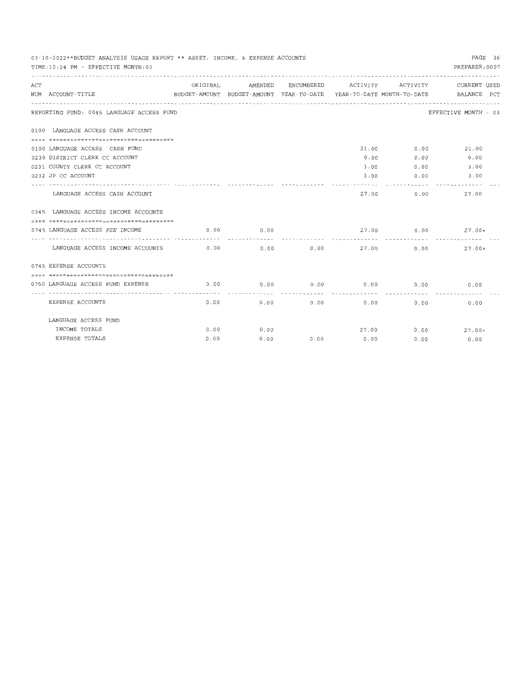|     | 03-10-2022**BUDGET ANALYSIS USAGE REPORT ** ASSET, INCOME, & EXPENSE ACCOUNTS<br>PAGE 36<br>PREPARER: 0007<br>TIME: 12:24 PM - EFFECTIVE MONTH: 03<br>ORIGINAL AMENDED<br>ENCUMBERED ACTIVITY ACTIVITY<br>CURRENT USED |      |                       |      |                      |             |                                                                                 |  |  |  |
|-----|------------------------------------------------------------------------------------------------------------------------------------------------------------------------------------------------------------------------|------|-----------------------|------|----------------------|-------------|---------------------------------------------------------------------------------|--|--|--|
| ACT | NUM ACCOUNT-TITLE                                                                                                                                                                                                      |      |                       |      |                      |             | BUDGET-AMOUNT BUDGET-AMOUNT YEAR-TO-DATE YEAR-TO-DATE MONTH-TO-DATE BALANCE PCT |  |  |  |
|     | REPORTING FUND: 0045 LANGUAGE ACCESS FUND                                                                                                                                                                              |      |                       |      |                      |             | EFFECTIVE MONTH - 03                                                            |  |  |  |
|     | 0100 LANGUAGE ACCESS CASH ACCOUNT                                                                                                                                                                                      |      |                       |      |                      |             |                                                                                 |  |  |  |
|     | -------------------------------------                                                                                                                                                                                  |      |                       |      |                      |             |                                                                                 |  |  |  |
|     | 0100 LANGUAGE ACCESS CASH FUND                                                                                                                                                                                         |      |                       |      |                      |             | 21.00 0.00 21.00                                                                |  |  |  |
|     | 0230 DISTRICT CLERK CC ACCOUNT                                                                                                                                                                                         |      |                       |      | 0.00                 | 0.00        | 0.00                                                                            |  |  |  |
|     | 0231 COUNTY CLERK CC ACCOUNT                                                                                                                                                                                           |      |                       |      |                      |             | $3.00$ 0.00 3.00                                                                |  |  |  |
|     | 0232 JP CC ACCOUNT                                                                                                                                                                                                     |      |                       |      | ----------           | . <i>.</i>  | $3.00$ 0.00 3.00                                                                |  |  |  |
|     | LANGUAGE ACCESS CASH ACCOUNT                                                                                                                                                                                           |      |                       |      |                      | 27.00 0.00  | 27.00                                                                           |  |  |  |
|     | 0345 LANGUAGE ACCESS INCOME ACCOUNTS                                                                                                                                                                                   |      |                       |      |                      |             |                                                                                 |  |  |  |
|     |                                                                                                                                                                                                                        |      |                       |      |                      |             |                                                                                 |  |  |  |
|     | 0745 LANGUAGE ACCESS FEE INCOME                                                                                                                                                                                        | 0.00 | 0.00                  |      |                      |             | $27.00$ 0.00 $27.00+$                                                           |  |  |  |
|     | LANGUAGE ACCESS INCOME ACCOUNTS 0.00                                                                                                                                                                                   |      | $0.00$ $0.00$ $27.00$ |      |                      |             | 0.00<br>$27.00+$                                                                |  |  |  |
|     | 0745 EXPENSE ACCOUNTS                                                                                                                                                                                                  |      |                       |      |                      |             |                                                                                 |  |  |  |
|     | -------------------------------------                                                                                                                                                                                  |      |                       |      |                      |             |                                                                                 |  |  |  |
|     | 0750 LANGUAGE ACCESS FUND EXPENSE                                                                                                                                                                                      | 0.00 | 0.00                  | 0.00 |                      | $0.00$ 0.00 | 0.00                                                                            |  |  |  |
|     | EXPENSE ACCOUNTS                                                                                                                                                                                                       | 0.00 |                       |      | $0.00$ $0.00$ $0.00$ | 0.00        | 0.00                                                                            |  |  |  |
|     | LANGUAGE ACCESS FUND                                                                                                                                                                                                   |      |                       |      |                      |             |                                                                                 |  |  |  |
|     | INCOME TOTALS                                                                                                                                                                                                          | 0.00 | 0.00                  |      |                      |             | $27.00$ 0.00 $27.00+$                                                           |  |  |  |
|     | EXPENSE TOTALS                                                                                                                                                                                                         | 0.00 | 0.00                  | 0.00 | 0.00                 | 0.00        | 0.00                                                                            |  |  |  |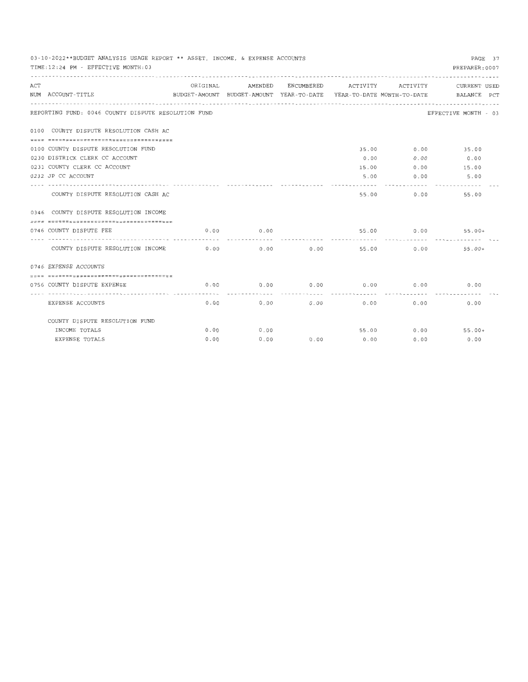| PAGE 37<br>03-10-2022**BUDGET ANALYSIS USAGE REPORT ** ASSET, INCOME, & EXPENSE ACCOUNTS |                                                        |      |                  |      |                              |                |                                                                                 |  |  |  |  |
|------------------------------------------------------------------------------------------|--------------------------------------------------------|------|------------------|------|------------------------------|----------------|---------------------------------------------------------------------------------|--|--|--|--|
|                                                                                          | PREPARER: 0007<br>TIME: 12:24 PM - EFFECTIVE MONTH: 03 |      |                  |      |                              |                |                                                                                 |  |  |  |  |
|                                                                                          |                                                        |      | ORIGINAL AMENDED |      | ENCUMBERED ACTIVITY ACTIVITY |                | CURRENT USED                                                                    |  |  |  |  |
| ACT                                                                                      | NUM ACCOUNT-TITLE                                      |      |                  |      |                              |                | BUDGET-AMOUNT BUDGET-AMOUNT YEAR-TO-DATE YEAR-TO-DATE MONTH-TO-DATE BALANCE PCT |  |  |  |  |
|                                                                                          | REPORTING FUND: 0046 COUNTY DISPUTE RESOLUTION FUND    |      |                  |      |                              |                | EFFECTIVE MONTH - 03                                                            |  |  |  |  |
|                                                                                          | 0100 COUNTY DISPUTE RESOLUTION CASH AC                 |      |                  |      |                              |                |                                                                                 |  |  |  |  |
|                                                                                          |                                                        |      |                  |      |                              |                |                                                                                 |  |  |  |  |
|                                                                                          | 0100 COUNTY DISPUTE RESOLUTION FUND                    |      |                  |      |                              |                | 35.00 0.00 35.00                                                                |  |  |  |  |
|                                                                                          | 0230 DISTRICK CLERK CC ACCOUNT                         |      |                  |      | 0.00                         | 0.00           | 0.00                                                                            |  |  |  |  |
|                                                                                          | 0231 COUNTY CLERK CC ACCOUNT                           |      |                  |      |                              |                | 15.00 0.00 15.00                                                                |  |  |  |  |
|                                                                                          | 0232 JP CC ACCOUNT                                     |      |                  |      |                              | 5.00 0.00      | 5.00                                                                            |  |  |  |  |
|                                                                                          |                                                        |      |                  |      |                              | . <i>.</i>     | -------------                                                                   |  |  |  |  |
|                                                                                          | COUNTY DISPUTE RESOLUTION CASH AC                      |      |                  |      | 55.00                        | 0.00           | 55,00                                                                           |  |  |  |  |
|                                                                                          | 0346 COUNTY DISPUTE RESOLUTION INCOME                  |      |                  |      |                              |                |                                                                                 |  |  |  |  |
|                                                                                          |                                                        |      |                  |      |                              |                |                                                                                 |  |  |  |  |
|                                                                                          | 0746 COUNTY DISPUTE FEE                                | 0.00 | 0.00             |      | 55.00                        | -------------- | $0.00$ 55.00+                                                                   |  |  |  |  |
|                                                                                          | COUNTY DISPUTE RESOLUTION INCOME 0.00                  |      |                  |      | $0.00$ $0.00$ $55.00$ $0.00$ |                | $55.00+$                                                                        |  |  |  |  |
|                                                                                          | 0746 EXPENSE ACCOUNTS                                  |      |                  |      |                              |                |                                                                                 |  |  |  |  |
|                                                                                          | -------------------------------------                  |      |                  |      |                              |                |                                                                                 |  |  |  |  |
|                                                                                          | 0756 COUNTY DISPUTE EXPENSE                            | 0.00 | 0.00             | 0.00 | 0.00                         | 0.00           | 0.00                                                                            |  |  |  |  |
|                                                                                          |                                                        |      | -----------      |      |                              |                |                                                                                 |  |  |  |  |
|                                                                                          | EXPENSE ACCOUNTS                                       | 0.00 |                  | 0.00 | $0.00$ 0.00                  | 0.00           | 0.00                                                                            |  |  |  |  |
|                                                                                          | COUNTY DISPUTE RESOLUTION FUND                         |      |                  |      |                              |                |                                                                                 |  |  |  |  |
|                                                                                          | INCOME TOTALS                                          | 0.00 | 0.00             |      |                              |                | $55.00$ 0.00 $55.00+$                                                           |  |  |  |  |
|                                                                                          | EXPENSE TOTALS                                         | 0.00 | 0.00             |      | $0.00$ 0.00                  | 0.00           | 0.00                                                                            |  |  |  |  |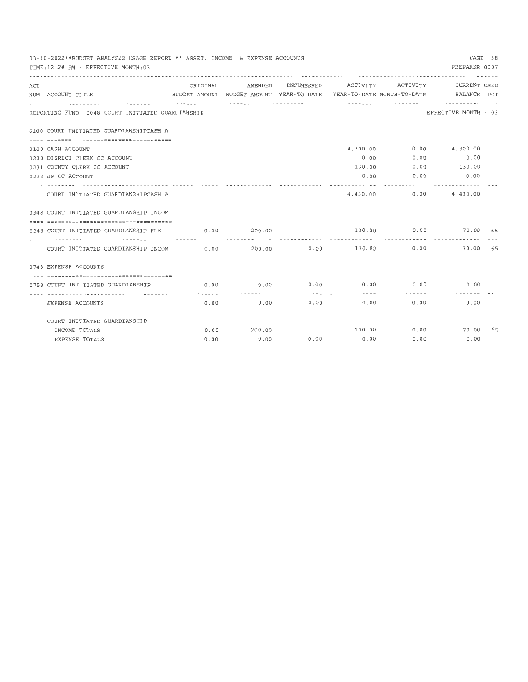|     | 03-10-2022**BUDGET ANALYSIS USAGE REPORT ** ASSET, INCOME, & EXPENSE ACCOUNTS<br>PAGE 38<br>PREPARER: 0007<br>TIME: 12:24 PM - EFFECTIVE MONTH: 03 |          |         |            |            |                     |                                                                                 |    |  |  |
|-----|----------------------------------------------------------------------------------------------------------------------------------------------------|----------|---------|------------|------------|---------------------|---------------------------------------------------------------------------------|----|--|--|
|     |                                                                                                                                                    |          |         |            |            |                     |                                                                                 |    |  |  |
| ACT |                                                                                                                                                    | ORIGINAL | AMENDED | ENCUMBERED |            |                     | ACTIVITY ACTIVITY CURRENT USED                                                  |    |  |  |
|     | NUM ACCOUNT-TITLE                                                                                                                                  |          |         |            |            |                     | BUDGET-AMOUNT BUDGET-AMOUNT YEAR-TO-DATE YEAR-TO-DATE MONTH-TO-DATE BALANCE PCT |    |  |  |
|     | REPORTING FUND: 0048 COURT INITIATED GUARDIANSHIP                                                                                                  |          |         |            |            |                     | EFFECTIVE MONTH - 03                                                            |    |  |  |
|     | 0100 COURT INITIATED GUARDIANSHIPCASH A                                                                                                            |          |         |            |            |                     |                                                                                 |    |  |  |
|     | -------------------------------------                                                                                                              |          |         |            |            |                     |                                                                                 |    |  |  |
|     | 0100 CASH ACCOUNT                                                                                                                                  |          |         |            |            |                     | 4,300.00 0.00 4,300.00                                                          |    |  |  |
|     | 0230 DISRICT CLERK CC ACCOUNT                                                                                                                      |          |         |            | 0.00       | 0.00                | 0.00                                                                            |    |  |  |
|     | 0231 COUNTY CLERK CC ACCOUNT                                                                                                                       |          |         |            |            |                     | 130.00 0.00 130.00                                                              |    |  |  |
|     | 0232 JP CC ACCOUNT                                                                                                                                 |          |         |            |            | $0.00$ 0.00         | 0.00                                                                            |    |  |  |
|     |                                                                                                                                                    |          |         |            | . <i>.</i> | <b>************</b> |                                                                                 |    |  |  |
|     | COURT INITIATED GUARDIANSHIPCASH A                                                                                                                 |          |         |            |            |                     | 4,430.00 0.00 4,430.00                                                          |    |  |  |
|     | 0348 COURT INITIATED GUARDIANSHIP INCOM                                                                                                            |          |         |            |            |                     |                                                                                 |    |  |  |
|     | -------------------------------------                                                                                                              |          |         |            |            |                     |                                                                                 |    |  |  |
|     | 0348 COURT-INITIATED GUARDIANSHIP FEE                                                                                                              | 0.00     | 200.00  |            | 130.00     | 0.00                | 70.00 65                                                                        |    |  |  |
|     |                                                                                                                                                    |          |         |            |            |                     |                                                                                 |    |  |  |
|     | COURT INITIATED GUARDIANSHIP INCOM                                                                                                                 |          | 0.00    |            |            |                     | 70.00 65                                                                        |    |  |  |
|     | 0748 EXPENSE ACCOUNTS                                                                                                                              |          |         |            |            |                     |                                                                                 |    |  |  |
|     | =====================================                                                                                                              |          |         |            |            |                     |                                                                                 |    |  |  |
|     | 0758 COURT INTITIATED GUARDIANSHIP                                                                                                                 | 0.00     | 0.00    | 0.00       | 0.00       | 0.00                | 0.00                                                                            |    |  |  |
|     |                                                                                                                                                    |          |         | .          |            |                     |                                                                                 |    |  |  |
|     | EXPENSE ACCOUNTS                                                                                                                                   | 0.00     | 0.00    | 0.00       | 0.00       | 0.00                | 0.00                                                                            |    |  |  |
|     | COURT INITIATED GUARDIANSHIP                                                                                                                       |          |         |            |            |                     |                                                                                 |    |  |  |
|     | INCOME TOTALS                                                                                                                                      | 0.00     | 200.00  |            |            |                     | 130.00 0.00 70.00                                                               | 65 |  |  |
|     | EXPENSE TOTALS                                                                                                                                     | 0.00     | 0.00    | 0.00       | 0.00       | 0.00                | 0.00                                                                            |    |  |  |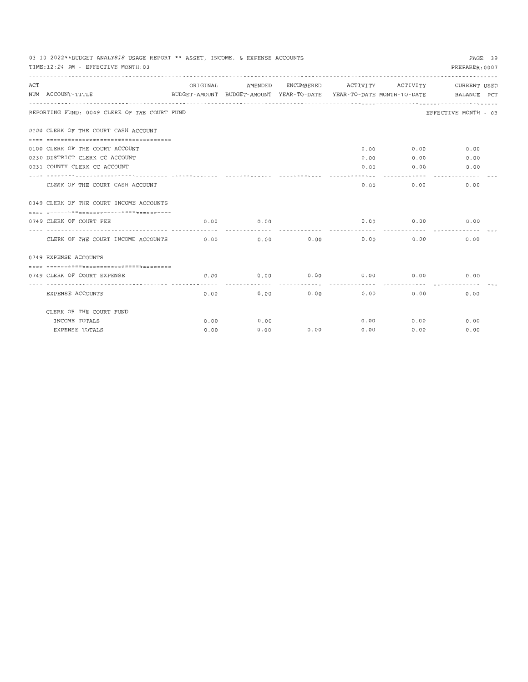| 03-10-2022**BUDGET ANALYSIS USAGE REPORT ** ASSET, INCOME, & EXPENSE ACCOUNTS<br>PAGE 39 |                |                     |             |                                             |               |                                                                                 |  |  |  |  |  |
|------------------------------------------------------------------------------------------|----------------|---------------------|-------------|---------------------------------------------|---------------|---------------------------------------------------------------------------------|--|--|--|--|--|
| TIME: 12:24 PM - EFFECTIVE MONTH: 03                                                     | PREPARER: 0007 |                     |             |                                             |               |                                                                                 |  |  |  |  |  |
|                                                                                          |                |                     |             |                                             |               |                                                                                 |  |  |  |  |  |
| ACT                                                                                      | ORIGINAL       | AMENDED             |             |                                             |               | ENCUMBERED ACTIVITY ACTIVITY CURRENT USED                                       |  |  |  |  |  |
| NUM ACCOUNT-TITLE                                                                        |                |                     |             |                                             |               | BUDGET-AMOUNT BUDGET-AMOUNT YEAR-TO-DATE YEAR-TO-DATE MONTH-TO-DATE BALANCE PCT |  |  |  |  |  |
|                                                                                          |                |                     |             |                                             |               |                                                                                 |  |  |  |  |  |
| REPORTING FUND: 0049 CLERK OF THE COURT FUND                                             |                |                     |             |                                             |               | EFFECTIVE MONTH - 03                                                            |  |  |  |  |  |
| 0100 CLERK OF THE COURT CASH ACCOUNT                                                     |                |                     |             |                                             |               |                                                                                 |  |  |  |  |  |
| -------------------------------------                                                    |                |                     |             |                                             |               |                                                                                 |  |  |  |  |  |
| 0100 CLERK OF THE COURT ACCOUNT                                                          |                |                     |             |                                             | $0.00$ $0.00$ | 0.00                                                                            |  |  |  |  |  |
| 0230 DISTRICT CLERK CC ACCOUNT                                                           |                |                     |             | 0.00                                        | 0.00          | 0.00                                                                            |  |  |  |  |  |
| 0231 COUNTY CLERK CC ACCOUNT                                                             |                |                     |             |                                             | $0.00$ 0.00   | 0.00                                                                            |  |  |  |  |  |
|                                                                                          |                |                     |             |                                             |               |                                                                                 |  |  |  |  |  |
| CLERK OF THE COURT CASH ACCOUNT                                                          |                |                     |             |                                             | 0.00          | 0.00<br>0.00                                                                    |  |  |  |  |  |
| 0349 CLERK OF THE COURT INCOME ACCOUNTS                                                  |                |                     |             |                                             |               |                                                                                 |  |  |  |  |  |
|                                                                                          |                |                     |             |                                             |               |                                                                                 |  |  |  |  |  |
| 0749 CLERK OF COURT FEE                                                                  | 0.00           | 0.00                |             |                                             |               | $0.00$ $0.00$ $0.00$                                                            |  |  |  |  |  |
| CLERK OF THE COURT INCOME ACCOUNTS 0.00                                                  |                |                     | $0.00$ 0.00 | 0.00                                        | 0.00          | 0.00                                                                            |  |  |  |  |  |
| 0749 EXPENSE ACCOUNTS                                                                    |                |                     |             |                                             |               |                                                                                 |  |  |  |  |  |
| ------------------------------------                                                     |                |                     |             |                                             |               |                                                                                 |  |  |  |  |  |
| 0749 CLERK OF COURT EXPENSE                                                              | 0.00           | 0.00<br>----------- | ----------  | $0.00$ $0.00$ $0.00$ $0.00$<br>------------ | -----------   | 0.00                                                                            |  |  |  |  |  |
| EXPENSE ACCOUNTS                                                                         | 0.00           | 0.00                | 0.00        |                                             | 0.00          | 0.00<br>0.00                                                                    |  |  |  |  |  |
| CLERK OF THE COURT FUND                                                                  |                |                     |             |                                             |               |                                                                                 |  |  |  |  |  |
| INCOME TOTALS                                                                            | 0.00           | 0.00                |             |                                             | $0.00$ $0.00$ | 0.00                                                                            |  |  |  |  |  |
| EXPENSE TOTALS                                                                           | 0.00           | 0.00                | 0.00        | 0.00                                        | 0.00          | 0.00                                                                            |  |  |  |  |  |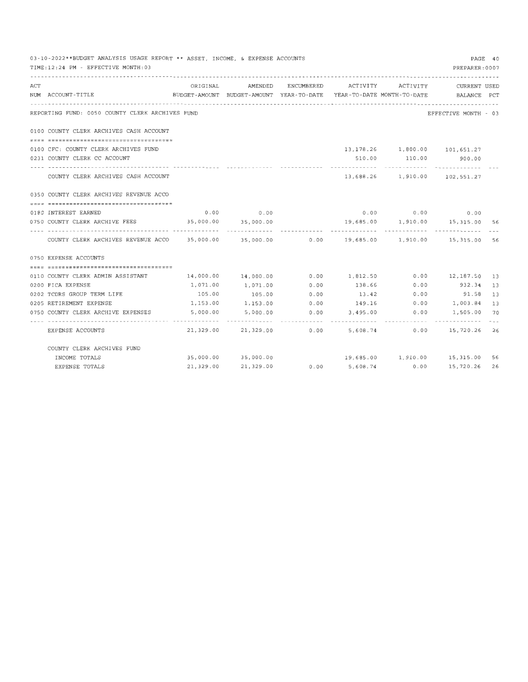|     | 03-10-2022**BUDGET ANALYSIS USAGE REPORT ** ASSET, INCOME, & EXPENSE ACCOUNTS<br>TIME: 12:24 PM - EFFECTIVE MONTH: 03 |                         |                                               |      |                 |      | PAGE 40<br>PREPARER: 0007                                                                       |    |
|-----|-----------------------------------------------------------------------------------------------------------------------|-------------------------|-----------------------------------------------|------|-----------------|------|-------------------------------------------------------------------------------------------------|----|
| ACT | NUM ACCOUNT-TITLE                                                                                                     |                         | ORIGINAL AMENDED ENCUMBERED ACTIVITY ACTIVITY |      |                 |      | CURRENT USED<br>BUDGET-AMOUNT BUDGET-AMOUNT YEAR-TO-DATE YEAR-TO-DATE MONTH-TO-DATE BALANCE PCT |    |
|     | REPORTING FUND: 0050 COUNTY CLERK ARCHIVES FUND                                                                       |                         |                                               |      |                 |      | EFFECTIVE MONTH - 03                                                                            |    |
|     | 0100 COUNTY CLERK ARCHIVES CASH ACCOUNT                                                                               |                         |                                               |      |                 |      |                                                                                                 |    |
|     |                                                                                                                       |                         |                                               |      |                 |      |                                                                                                 |    |
|     | 0100 CFC: COUNTY CLERK ARCHIVES FUND                                                                                  |                         |                                               |      |                 |      | 13, 178, 26 1, 800.00 101, 651.27                                                               |    |
|     | 0231 COUNTY CLERK CC ACCOUNT                                                                                          |                         |                                               |      |                 |      | 510.00 110.00 900.00                                                                            |    |
|     | COUNTY CLERK ARCHIVES CASH ACCOUNT                                                                                    |                         |                                               |      |                 |      | 13,688.26 1,910.00 102,551.27                                                                   |    |
|     | 0350 COUNTY CLERK ARCHIVES REVENUE ACCO                                                                               |                         |                                               |      |                 |      |                                                                                                 |    |
|     |                                                                                                                       |                         |                                               |      |                 |      |                                                                                                 |    |
|     | 0180 INTEREST EARNED                                                                                                  |                         | $0.00$ 0.00                                   |      |                 |      | $0.00$ 0.00 0.00                                                                                |    |
|     | 0750 COUNTY CLERK ARCHIVE FEES 35,000.00 35,000.00                                                                    |                         |                                               |      |                 |      | 19,685.00  1,910.00  15,315.00  56                                                              |    |
|     | COUNTY CLERK ARCHIVES REVENUE ACCO 35,000.00 35,000.00 0.00 19,685.00 1,910.00 15,315.00 56                           |                         |                                               |      |                 |      |                                                                                                 |    |
|     | 0750 EXPENSE ACCOUNTS                                                                                                 |                         |                                               |      |                 |      |                                                                                                 |    |
|     |                                                                                                                       |                         |                                               |      |                 |      |                                                                                                 |    |
|     | 0110 COUNTY CLERK ADMIN ASSISTANT                                                                                     |                         |                                               |      |                 |      | 14,000.00 14,000.00 0.00 1,812.50 0.00 12,187.50 13                                             |    |
|     | 0200 FICA EXPENSE                                                                                                     | 1,071.00                | 1,071.00                                      | 0.00 |                 |      | 138.66 0.00 932.34 13                                                                           |    |
|     | 0202 TCDRS GROUP TERM LIFE                                                                                            | 105.00                  | 105.00                                        | 0.00 | 13.42           | 0.00 | 91.58 13                                                                                        |    |
|     | 0205 RETIREMENT EXPENSE                                                                                               | 1,153.00                | 1,153.00                                      | 0.00 | 149.16          | 0.00 | 1,003.84 13                                                                                     |    |
|     | 0750 COUNTY CLERK ARCHIVE EXPENSES                                                                                    | 5,000.00                | 5,000.00                                      | 0.00 | $3,495.00$ 0.00 |      | 1,505.00                                                                                        | 70 |
|     | EXPENSE ACCOUNTS                                                                                                      | . <i>.</i><br>21,329.00 |                                               |      |                 |      | 21,329.00   0.00   5,608.74   0.00   15,720.26   26                                             |    |
|     | COUNTY CLERK ARCHIVES FUND                                                                                            |                         |                                               |      |                 |      |                                                                                                 |    |
|     | INCOME TOTALS                                                                                                         |                         | 35,000.00 35,000.00                           |      |                 |      | 19,685.00  1,910.00  15,315.00  56                                                              |    |
|     | <b>EXPENSE TOTALS</b>                                                                                                 | 21,329.00               | 21,329.00                                     | 0.00 | 5,608.74        | 0.00 | 15,720.26 26                                                                                    |    |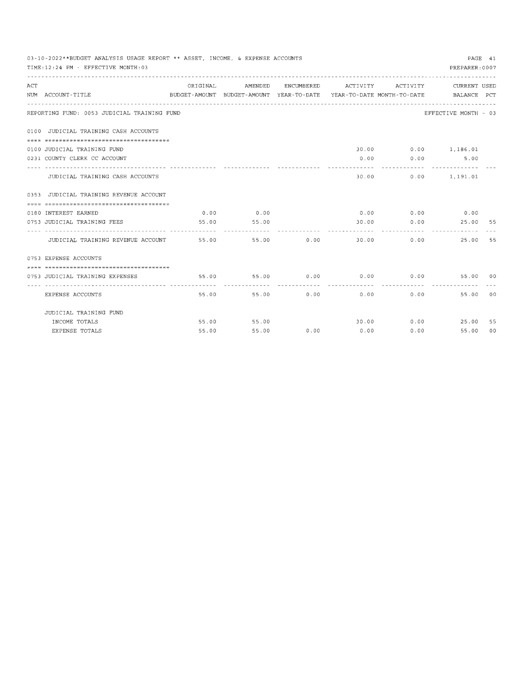|     | 03-10-2022**BUDGET ANALYSIS USAGE REPORT ** ASSET. INCOME. & EXPENSE ACCOUNTS<br>PAGE 41<br>TIME: 12:24 PM - EFFECTIVE MONTH: 03 |                                     |             |            |                      |                              |                                                                                 |    |  |  |
|-----|----------------------------------------------------------------------------------------------------------------------------------|-------------------------------------|-------------|------------|----------------------|------------------------------|---------------------------------------------------------------------------------|----|--|--|
|     |                                                                                                                                  |                                     |             |            |                      |                              | PREPARER: 0007                                                                  |    |  |  |
| ACT |                                                                                                                                  | ORIGINAL                            | AMENDED     | ENCUMBERED | ACTIVITY ACTIVITY    |                              | <b>CURRENT USED</b>                                                             |    |  |  |
|     | NUM ACCOUNT-TITLE                                                                                                                |                                     |             |            |                      |                              | BUDGET-AMOUNT BUDGET-AMOUNT YEAR-TO-DATE YEAR-TO-DATE MONTH-TO-DATE BALANCE PCT |    |  |  |
|     | REPORTING FUND: 0053 JUDICIAL TRAINING FUND                                                                                      |                                     |             |            |                      |                              | EFFECTIVE MONTH - 03                                                            |    |  |  |
|     | 0100 JUDICIAL TRAINING CASH ACCOUNTS                                                                                             |                                     |             |            |                      |                              |                                                                                 |    |  |  |
|     |                                                                                                                                  |                                     |             |            |                      |                              |                                                                                 |    |  |  |
|     | 0100 JUDICIAL TRAINING FUND                                                                                                      |                                     |             |            |                      |                              | 30.00 0.00 1,186.01                                                             |    |  |  |
|     | 0231 COUNTY CLERK CC ACCOUNT                                                                                                     | ----- -------------- -------------- |             |            |                      | $0.00$ 0.00<br>------------- | 5.00                                                                            |    |  |  |
|     | JUDICIAL TRAINING CASH ACCOUNTS                                                                                                  |                                     |             |            | 30.00                |                              | $0.00$ 1.191.01                                                                 |    |  |  |
|     | 0353 JUDICIAL TRAINING REVENUE ACCOUNT                                                                                           |                                     |             |            |                      |                              |                                                                                 |    |  |  |
|     |                                                                                                                                  |                                     |             |            |                      |                              |                                                                                 |    |  |  |
|     | 0180 INTEREST EARNED                                                                                                             | 0.00                                | 0.00        |            |                      |                              | $0.00$ $0.00$ $0.00$ $0.00$                                                     |    |  |  |
|     | 0753 JUDICIAL TRAINING FEES                                                                                                      | 55.00                               | 55.00       |            |                      |                              |                                                                                 |    |  |  |
|     | JUDICIAL TRAINING REVENUE ACCOUNT 55.00                                                                                          |                                     | 55.00       | 0.00       | 30.00                |                              | $0.00$ and $0.00$<br>25.00                                                      | 55 |  |  |
|     | 0753 EXPENSE ACCOUNTS                                                                                                            |                                     |             |            |                      |                              |                                                                                 |    |  |  |
|     |                                                                                                                                  |                                     |             |            |                      |                              |                                                                                 |    |  |  |
|     | 0753 JUDICIAL TRAINING EXPENSES                                                                                                  |                                     | 55.00 55.00 | 0.00       |                      |                              | 55.00 00                                                                        |    |  |  |
|     | EXPENSE ACCOUNTS                                                                                                                 | 55.00                               | 55.00       | .<br>0.00  | ------------<br>0.00 | 0.00                         | 55.00                                                                           | 00 |  |  |
|     | JUDICIAL TRAINING FUND                                                                                                           |                                     |             |            |                      |                              |                                                                                 |    |  |  |
|     | INCOME TOTALS                                                                                                                    |                                     | 55.00 55.00 |            |                      |                              | 30.00 0.00 25.00 55                                                             |    |  |  |
|     | EXPENSE TOTALS                                                                                                                   | 55.00                               | 55.00       | 0.00       | 0.00                 | 0.00                         | 55.00                                                                           | 00 |  |  |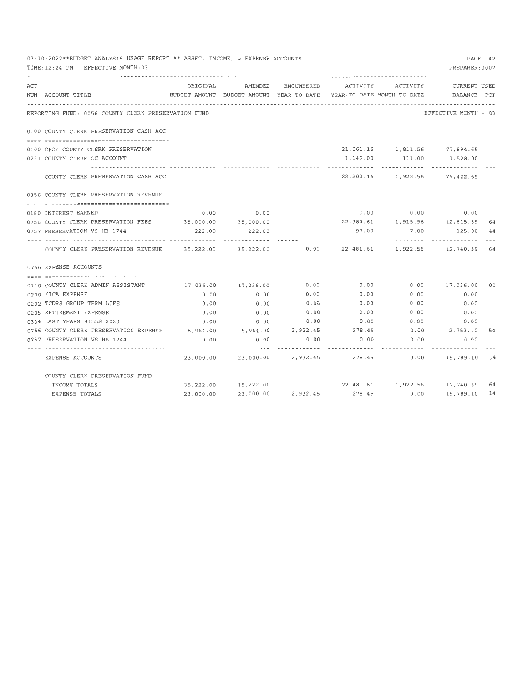|     | 03-10-2022**BUDGET ANALYSIS USAGE REPORT ** ASSET, INCOME, & EXPENSE ACCOUNTS<br>TIME: 12:24 PM - EFFECTIVE MONTH: 03 |           |                                                                                |            |          |                   | PREPARER: 0007                        | PAGE 42        |
|-----|-----------------------------------------------------------------------------------------------------------------------|-----------|--------------------------------------------------------------------------------|------------|----------|-------------------|---------------------------------------|----------------|
| ACT | NUM ACCOUNT-TITLE                                                                                                     | ORIGINAL  | AMENDED<br>BUDGET-AMOUNT BUDGET-AMOUNT YEAR-TO-DATE YEAR-TO-DATE MONTH-TO-DATE | ENCUMBERED |          | ACTIVITY ACTIVITY | CURRENT USED<br>BALANCE PCT           |                |
|     | REPORTING FUND: 0056 COUNTY CLERK PRESERVATION FUND                                                                   |           |                                                                                |            |          |                   | EFFECTIVE MONTH - 03                  |                |
|     | 0100 COUNTY CLERK PRESERVATION CASH ACC                                                                               |           |                                                                                |            |          |                   |                                       |                |
|     | --- <i>*</i> ===================================                                                                      |           |                                                                                |            |          |                   |                                       |                |
|     | 0100 CFC: COUNTY CLERK PRESERVATION                                                                                   |           |                                                                                |            |          |                   | 21,061.16 1,811.56 77,894.65          |                |
|     | 0231 COUNTY CLERK CC ACCOUNT                                                                                          |           |                                                                                |            | 1,142.00 | 111.00            | 1,528.00                              |                |
|     |                                                                                                                       |           |                                                                                |            |          |                   |                                       |                |
|     | COUNTY CLERK PRESERVATION CASH ACC                                                                                    |           |                                                                                |            |          |                   | 22, 203.16 1, 922.56 79, 422.65       |                |
|     | 0356 COUNTY CLERK PRESERVATION REVENUE                                                                                |           |                                                                                |            |          |                   |                                       |                |
|     |                                                                                                                       |           |                                                                                |            |          |                   |                                       |                |
|     | 0180 INTEREST EARNED                                                                                                  | 0.00      | 0.00                                                                           |            |          |                   | $0.00$ $0.00$ $0.00$ $0.00$           |                |
|     | 0756 COUNTY CLERK PRESERVATION FEES 35,000.00 35,000.00                                                               |           |                                                                                |            |          |                   | 22, 384.61    1, 915.56    12, 615.39 | 64             |
|     | 0757 PRESERVATION VS HB 1744                                                                                          | 222.00    | 222.00                                                                         |            |          |                   | 97.00 7.00 125.00 44                  |                |
|     | COUNTY CLERK PRESERVATION REVENUE 35,222.00 35,222.00 0.00 22,481.61 1,922.56 12,740.39 64                            |           |                                                                                |            |          |                   |                                       |                |
|     | 0756 EXPENSE ACCOUNTS                                                                                                 |           |                                                                                |            |          |                   |                                       |                |
|     |                                                                                                                       |           |                                                                                |            |          |                   |                                       |                |
|     | 0110 COUNTY CLERK ADMIN ASSISTANT                                                                                     | 17,036.00 | 17,036.00                                                                      | 0.00       | 0.00     |                   | $0.00$ 17,036.00                      | 0 <sub>0</sub> |
|     | 0200 FICA EXPENSE                                                                                                     | 0.00      | 0.00                                                                           | 0.00       | 0.00     | 0.00              | 0.00                                  |                |
|     | 0202 TCDRS GROUP TERM LIFE                                                                                            | 0.00      | 0.00                                                                           | 0.00       | 0.00     | 0.00              | 0.00                                  |                |
|     | 0205 RETIREMENT EXPENSE                                                                                               | 0.00      | 0.00                                                                           | 0.00       | 0.00     | 0.00              | 0.00                                  |                |
|     | 0334 LAST YEARS BILLS 2020                                                                                            | 0.00      | 0.00                                                                           | 0.00       | 0.00     | 0.00              | 0.00                                  |                |
|     | 0756 COUNTY CLERK PRESERVATION EXPENSE 5,964.00 5,964.00 2,932.45 278.45                                              |           |                                                                                |            |          |                   | $0.00$ 2, 753.10                      | 54             |
|     | 0757 PRESERVATION VS HB 1744                                                                                          | 0.00      | 0.00                                                                           | 0.00       | 0.00     | 0.00              | 0.00                                  |                |
|     | EXPENSE ACCOUNTS                                                                                                      |           | 23,000.00 23,000.00 2,932.45 278.45                                            |            |          |                   | $0.00$ 19,789.10 14                   |                |
|     | COUNTY CLERK PRESERVATION FUND                                                                                        |           |                                                                                |            |          |                   |                                       |                |
|     | INCOME TOTALS                                                                                                         |           | 35,222.00 35,222.00                                                            |            |          |                   | 22,481.61  1,922.56  12,740.39  64    |                |
|     | EXPENSE TOTALS                                                                                                        | 23,000.00 | 23,000.00                                                                      | 2,932.45   | 278.45   | 0.00              | 19,789.10 14                          |                |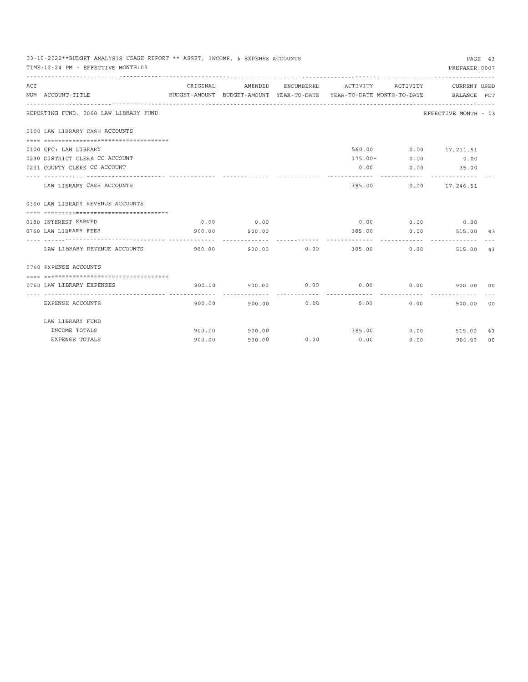|     | 03-10-2022**BUDGET ANALYSIS USAGE REPORT ** ASSET, INCOME, & EXPENSE ACCOUNTS<br>TIME: 12:24 PM - EFFECTIVE MONTH: 03 |          |                        |             |                                                                                 |                           | PREPARER: 0007                        | PAGE 43 |
|-----|-----------------------------------------------------------------------------------------------------------------------|----------|------------------------|-------------|---------------------------------------------------------------------------------|---------------------------|---------------------------------------|---------|
| ACT |                                                                                                                       | ORIGINAL | AMENDED                |             | ENCUMBERED ACTIVITY ACTIVITY                                                    |                           | CURRENT USED                          |         |
|     | NUM ACCOUNT-TITLE                                                                                                     |          |                        |             | BUDGET-AMOUNT BUDGET-AMOUNT YEAR-TO-DATE YEAR-TO-DATE MONTH-TO-DATE BALANCE PCT |                           |                                       |         |
|     | REPORTING FUND: 0060 LAW LIBRARY FUND                                                                                 |          |                        |             |                                                                                 |                           | EFFECTIVE MONTH - 03                  |         |
|     | 0100 LAW LIBRARY CASH ACCOUNTS                                                                                        |          |                        |             |                                                                                 |                           |                                       |         |
|     |                                                                                                                       |          |                        |             |                                                                                 |                           |                                       |         |
|     | 0100 CFC: LAW LIBRARY                                                                                                 |          |                        |             |                                                                                 |                           | 560.00 0.00 17,211.51                 |         |
|     | 0230 DISTRICT CLERK CC ACCOUNT                                                                                        |          |                        |             |                                                                                 |                           | $175.00 - 0.00$ 0.00                  |         |
|     | 0231 COUNTY CLERK CC ACCOUNT                                                                                          |          |                        |             |                                                                                 |                           | $0.00$ $0.00$ $35.00$                 |         |
|     | LAW LIBRARY CASH ACCOUNTS                                                                                             |          |                        |             |                                                                                 | ----------                | . <u>.</u> .<br>385.00 0.00 17,246.51 |         |
|     | 0360 LAW LIBRARY REVENUE ACCOUNTS                                                                                     |          |                        |             |                                                                                 |                           |                                       |         |
|     |                                                                                                                       |          |                        |             |                                                                                 |                           |                                       |         |
|     | 0180 INTEREST EARNED                                                                                                  | 0.00     | 0.00                   |             |                                                                                 |                           | $0.00$ $0.00$ $0.00$ $0.00$           |         |
|     | 0760 LAW LIBRARY FEES                                                                                                 | 900.00   | 900.00                 |             | 385.00                                                                          | 0.00                      | 515.00 43                             |         |
|     | LAW LIBRARY REVENUE ACCOUNTS                                                                                          | 900.00   | 900.00                 | 0.00        | -----------                                                                     | ----------<br>385.00 0.00 | 515.00                                | 43      |
|     | 0760 EXPENSE ACCOUNTS                                                                                                 |          |                        |             |                                                                                 |                           |                                       |         |
|     | -------------------------------------                                                                                 |          |                        |             |                                                                                 |                           |                                       |         |
|     | 0760 LAW LIBRARY EXPENSES                                                                                             | 900.00   | 900.00                 | 0.00        | 0.00                                                                            | 0.00                      | 900.00 00                             |         |
|     | EXPENSE ACCOUNTS                                                                                                      |          | ------------<br>900.00 | 900.00 0.00 | 0.00                                                                            | 0.00                      | 900.00                                | 00      |
|     | LAW LIBRARY FUND                                                                                                      |          |                        |             |                                                                                 |                           |                                       |         |
|     | INCOME TOTALS                                                                                                         | 900.00   | 900.00                 |             |                                                                                 |                           | 385.00 0.00 515.00                    | 43      |
|     | EXPENSE TOTALS                                                                                                        | 900.00   | 900.00                 | 0.00        | 0.00                                                                            | 0.00                      | 900.00                                | 00      |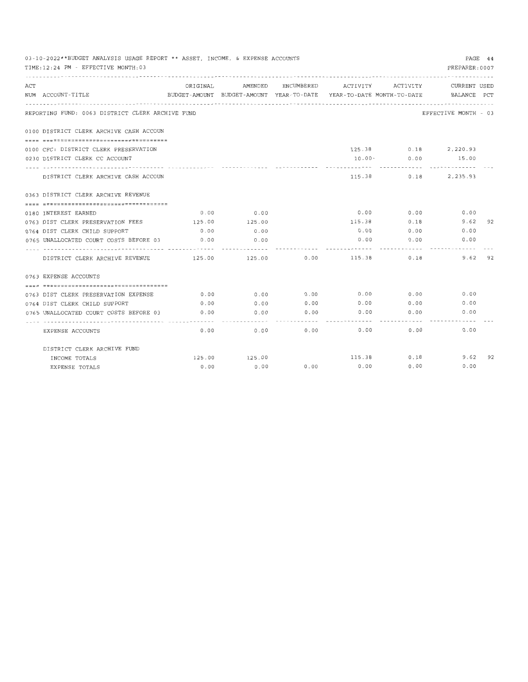|     | 03-10-2022**BUDGET ANALYSIS USAGE REPORT ** ASSET, INCOME, & EXPENSE ACCOUNTS<br>PREPARER: 0007<br>TIME: 12:24 PM - EFFECTIVE MONTH: 03<br>--------------------------------------<br>ENCUMBERED ACTIVITY ACTIVITY<br>ORIGINAL AMENDED |        |              |                  |                                                                                 |             |                      |           |  |  |
|-----|---------------------------------------------------------------------------------------------------------------------------------------------------------------------------------------------------------------------------------------|--------|--------------|------------------|---------------------------------------------------------------------------------|-------------|----------------------|-----------|--|--|
| ACT | NUM ACCOUNT-TITLE                                                                                                                                                                                                                     |        |              |                  | BUDGET-AMOUNT BUDGET-AMOUNT YEAR-TO-DATE YEAR-TO-DATE MONTH-TO-DATE BALANCE PCT |             | CURRENT USED         |           |  |  |
|     | REPORTING FUND: 0063 DISTRICT CLERK ARCHIVE FUND                                                                                                                                                                                      |        |              |                  |                                                                                 |             | EFFECTIVE MONTH - 03 |           |  |  |
|     | 0100 DISTRICT CLERK ARCHIVE CASH ACCOUN                                                                                                                                                                                               |        |              |                  |                                                                                 |             |                      |           |  |  |
|     |                                                                                                                                                                                                                                       |        |              |                  |                                                                                 |             |                      |           |  |  |
|     | 0100 CFC: DISTRICT CLERK PRESERVATION                                                                                                                                                                                                 |        |              |                  |                                                                                 |             | 125.38 0.18 2,220.93 |           |  |  |
|     | 0230 DISTRICT CLERK CC ACCOUNT                                                                                                                                                                                                        |        |              |                  |                                                                                 |             | 10.00 - 0.00 15.00   |           |  |  |
|     | DISTRICT CLERK ARCHIVE CASH ACCOUN                                                                                                                                                                                                    |        |              |                  |                                                                                 |             | 115.38 0.18 2,235.93 |           |  |  |
|     | 0363 DISTRICT CLERK ARCHIVE REVENUE                                                                                                                                                                                                   |        |              |                  |                                                                                 |             |                      |           |  |  |
|     |                                                                                                                                                                                                                                       |        |              |                  |                                                                                 |             |                      |           |  |  |
|     | 0180 INTEREST EARNED                                                                                                                                                                                                                  |        | $0.00$ 0.00  |                  | 0.00                                                                            | 0.00        | 0.00                 |           |  |  |
|     | 0763 DIST CLERK PRESERVATION FEES 125.00                                                                                                                                                                                              |        | 125.00       |                  | 115.38                                                                          | 0.18        | 9.62                 | 92        |  |  |
|     | 0764 DIST CLERK CHILD SUPPORT                                                                                                                                                                                                         | 0.00   | 0.00         |                  |                                                                                 | $0.00$ 0.00 | 0.00                 |           |  |  |
|     | 0765 UNALLOCATED COURT COSTS BEFORE 03                                                                                                                                                                                                | 0.00   | 0.00         |                  |                                                                                 | 0.00        | 0.00<br>0.00         |           |  |  |
|     | DISTRICT CLERK ARCHIVE REVENUE                                                                                                                                                                                                        | 125.00 |              |                  | 125.00 0.00 115.38                                                              | 0.18        |                      | $9.62$ 92 |  |  |
|     | 0763 EXPENSE ACCOUNTS                                                                                                                                                                                                                 |        |              |                  |                                                                                 |             |                      |           |  |  |
|     | ----------------------------------                                                                                                                                                                                                    |        |              |                  |                                                                                 |             |                      |           |  |  |
|     | 0763 DIST CLERK PRESERVATION EXPENSE                                                                                                                                                                                                  | 0.00   | 0.00         | 0.00             | 0.00                                                                            | 0.00        | 0.00                 |           |  |  |
|     | 0764 DIST CLERK CHILD SUPPORT                                                                                                                                                                                                         | 0.00   |              |                  | $0.00$ $0.00$ $0.00$ $0.00$ $0.00$                                              |             | 0.00                 |           |  |  |
|     | 0765 UNALLOCATED COURT COSTS BEFORE 03                                                                                                                                                                                                | 0.00   | . . <i>.</i> | $0.00$ 0.00<br>. |                                                                                 | $0.00$ 0.00 | 0.00                 |           |  |  |
|     | EXPENSE ACCOUNTS                                                                                                                                                                                                                      | 0.00   | 0.00         | 0.00             | 0.00                                                                            |             | 0.00<br>0.00         |           |  |  |
|     | DISTRICT CLERK ARCHIVE FUND                                                                                                                                                                                                           |        |              |                  |                                                                                 |             |                      |           |  |  |
|     | INCOME TOTALS                                                                                                                                                                                                                         | 125.00 | 125.00       |                  | 115.38                                                                          | 0.18        |                      | $9.62$ 92 |  |  |
|     | EXPENSE TOTALS                                                                                                                                                                                                                        | 0.00   | 0.00         | 0.00             | 0.00                                                                            | 0.00        | 0.00                 |           |  |  |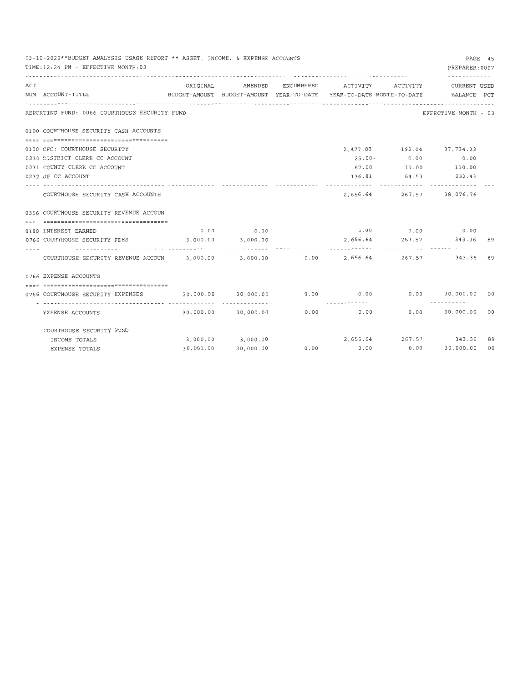|     | 03-10-2022**BUDGET ANALYSIS USAGE REPORT ** ASSET. INCOME. & EXPENSE ACCOUNTS<br>PAGE 45<br>TIME: 12:24 PM - EFFECTIVE MONTH: 03<br>PREPARER: 0007 |           |                                                                                            |               |                   |                |                                 |    |  |  |  |
|-----|----------------------------------------------------------------------------------------------------------------------------------------------------|-----------|--------------------------------------------------------------------------------------------|---------------|-------------------|----------------|---------------------------------|----|--|--|--|
| ACT | NUM ACCOUNT-TITLE                                                                                                                                  | ORIGINAL  | AMENDED<br>BUDGET-AMOUNT BUDGET-AMOUNT YEAR-TO-DATE YEAR-TO-DATE MONTH-TO-DATE BALANCE PCT | ENCUMBERED    | ACTIVITY ACTIVITY |                | CURRENT USED                    |    |  |  |  |
|     | REPORTING FUND: 0066 COURTHOUSE SECURITY FUND                                                                                                      |           |                                                                                            |               |                   |                | EFFECTIVE MONTH - 03            |    |  |  |  |
|     | 0100 COURTHOUSE SECURITY CASH ACCOUNTS                                                                                                             |           |                                                                                            |               |                   |                |                                 |    |  |  |  |
|     |                                                                                                                                                    |           |                                                                                            |               |                   |                |                                 |    |  |  |  |
|     | 0100 CFC: COURTHOUSE SECURITY                                                                                                                      |           |                                                                                            |               |                   |                | 2,477.83 192.04 37,734.33       |    |  |  |  |
|     | 0230 DISTRICT CLERK CC ACCOUNT                                                                                                                     |           |                                                                                            |               |                   | $25.00 - 0.00$ | 0.00                            |    |  |  |  |
|     | 0231 COUNTY CLERK CC ACCOUNT                                                                                                                       |           |                                                                                            |               |                   |                |                                 |    |  |  |  |
|     | 0232 JP CC ACCOUNT                                                                                                                                 |           |                                                                                            |               |                   | -------------  | 136.81 64.53 232.43             |    |  |  |  |
|     | COURTHOUSE SECURITY CASH ACCOUNTS                                                                                                                  |           |                                                                                            |               | 2.656.64          |                | 267.57 38,076.76                |    |  |  |  |
|     | 0366 COURTHOUSE SECURITY REVENUE ACCOUN                                                                                                            |           |                                                                                            |               |                   |                |                                 |    |  |  |  |
|     | ==================================                                                                                                                 |           |                                                                                            |               |                   |                |                                 |    |  |  |  |
|     | 0180 INTEREST EARNED                                                                                                                               |           | $0.00$ 0.00                                                                                |               |                   |                | $0.00$ 0.00 0.00                |    |  |  |  |
|     | 0766 COURTHOUSE SECURITY FEES                                                                                                                      |           | $3,000.00$ $3,000.00$                                                                      |               |                   |                | 2,656.64 267.57 343.36 89       |    |  |  |  |
|     | COURTHOUSE SECURITY REVENUE ACCOUN 3,000.00 3,000.00 0.00 0.00 2,656.64                                                                            |           |                                                                                            |               |                   |                | -----------<br>267.57 343.36 89 |    |  |  |  |
|     | 0766 EXPENSE ACCOUNTS                                                                                                                              |           |                                                                                            |               |                   |                |                                 |    |  |  |  |
|     | ===================================                                                                                                                |           |                                                                                            |               |                   |                |                                 |    |  |  |  |
|     | 0766 COURTHOUSE SECURITY EXPENSES                                                                                                                  |           |                                                                                            |               |                   |                |                                 |    |  |  |  |
|     | EXPENSE ACCOUNTS                                                                                                                                   |           | $30,000.00$ $30,000.00$ $0.00$ $0.00$ $0.00$ $0.00$ $30,000.00$ $00$                       | ------------- |                   | ------------   |                                 |    |  |  |  |
|     | COURTHOUSE SECURITY FUND                                                                                                                           |           |                                                                                            |               |                   |                |                                 |    |  |  |  |
|     | INCOME TOTALS                                                                                                                                      |           | 3,000.00 3,000.00                                                                          |               |                   |                | 2,656.64 267.57 343.36          | 89 |  |  |  |
|     | EXPENSE TOTALS                                                                                                                                     | 30,000.00 | 30,000.00                                                                                  | 0.00          |                   |                | $0.00$ $0.00$ $30,000.00$       | 00 |  |  |  |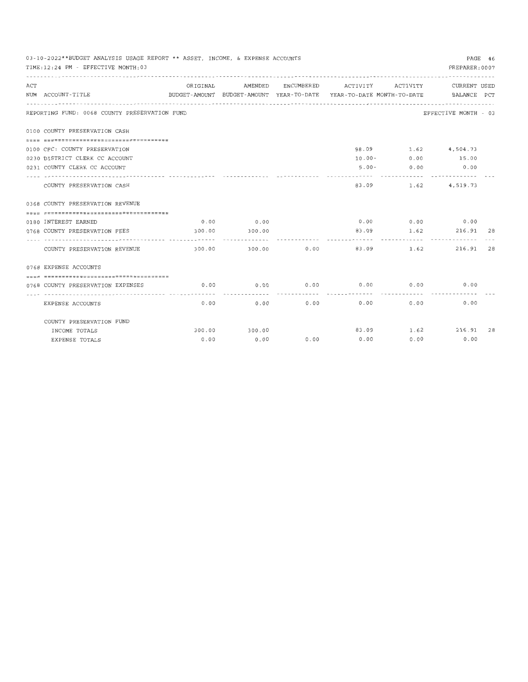|     | 03-10-2022**BUDGET ANALYSIS USAGE REPORT ** ASSET, INCOME, & EXPENSE ACCOUNTS<br>PREPARER: 0007<br>TIME: 12:24 PM - EFFECTIVE MONTH: 03 |                                                                                 |         |            |          |           |                             |    |  |  |
|-----|-----------------------------------------------------------------------------------------------------------------------------------------|---------------------------------------------------------------------------------|---------|------------|----------|-----------|-----------------------------|----|--|--|
| ACT | NUM ACCOUNT-TITLE                                                                                                                       | ORIGINAL<br>BUDGET-AMOUNT BUDGET-AMOUNT YEAR-TO-DATE YEAR-TO-DATE_MONTH-TO-DATE | AMENDED | ENCUMBERED | ACTIVITY | ACTIVITY  | CURRENT USED<br>BALANCE PCT |    |  |  |
|     | REPORTING FUND: 0068 COUNTY PRESERVATION FUND                                                                                           |                                                                                 |         |            |          |           | EFFECTIVE MONTH - 03        |    |  |  |
|     | 0100 COUNTY PRESERVATION CASH<br>------------------------------------                                                                   |                                                                                 |         |            |          |           |                             |    |  |  |
|     | 0100 CFC: COUNTY PRESERVATION                                                                                                           |                                                                                 |         |            |          |           | 98.09 1.62 4,504.73         |    |  |  |
|     | 0230 DISTRICT CLERK CC ACCOUNT                                                                                                          |                                                                                 |         |            |          |           | $10.00 - 0.00 - 15.00$      |    |  |  |
|     | 0231 COUNTY CLERK CC ACCOUNT                                                                                                            |                                                                                 |         |            | $5.00 -$ | 0.00      | 0.00                        |    |  |  |
|     | COUNTY PRESERVATION CASH                                                                                                                |                                                                                 |         |            | 83.09    |           | 1.62 4.519.73               |    |  |  |
|     | 0368 COUNTY PRESERVATION REVENUE                                                                                                        |                                                                                 |         |            |          |           |                             |    |  |  |
|     |                                                                                                                                         |                                                                                 |         |            |          |           |                             |    |  |  |
|     | 0180 INTEREST EARNED                                                                                                                    | 0.00                                                                            | 0.00    |            |          |           | $0.00$ $0.00$ $0.00$ $0.00$ |    |  |  |
|     | 0768 COUNTY PRESERVATION FEES                                                                                                           | 300.00                                                                          | 300.00  |            | 83.09    | --------- | $1.62$ 216.91 28            |    |  |  |
|     | COUNTY PRESERVATION REVENUE                                                                                                             | 300.00                                                                          | 300.00  | 0.00       | 83.09    | 1.62      | 216.91                      | 28 |  |  |
|     | 0768 EXPENSE ACCOUNTS                                                                                                                   |                                                                                 |         |            |          |           |                             |    |  |  |
|     |                                                                                                                                         |                                                                                 |         |            |          |           |                             |    |  |  |
|     | 0768 COUNTY PRESERVATION EXPENSES                                                                                                       | 0.00                                                                            | 0.00    | 0.00       | 0.00     | 0.00      | 0.00                        |    |  |  |
|     | EXPENSE ACCOUNTS                                                                                                                        | 0.00                                                                            | 0.00    | 0.00       | 0.00     | 0.00      | 0.00                        |    |  |  |
|     | COUNTY PRESERVATION FUND                                                                                                                |                                                                                 |         |            |          |           |                             |    |  |  |
|     | INCOME TOTALS                                                                                                                           | 300.00                                                                          | 300.00  |            |          |           | 83.09 1.62 216.91 28        |    |  |  |
|     | EXPENSE TOTALS                                                                                                                          | 0.00                                                                            | 0.00    | 0.00       | 0.00     | 0.00      | 0.00                        |    |  |  |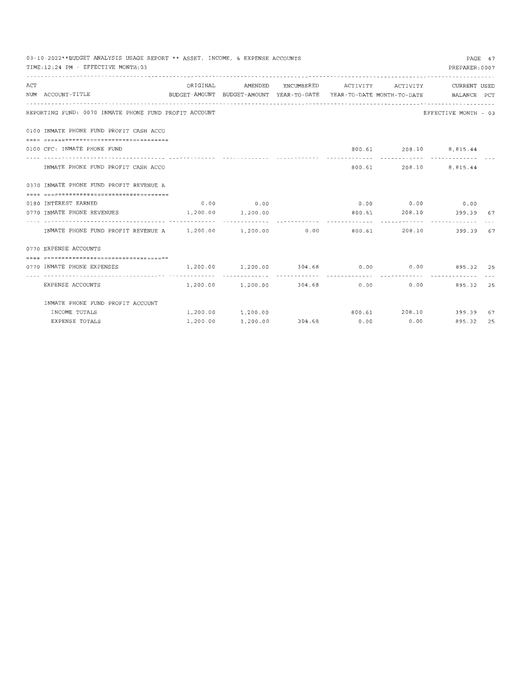|     | 03-10-2022**BUDGET ANALYSIS USAGE REPORT ** ASSET, INCOME, & EXPENSE ACCOUNTS<br>TIME: 12:24 PM - EFFECTIVE MONTH: 03 |                       |             |                               |                              |        | PREPARER: 0007                                      | PAGE 47 |
|-----|-----------------------------------------------------------------------------------------------------------------------|-----------------------|-------------|-------------------------------|------------------------------|--------|-----------------------------------------------------|---------|
| ACT |                                                                                                                       | ORIGINAL              | AMENDED     |                               | ENCUMBERED ACTIVITY ACTIVITY |        | CURRENT USED                                        |         |
|     | NUM ACCOUNT-TITLE<br>BUDGET-AMOUNT BUDGET-AMOUNT YEAR-TO-DATE YEAR-TO-DATE MONTH-TO-DATE BALANCE PCT                  |                       |             |                               |                              |        |                                                     |         |
|     |                                                                                                                       |                       |             |                               |                              |        |                                                     |         |
|     | REPORTING FUND: 0070 INMATE PHONE FUND PROFIT ACCOUNT                                                                 |                       |             |                               |                              |        | EFFECTIVE MONTH - 03                                |         |
|     | 0100 INMATE PHONE FUND PROFIT CASH ACCO                                                                               |                       |             |                               |                              |        |                                                     |         |
|     |                                                                                                                       |                       |             |                               |                              |        |                                                     |         |
|     | 0100 CFC: INMATE PHONE FUND                                                                                           |                       |             |                               |                              |        | 800.61 208.10 8,815.44                              |         |
|     | INMATE PHONE FUND PROFIT CASH ACCO                                                                                    |                       |             |                               |                              | 800.61 | 208.10 8,815.44                                     |         |
|     | 0370 INMATE PHONE FUND PROFIT REVENUE A                                                                               |                       |             |                               |                              |        |                                                     |         |
|     |                                                                                                                       |                       |             |                               |                              |        |                                                     |         |
|     | 0180 INTEREST EARNED                                                                                                  |                       | $0.00$ 0.00 |                               |                              |        | $0.00$ $0.00$ $0.00$ $0.00$                         |         |
|     | 0770 INMATE PHONE REVENUES                                                                                            | $1,200.00$ $1,200.00$ |             |                               |                              |        | 800.61 208.10 399.39 67                             |         |
|     |                                                                                                                       |                       |             |                               |                              |        |                                                     |         |
|     | INMATE PHONE FUND PROFIT REVENUE A 1,200.00 1,200.00 0.00                                                             |                       |             |                               |                              | 800.61 | 208.10<br>399.39 67                                 |         |
|     | 0770 EXPENSE ACCOUNTS                                                                                                 |                       |             |                               |                              |        |                                                     |         |
|     | =====================================                                                                                 |                       |             |                               |                              |        |                                                     |         |
|     | 0770 INMATE PHONE EXPENSES                                                                                            |                       |             |                               |                              |        | $1,200.00$ $1,200.00$ $304.68$ 0.00 0.00 895.32 25  |         |
|     | EXPENSE ACCOUNTS                                                                                                      |                       |             |                               |                              | .      | $1,200.00$ $1,200.00$ $304.68$ 0.00 0.00 895.32 25  |         |
|     | INMATE PHONE FUND PROFIT ACCOUNT                                                                                      |                       |             |                               |                              |        |                                                     |         |
|     | INCOME TOTALS                                                                                                         |                       |             |                               |                              |        | $1,200.00$ $1,200.00$ $800.61$ $208.10$ $399.39$ 67 |         |
|     | EXPENSE TOTALS                                                                                                        | 1,200.00              |             | $1,200.00$ $304.68$ 0.00 0.00 |                              |        | 895.32 25                                           |         |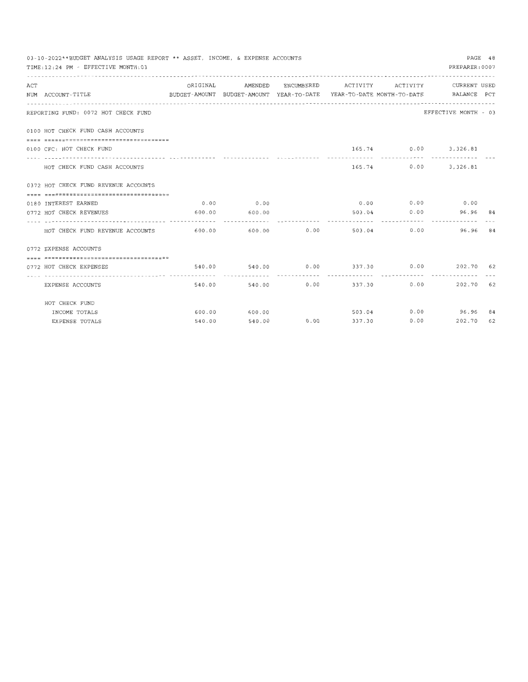|     | 03-10-2022**BUDGET ANALYSIS USAGE REPORT ** ASSET, INCOME, & EXPENSE ACCOUNTS<br>TIME: 12:24 PM - EFFECTIVE MONTH: 03 |          |                    |                                |                    |             | PREPARER: 0007                                        | PAGE 48 |
|-----|-----------------------------------------------------------------------------------------------------------------------|----------|--------------------|--------------------------------|--------------------|-------------|-------------------------------------------------------|---------|
| ACT |                                                                                                                       | ORIGINAL | AMENDED            |                                |                    |             | ENCUMBERED ACTIVITY ACTIVITY CURRENT USED             |         |
|     | BUDGET-AMOUNT BUDGET-AMOUNT YEAR-TO-DATE YEAR-TO-DATE MONTH-TO-DATE BALANCE PCT<br>NUM ACCOUNT-TITLE                  |          |                    |                                |                    |             |                                                       |         |
|     |                                                                                                                       |          |                    |                                |                    |             |                                                       |         |
|     | REPORTING FUND: 0072 HOT CHECK FUND                                                                                   |          |                    |                                |                    |             | EFFECTIVE MONTH - 03                                  |         |
|     | 0100 HOT CHECK FUND CASH ACCOUNTS                                                                                     |          |                    |                                |                    |             |                                                       |         |
|     |                                                                                                                       |          |                    |                                |                    |             |                                                       |         |
|     | 0100 CFC: HOT CHECK FUND                                                                                              |          |                    |                                |                    |             | 165.74 0.00 3,326.81<br>----------------------------- |         |
|     | HOT CHECK FUND CASH ACCOUNTS                                                                                          |          |                    |                                |                    |             | 165.74 0.00 3,326.81                                  |         |
|     | 0372 HOT CHECK FUND REVENUE ACCOUNTS                                                                                  |          |                    |                                |                    |             |                                                       |         |
|     |                                                                                                                       |          |                    |                                |                    |             |                                                       |         |
|     | 0180 INTEREST EARNED                                                                                                  |          | $0.00$ 0.00        |                                |                    |             | $0.00$ $0.00$ $0.00$ $0.00$                           |         |
|     | 0772 HOT CHECK REVENUES                                                                                               |          | 600.00 600.00      |                                |                    |             | 503.04 0.00 96.96 84                                  |         |
|     | HOT CHECK FUND REVENUE ACCOUNTS 600.00 600.00 600.00 0.00                                                             |          |                    |                                |                    |             | 503.04 0.00 96.96                                     | 84      |
|     | 0772 EXPENSE ACCOUNTS                                                                                                 |          |                    |                                |                    |             |                                                       |         |
|     | -----------------------------------                                                                                   |          |                    |                                |                    |             |                                                       |         |
|     | 0772 HOT CHECK EXPENSES                                                                                               |          | .                  | - - - - <i>- - - - - - -</i> - |                    |             | 540.00 540.00 0.00 337.30 0.00 202.70 62              |         |
|     | EXPENSE ACCOUNTS                                                                                                      |          | 540.00 540.00 0.00 |                                |                    | 337.30 0.00 | 202.70 62                                             |         |
|     | HOT CHECK FUND                                                                                                        |          |                    |                                |                    |             |                                                       |         |
|     | INCOME TOTALS                                                                                                         |          | 600.00 600.00      |                                |                    |             | 503.04 0.00 96.96 84                                  |         |
|     | <b>EXPENSE TOTALS</b>                                                                                                 |          | 540.00 540.00      |                                | $0.00$ 337.30 0.00 |             | 202.70 62                                             |         |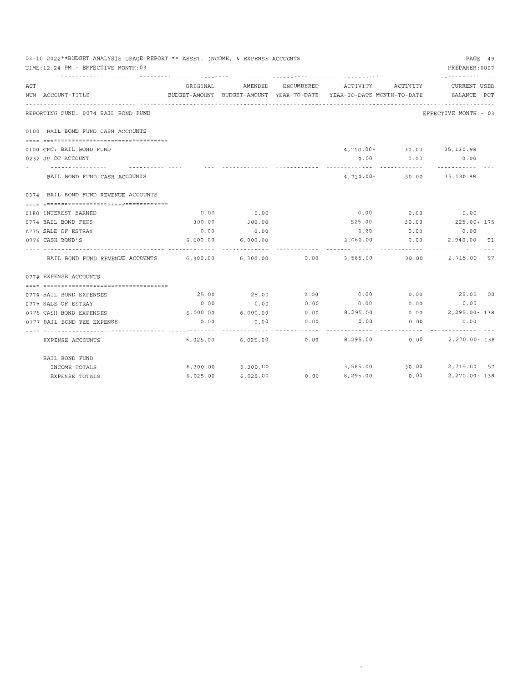| 03-10-2022**BUDGET ANALYSIS USAGE REPORT ** ASSET, INCOME, & EXPENSE ACCOUNTS<br>TIME: 12:24 PM - EFFECTIVE MONTH: 03 |          |          |      |                                                                                                     |                              | PAGE 49<br>PREPARER: 0007          |
|-----------------------------------------------------------------------------------------------------------------------|----------|----------|------|-----------------------------------------------------------------------------------------------------|------------------------------|------------------------------------|
| ACT<br>NUM ACCOUNT-TITLE                                                                                              | ORIGINAL | AMENDED  |      | ENCUMBERED ACTIVITY ACTIVITY<br>BUDGET-AMOUNT BUDGET-AMOUNT YEAR-TO-DATE YEAR-TO-DATE MONTH-TO-DATE |                              | <b>CURRENT USED</b><br>BALANCE PCT |
| REPORTING FUND: 0074 BAIL BOND FUND                                                                                   |          |          |      |                                                                                                     |                              | EFFECTIVE MONTH - 03               |
| 0100 BAIL BOND FUND CASH ACCOUNTS                                                                                     |          |          |      |                                                                                                     |                              |                                    |
|                                                                                                                       |          |          |      |                                                                                                     |                              |                                    |
| 0100 CFC: BAIL BOND FUND                                                                                              |          |          |      |                                                                                                     | 4,710.00- 30.00 35,130.98    |                                    |
| 0232 JP CC ACCOUNT                                                                                                    |          |          |      | 0.00                                                                                                | 0.00                         | 0.00                               |
| BAIL BOND FUND CASH ACCOUNTS                                                                                          |          |          |      |                                                                                                     | 4, 710.00 - 30.00 35, 130.98 |                                    |
| 0374 BAIL BOND FUND REVENUE ACCOUNTS                                                                                  |          |          |      |                                                                                                     |                              |                                    |
|                                                                                                                       |          |          |      |                                                                                                     |                              |                                    |
| 0180 INTEREST EARNED                                                                                                  | 0.00     | 0.00     |      |                                                                                                     | $0.00$ $0.00$ $0.00$ $0.00$  |                                    |
| 0774 BAIL BOND FEES                                                                                                   | 300.00   | 300.00   |      |                                                                                                     |                              | 525.00 30.00 225.00+ 175           |
| 0775 SALE OF ESTRAY                                                                                                   | 0.00     | 0.00     |      |                                                                                                     | $0.00$ 0.00                  | 0.00                               |
| 0776 CASH BOND'S                                                                                                      | 6,000.00 | 6,000.00 |      | 3,060.00                                                                                            | 0.00                         | 2,940.00 51                        |
| BAIL BOND FUND REVENUE ACCOUNTS 6,300.00                                                                              |          | 6,300.00 |      | $0.00$ 3,585.00                                                                                     | 30.00                        | 2,715.00 57                        |
| 0774 EXPENSE ACCOUNTS                                                                                                 |          |          |      |                                                                                                     |                              |                                    |
|                                                                                                                       |          |          |      |                                                                                                     |                              |                                    |
| 0774 BAIL BOND EXPENSES                                                                                               | 25.00    | 25.00    | 0.00 | 0.00                                                                                                | 0.00                         | 25.00 00                           |
| 0775 SALE OF ESTRAY                                                                                                   | 0.00     | 0.00     | 0.00 | 0.00                                                                                                | 0.00                         | 0.00                               |
| 0776 CASH BOND EXPENSES                                                                                               | 6,000.00 | 6,000.00 |      |                                                                                                     |                              | $0.00$ 8,295.00 0.00 2,295.00 138  |
| 0777 BAIL BOND FEE EXPENSE                                                                                            | 0.00     | 0.00     | 0.00 | 0.00                                                                                                | 0.00                         | 0.00                               |
| EXPENSE ACCOUNTS                                                                                                      | 6,025.00 | 6,025.00 |      | 0.00                                                                                                | 8,295.00 0.00                | 2,270.00-138                       |
| BAIL BOND FUND                                                                                                        |          |          |      |                                                                                                     |                              |                                    |
| INCOME TOTALS                                                                                                         | 6,300.00 | 6,300.00 |      |                                                                                                     |                              | 3,585.00 30.00 2,715.00 57         |
| <b>EXPENSE TOTALS</b>                                                                                                 | 6,025.00 | 6,025.00 | 0.00 | 8,295.00                                                                                            | 0.00                         | 2,270.00-138                       |

 $\sim$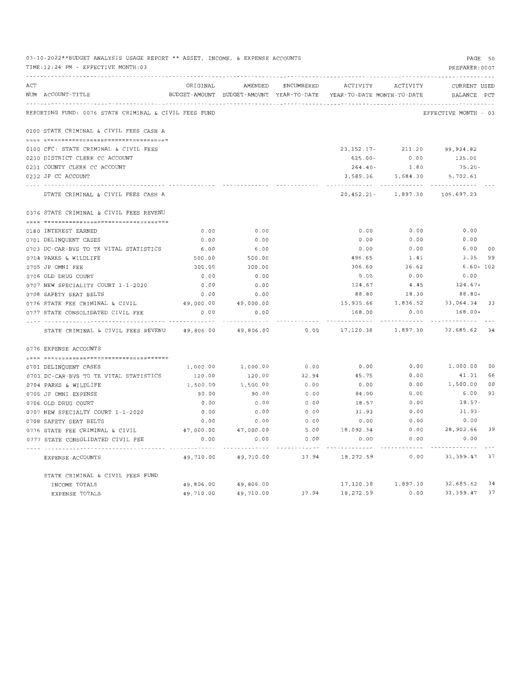|     | 03-10-2022**BUDGET ANALYSIS USAGE REPORT ** ASSET, INCOME, & EXPENSE ACCOUNTS<br>TIME: 12:24 PM - EFFECTIVE MONTH: 03 |           |                                                                                |            |                    |                        | PAGE 50<br>PREPARER: 0007          |    |
|-----|-----------------------------------------------------------------------------------------------------------------------|-----------|--------------------------------------------------------------------------------|------------|--------------------|------------------------|------------------------------------|----|
| ACT | NUM ACCOUNT-TITLE                                                                                                     | ORIGINAL  | AMENDED<br>BUDGET-AMOUNT BUDGET-AMOUNT YEAR-TO-DATE YEAR-TO-DATE MONTH-TO-DATE | ENCUMBERED | ACTIVITY           | ACTIVITY               | <b>CURRENT USED</b><br>BALANCE PCT |    |
|     |                                                                                                                       |           |                                                                                |            |                    |                        |                                    |    |
|     | REPORTING FUND: 0076 STATE CRIMINAL & CIVIL FEES FUND                                                                 |           |                                                                                |            |                    |                        | EFFECTIVE MONTH - 03               |    |
|     | 0100 STATE CRIMINAL & CIVIL FEES CASH A                                                                               |           |                                                                                |            |                    |                        |                                    |    |
|     |                                                                                                                       |           |                                                                                |            |                    |                        |                                    |    |
|     | 0100 CFC: STATE CRIMINAL & CIVIL FEES                                                                                 |           |                                                                                |            | 23, 152. 17-       | 211.20                 | 99,934.82                          |    |
|     | 0230 DISTRICT CLERK CC ACCOUNT                                                                                        |           |                                                                                |            | $625.00 -$         | 0.00                   | 135.00                             |    |
|     | 0231 COUNTY CLERK CC ACCOUNT                                                                                          |           |                                                                                |            | $264.40-$          | 1.80                   | $75.20 -$                          |    |
|     | 0232 JP CC ACCOUNT                                                                                                    |           |                                                                                |            | 3,589.36           | 1,684.30               | 5,702.61                           |    |
|     | STATE CRIMINAL & CIVIL FEES CASH A                                                                                    |           |                                                                                |            | $20,452.21 -$      | 1,897.30               | 105,697.23                         |    |
|     | 0376 STATE CRIMINAL & CIVIL FEES REVENU                                                                               |           |                                                                                |            |                    |                        |                                    |    |
|     |                                                                                                                       |           |                                                                                |            |                    |                        |                                    |    |
|     | 0180 INTEREST EARNED                                                                                                  | 0.00      | 0.00                                                                           |            | 0.00               | 0.00                   | 0.00                               |    |
|     | 0701 DELINQUENT CASES                                                                                                 | 0.00      | 0.00                                                                           |            | 0.00               | 0.00                   | 0.00                               |    |
|     | 0703 DC-CAR-BVS TO TX VITAL STATISTICS                                                                                | 6.00      | 6.00                                                                           |            | 0.00               | 0.00                   | 6.00                               | 00 |
|     | 0704 PARKS & WILDLIFE                                                                                                 | 500.00    | 500.00                                                                         |            | 496.65             | 1.41                   | 3.35                               | 99 |
|     | 0705 JP OMNI FEE                                                                                                      | 300.00    | 300.00                                                                         |            | 306.60             | 36.62                  | $6.60 + 102$                       |    |
|     | 0706 OLD DRUG COURT                                                                                                   | 0.00      | 0.00                                                                           |            | 0.00               | 0.00                   | 0.00                               |    |
|     | 0707 NEW SPECIALITY COURT 1-1-2020                                                                                    | 0.00      | 0.00                                                                           |            | 124.67             | 4.45                   | $124.67+$                          |    |
|     | 0708 SAFETY SEAT BELTS                                                                                                | 0.00      | 0.00                                                                           |            | 88.80              | 18.30                  | 88.80+                             |    |
|     | 0776 STATE FEE CRIMINAL & CIVIL                                                                                       | 49,000.00 | 49,000.00                                                                      |            | 15,935.66          | 1,836.52               | 33,064.34 33                       |    |
|     | 0777 STATE CONSOLIDATED CIVIL FEE                                                                                     | 0.00      | 0.00                                                                           |            | 168.00<br>-------- | 0.00                   | 168.00+<br>----------              |    |
|     | STATE CRIMINAL & CIVIL FEES REVENU                                                                                    | 49,806.00 | 49,806.00                                                                      | 0.00       | 17,120.38          | 1,897.30               | 32,685.62 34                       |    |
|     | 0776 EXPENSE ACCOUNTS                                                                                                 |           |                                                                                |            |                    |                        |                                    |    |
|     |                                                                                                                       |           |                                                                                |            |                    |                        |                                    |    |
|     | 0701 DELINQUENT CASES                                                                                                 | 1,000.00  | 1,000.00                                                                       | 0.00       | 0.00               | 0.00                   | 1,000.00 00                        |    |
|     | 0703 DC-CAR-BVS TO TX VITAL STATISTICS                                                                                | 120.00    | 120.00                                                                         | 32.94      | 45.75              | 0.00                   | 41.31                              | 66 |
|     | 0704 PARKS & WILDLIFE                                                                                                 | 1,500.00  | 1,500.00                                                                       | 0.00       | 0.00               | 0.00                   | 1,500.00                           | 00 |
|     | 0705 JP OMNI EXPENSE                                                                                                  | 90.00     | 90.00                                                                          | 0.00       | 84.00              | 0.00                   | 6.00                               | 93 |
|     | 0706 OLD DRUG COURT                                                                                                   | 0.00      | 0.00                                                                           | 0.00       | 18.57              | 0.00                   | 18.57-                             |    |
|     | 0707 NEW SPECIALTY COURT 1-1-2020                                                                                     | 0.00      | 0.00                                                                           | 0.00       | 31.93              | 0.00                   | $31.93 -$                          |    |
|     | 0708 SAFETY SEAT BELTS                                                                                                | 0.00      | 0.00                                                                           | 0.00       | 0.00               | 0.00                   | 0.00                               |    |
|     | 0776 STATE FEE CRIMINAL & CIVIL                                                                                       | 47,000.00 | 47,000.00                                                                      | 5.00       | 18,092.34          | 0.00                   | 28,902.66                          | 39 |
|     | 0777 STATE CONSOLIDATED CIVIL FEE                                                                                     | 0.00      | 0.00                                                                           | 0.00       | 0.00               | 0.00                   | 0.00                               |    |
|     | EXPENSE ACCOUNTS                                                                                                      | 49,710.00 | 49,710.00                                                                      | 37.94      | 18,272.59          | 0.00                   | 31, 399. 47 37                     |    |
|     | STATE CRIMINAL & CIVIL FEES FUND                                                                                      |           |                                                                                |            |                    |                        |                                    |    |
|     | INCOME TOTALS                                                                                                         | 49,806.00 | 49,806.00                                                                      |            |                    | 17, 120.38   1, 897.30 | 32,685.62 34                       |    |
|     | EXPENSE TOTALS                                                                                                        | 49,710.00 | 49,710.00                                                                      | 37.94      | 18,272.59          | 0.00                   | 31,399.47                          | 37 |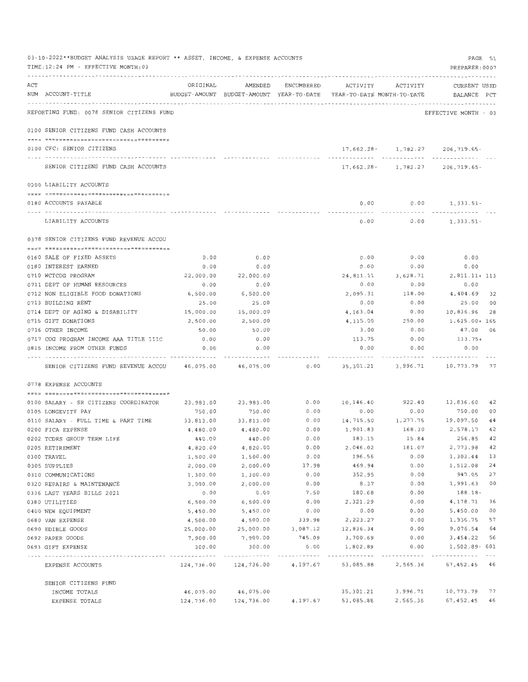|     | 03-10-2022**BUDGET ANALYSIS USAGE REPORT ** ASSET, INCOME, & EXPENSE ACCOUNTS<br>TIME: 12:24 PM - EFFECTIVE MONTH: 03 |                       |                       |                    |                                                                     |                   | PAGE 51<br>PREPARER: 0007                      |                        |
|-----|-----------------------------------------------------------------------------------------------------------------------|-----------------------|-----------------------|--------------------|---------------------------------------------------------------------|-------------------|------------------------------------------------|------------------------|
| ACT | NUM ACCOUNT-TITLE                                                                                                     | ORIGINAL              | AMENDED               | ENCUMBERED         | BUDGET-AMOUNT BUDGET-AMOUNT YEAR-TO-DATE YEAR-TO-DATE MONTH-TO-DATE | ACTIVITY ACTIVITY | CURRENT USED<br>BALANCE PCT                    |                        |
|     | REPORTING FUND: 0078 SENIOR CITIZENS FUND                                                                             |                       |                       |                    |                                                                     |                   | EFFECTIVE MONTH - 03                           |                        |
|     | 0100 SENIOR CITIZENS FUND CASH ACCOUNTS                                                                               |                       |                       |                    |                                                                     |                   |                                                |                        |
|     | 0100 CFC: SENIOR CITIZENS                                                                                             |                       |                       |                    |                                                                     |                   | $17,662.28 - 1,782.27$ 206,719.65-             |                        |
|     | SENIOR CITIZENS FUND CASH ACCOUNTS                                                                                    |                       |                       |                    |                                                                     |                   | 17,662.28- 1.782.27 206.719.65-                |                        |
|     | 0200 LIABILITY ACCOUNTS                                                                                               |                       |                       |                    |                                                                     |                   |                                                |                        |
|     |                                                                                                                       |                       |                       |                    | 0.00                                                                |                   | $0.00$ 1, 333.51-                              |                        |
|     | 0180 ACCOUNTS PAYABLE                                                                                                 |                       |                       |                    | $- - - - -$                                                         | $- - - - - - -$   |                                                |                        |
|     | LIABILITY ACCOUNTS                                                                                                    |                       |                       |                    | 0.00                                                                | 0.00              | 1,333.51-                                      |                        |
|     | 0378 SENIOR CITIZENS FUND REVENUE ACCOU                                                                               |                       |                       |                    |                                                                     |                   |                                                |                        |
|     | 0160 SALE OF FIXED ASSETS                                                                                             | 0.00                  | 0.00                  |                    | 0.00                                                                | 0.00              | 0.00                                           |                        |
|     | 0180 INTEREST EARNED                                                                                                  | 0.00                  | 0.00                  |                    | 0.00                                                                | 0.00              | 0.00                                           |                        |
|     | 0710 WCTCOG PROGRAM                                                                                                   | 22,000.00             | 22,000.00             |                    | 24,811.11                                                           | 3,628.71          | $2,811.11+113$                                 |                        |
|     | 0711 DEPT OF HUMAN RESOURCES                                                                                          | 0.00                  | 0.00                  |                    | 0.00                                                                | 0.00              | 0.00                                           |                        |
|     | 0712 NON ELIGIBLE FOOD DONATIONS                                                                                      | 6,500.00              | 6,500.00              |                    | 2,095.31                                                            | 118.00            | 4,404.69 32                                    |                        |
|     | 0713 BUILDING RENT                                                                                                    | 25.00                 | 25.00                 |                    | 0.00                                                                | 0.00              | 25.00 00                                       |                        |
|     | 0714 DEPT OF AGING & DISABILITY                                                                                       | 15,000.00             | 15,000.00             |                    | 4,163.04                                                            | 0.00              | 10,836.96                                      | 28                     |
|     | 0715 GIFT DONATIONS                                                                                                   | 2,500.00              | 2,500.00              |                    | 4,115.00                                                            | 250.00            | 1,615.00+ 165                                  |                        |
|     | 0716 OTHER INCOME                                                                                                     | 50.00                 | 50.00                 |                    | 3.00                                                                | 0.00<br>0.00      | 47.00 06<br>113.75+                            |                        |
|     | 0717 COG PROGRAM INCOME AAA TITLE IIIC<br>0815 INCOME FROM OTHER FUNDS                                                | 0.00<br>0.00          | 0.00<br>0.00          |                    | 113.75<br>0.00                                                      | 0.00              | 0.00                                           |                        |
|     |                                                                                                                       |                       |                       |                    | ----------                                                          |                   |                                                |                        |
|     | SENIOR CITIZENS FUND REVENUE ACCOU 46,075.00 46,075.00                                                                |                       |                       | 0.00               |                                                                     |                   | 35, 301. 21    3, 996. 71    10, 773. 79    77 |                        |
|     | 0778 EXPENSE ACCOUNTS                                                                                                 |                       |                       |                    |                                                                     |                   |                                                |                        |
|     | 0100 SALARY - SR CITIZENS COORDINATOR                                                                                 | 23,983.00             | 23,983.00             | 0.00               | 10.146.40                                                           | 922.40            | 13,836.60 42                                   |                        |
|     | 0105 LONGEVITY PAY                                                                                                    | 750.00                | 750.00                | 0.00               | 0.00                                                                | 0.00              | 750.00 00                                      |                        |
|     | 0110 SALARY - FULL TIME & PART TIME                                                                                   | 33,813.00             | 33, 813.00            | 0.00               |                                                                     |                   | 14,715.50    1,277.75    19,097.50             | 44                     |
|     | 0200 FICA EXPENSE                                                                                                     | 4,480.00              | 4,480.00              | 0.00               | 1,901.83                                                            | 168.30            | 2.578.17                                       | 42                     |
|     | 0202 TCDRS GROUP TERM LIFE                                                                                            | 440.00                | 440.00                | $0.00$             | 183.15                                                              | 15.84             | 256.85 42                                      |                        |
|     | 0205 RETIREMENT                                                                                                       | 4,820.00              | 4,820.00              | 0.00               | 2,046.02                                                            | 181.07            | 2,773.98                                       | 42                     |
|     | 0300 TRAVEL                                                                                                           | 1,500.00              | 1,500.00              | 0.00               | 196.56                                                              | 0.00              | 1,303.44                                       | 13                     |
|     | 0305 SUPPLIES                                                                                                         | 2,000.00              | 2,000.00              | 17.98              | 469.94                                                              | 0.00              | 1,512.08                                       | 24                     |
|     | 0310 COMMUNICATIONS                                                                                                   | 1,300.00              | 1,300.00              | 0.00               | 352.95                                                              | 0.00              | 947.05                                         | 27                     |
|     | 0320 REPAIRS & MAINTENANCE                                                                                            | 2,000.00              | 2,000.00              | 0.00               | 8.37                                                                | 0.00              | 1,991.63                                       | 00                     |
|     | 0336 LAST YEARS BILLS 2021                                                                                            | 0.00                  | 0.00                  | 7.50               | 180.68                                                              | 0.00              | 188.18-                                        |                        |
|     | 0380 UTILITIES                                                                                                        | 6,500.00              | 6,500.00              | 0.00               | 2,321.29                                                            | 0.00              | 4,178.71                                       | 36<br>00               |
|     | 0400 NEW EQUIPMENT                                                                                                    | 5,450.00              | 5,450.00              | 0.00               | 0.00<br>2,223.27                                                    | 0.00<br>0.00      | 5,450.00<br>1,936.75                           | 57                     |
|     | 0680 VAN EXPENSE                                                                                                      | 4,500.00              | 4,500.00              | 339.98             | 12,836.34                                                           | 0.00              | 9,076.54                                       | 64                     |
|     | 0690 EDIBLE GOODS<br>0692 PAPER GOODS                                                                                 | 25,000.00<br>7,900.00 | 25,000.00<br>7,900.00 | 3,087.12<br>745.09 | 3,700.69                                                            | 0.00              | 3,454.22                                       | 56                     |
|     | 0693 GIFT EXPENSE                                                                                                     | 300.00                | 300.00                | 0.00               | 1,802.89                                                            | 0.00              | 1,502.89- 601                                  |                        |
|     | EXPENSE ACCOUNTS                                                                                                      | 124,736.00            | 124,736.00            | 4,197.67           | 53,085.88                                                           | 2,565.36          | .<br>67,452.45 46                              | $\cdots \cdots \cdots$ |
|     | SENIOR CITIZENS FUND                                                                                                  |                       |                       |                    |                                                                     |                   |                                                |                        |
|     | INCOME TOTALS                                                                                                         | 46,075.00             | 46,075.00             |                    | 35,301.21                                                           | 3,996.71          | 10,773.79 77                                   |                        |
|     | EXPENSE TOTALS                                                                                                        | 124,736.00            | 124,736.00            | 4,197.67           | 53,085.88                                                           | 2,565.36          | 67,452.45 46                                   |                        |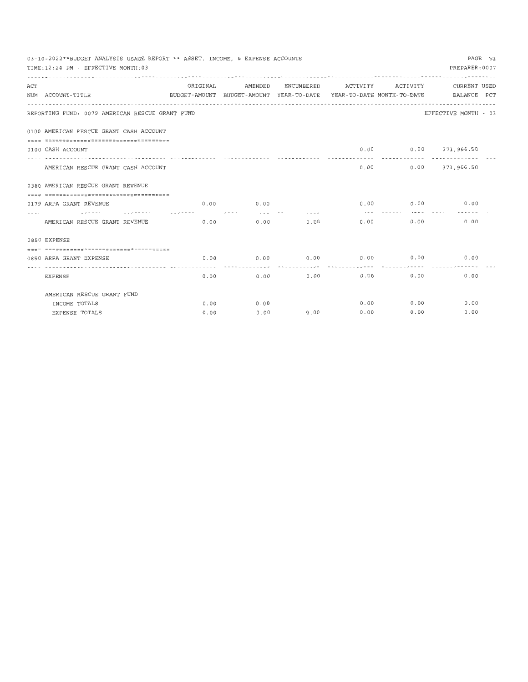|     | TIME: 12:24 PM - EFFECTIVE MONTH: 03            | PAGE 52<br>03-10-2022**BUDGET ANALYSIS USAGE REPORT ** ASSET, INCOME, & EXPENSE ACCOUNTS<br>PREPARER: 0007 |                                                  |              |              |              |                                                                                                 |  |  |  |  |  |
|-----|-------------------------------------------------|------------------------------------------------------------------------------------------------------------|--------------------------------------------------|--------------|--------------|--------------|-------------------------------------------------------------------------------------------------|--|--|--|--|--|
| ACT | NUM ACCOUNT-TITLE                               | ORIGINAL                                                                                                   | AMENDED                                          | ENCUMBERED   | ACTIVITY     | ACTIVITY     | CURRENT USED<br>BUDGET-AMOUNT BUDGET-AMOUNT YEAR-TO-DATE YEAR-TO-DATE MONTH-TO-DATE BALANCE PCT |  |  |  |  |  |
|     | REPORTING FUND: 0079 AMERICAN RESCUE GRANT FUND |                                                                                                            |                                                  |              |              |              | EFFECTIVE MONTH - 03                                                                            |  |  |  |  |  |
|     | 0100 AMERICAN RESCUE GRANT CASH ACCOUNT         |                                                                                                            |                                                  |              |              |              |                                                                                                 |  |  |  |  |  |
|     | 0100 CASH ACCOUNT                               |                                                                                                            |                                                  |              |              |              | $0.00$ $0.00$ $371,966.50$                                                                      |  |  |  |  |  |
|     | AMERICAN RESCUE GRANT CASH ACCOUNT              |                                                                                                            |                                                  |              | 0.00         | .            | $0.00$ $371,966.50$                                                                             |  |  |  |  |  |
|     | 0380 AMERICAN RESCUE GRANT REVENUE              |                                                                                                            |                                                  |              |              |              |                                                                                                 |  |  |  |  |  |
|     | -------------------------------------           |                                                                                                            |                                                  |              |              |              |                                                                                                 |  |  |  |  |  |
|     | 0179 ARPA GRANT REVENUE                         |                                                                                                            | $0.00$ 0.00                                      |              |              |              | $0.00$ $0.00$ $0.00$ $0.00$                                                                     |  |  |  |  |  |
|     | AMERICAN RESCUE GRANT REVENUE                   | 0.00                                                                                                       |                                                  | 0.00<br>0.00 | 0.00         | 0.00         | 0.00                                                                                            |  |  |  |  |  |
|     | 0850 EXPENSE                                    |                                                                                                            |                                                  |              |              |              |                                                                                                 |  |  |  |  |  |
|     | -----------------------------------             |                                                                                                            |                                                  |              |              |              |                                                                                                 |  |  |  |  |  |
|     | 0850 ARPA GRANT EXPENSE                         |                                                                                                            | $0.00$ $0.00$ $0.00$ $0.00$ $0.00$ $0.00$ $0.00$ |              |              |              | 0.00                                                                                            |  |  |  |  |  |
|     | <b>EXPENSE</b>                                  | 0.00                                                                                                       |                                                  | 0.00         | 0.00         | 0.00<br>0.00 | 0.00                                                                                            |  |  |  |  |  |
|     | AMERICAN RESCUE GRANT FUND                      |                                                                                                            |                                                  |              |              |              |                                                                                                 |  |  |  |  |  |
|     | INCOME TOTALS                                   | 0.00                                                                                                       | 0.00                                             |              |              | $0.00$ 0.00  | 0.00                                                                                            |  |  |  |  |  |
|     | EXPENSE TOTALS                                  | 0.00                                                                                                       | 0.00                                             |              | 0.00<br>0.00 |              | 0.00<br>0.00                                                                                    |  |  |  |  |  |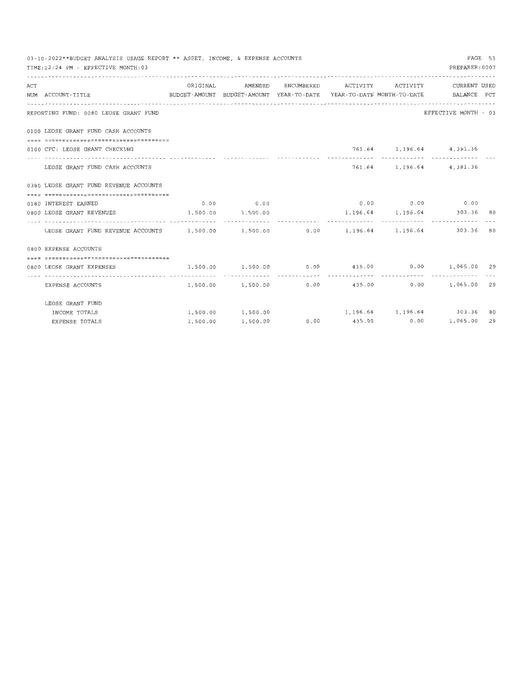|     | 03-10-2022**BUDGET ANALYSIS USAGE REPORT ** ASSET, INCOME, & EXPENSE ACCOUNTS                        |          |                   |  |                                                          | PAGE 53 |
|-----|------------------------------------------------------------------------------------------------------|----------|-------------------|--|----------------------------------------------------------|---------|
|     | TIME: 12:24 PM - EFFECTIVE MONTH: 03                                                                 |          |                   |  | PREPARER: 0007                                           |         |
| ACT |                                                                                                      | ORIGINAL |                   |  | AMENDED ENCUMBERED ACTIVITY ACTIVITY CURRENTUSED         |         |
|     | BUDGET-AMOUNT BUDGET-AMOUNT YEAR-TO-DATE YEAR-TO-DATE MONTH-TO-DATE BALANCE PCT<br>NUM ACCOUNT-TITLE |          |                   |  |                                                          |         |
|     |                                                                                                      |          |                   |  |                                                          |         |
|     | REPORTING FUND: 0080 LEOSE GRANT FUND                                                                |          |                   |  | EFFECTIVE MONTH - 03                                     |         |
|     | 0100 LEOSE GRANT FUND CASH ACCOUNTS                                                                  |          |                   |  |                                                          |         |
|     |                                                                                                      |          |                   |  |                                                          |         |
|     | 0100 CFC: LEOSE GRANT CHECKING                                                                       |          |                   |  | 761.64 1,196.64 4,381.36<br>------------- -------------- |         |
|     | LEOSE GRANT FUND CASH ACCOUNTS                                                                       |          |                   |  | 761.64 1,196.64 4,381.36                                 |         |
|     | 0380 LEOSE GRANT FUND REVENUE ACCOUNTS                                                               |          |                   |  |                                                          |         |
|     |                                                                                                      |          |                   |  |                                                          |         |
|     | 0180 INTEREST EARNED                                                                                 |          | $0.00$ 0.00       |  | $0.00$ $0.00$ $0.00$ $0.00$                              |         |
|     | 0800 LEOSE GRANT REVENUES                                                                            |          | 1,500.00 1,500.00 |  | 1, 196.64 1, 196.64 303.36 80                            |         |
|     |                                                                                                      |          |                   |  |                                                          |         |
|     |                                                                                                      |          |                   |  |                                                          |         |
|     | 0800 EXPENSE ACCOUNTS                                                                                |          |                   |  |                                                          |         |
|     | =====================================                                                                |          |                   |  |                                                          |         |
|     | 0800 LEOSE GRANT EXPENSES                                                                            |          |                   |  | 1,500.00 1,500.00 0.00 435.00 0.00 1,065.00 29           |         |
|     | EXPENSE ACCOUNTS                                                                                     |          |                   |  | 1,500.00 1,500.00 0.00 435.00 0.00 1,065.00 29           |         |
|     | LEOSE GRANT FUND                                                                                     |          |                   |  |                                                          |         |
|     | INCOME TOTALS                                                                                        |          |                   |  | $1,500.00$ 1,500.00 1,196.64 1,196.64 303.36             | 80      |
|     | <b>EXPENSE TOTALS</b>                                                                                | 1,500.00 |                   |  |                                                          | 29      |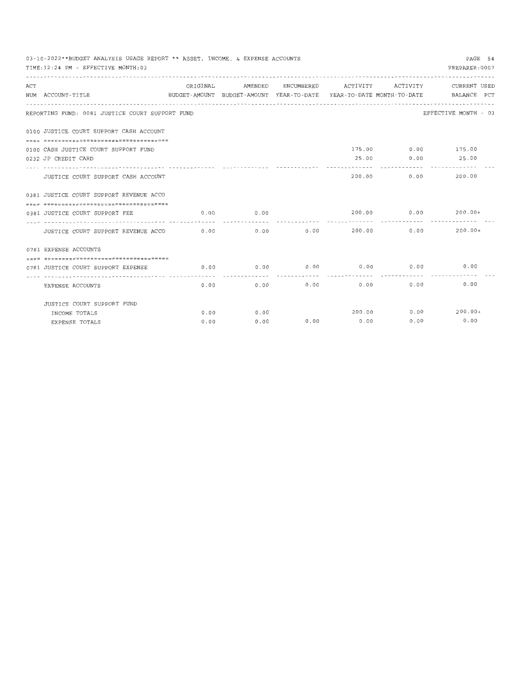|     | 03-10-2022**BUDGET ANALYSIS USAGE REPORT ** ASSET, INCOME, & EXPENSE ACCOUNTS |          |         |               |                     |                                    | PAGE 54                                                                         |
|-----|-------------------------------------------------------------------------------|----------|---------|---------------|---------------------|------------------------------------|---------------------------------------------------------------------------------|
|     | TIME: 12:24 PM - EFFECTIVE MONTH: 03                                          |          |         |               |                     |                                    | PREPARER: 0007                                                                  |
|     |                                                                               |          |         |               |                     |                                    |                                                                                 |
| ACT |                                                                               | ORIGINAL | AMENDED |               | ENCUMBERED ACTIVITY | ACTIVITY                           | CURRENT USED                                                                    |
|     | NUM ACCOUNT-TITLE                                                             |          |         |               |                     |                                    | BUDGET-AMOUNT BUDGET-AMOUNT YEAR-TO-DATE YEAR-TO-DATE MONTH-TO-DATE BALANCE PCT |
|     |                                                                               |          |         |               |                     |                                    |                                                                                 |
|     | REPORTING FUND: 0081 JUSTICE COURT SUPPORT FUND                               |          |         |               |                     |                                    | EFFECTIVE MONTH - 03                                                            |
|     | 0100 JUSTICE COURT SUPPORT CASH ACCOUNT                                       |          |         |               |                     |                                    |                                                                                 |
|     |                                                                               |          |         |               |                     |                                    |                                                                                 |
|     | 0100 CASH JUSTICE COURT SUPPORT FUND                                          |          |         |               |                     |                                    | 175.00 0.00 175.00                                                              |
|     | 0232 JP CREDIT CARD                                                           |          |         |               |                     |                                    | 25.00 0.00 25.00                                                                |
|     |                                                                               |          |         |               |                     |                                    |                                                                                 |
|     | JUSTICE COURT SUPPORT CASH ACCOUNT                                            |          |         |               |                     | 200.00                             | 0.00<br>200.00                                                                  |
|     | 0381 JUSTICE COURT SUPPORT REVENUE ACCO                                       |          |         |               |                     |                                    |                                                                                 |
|     |                                                                               |          |         |               |                     |                                    |                                                                                 |
|     | 0381 JUSTICE COURT SUPPORT FEE                                                | 0.00     | 0.00    |               | 200.00              |                                    | $0.00$ 200.00+                                                                  |
|     | JUSTICE COURT SUPPORT REVENUE ACCO                                            | 0.00     |         | $0.00$ $0.00$ | -------             | ------------- -----<br>200.00 0.00 | $200.00+$                                                                       |
|     |                                                                               |          |         |               |                     |                                    |                                                                                 |
|     | 0781 EXPENSE ACCOUNTS                                                         |          |         |               |                     |                                    |                                                                                 |
|     | =====================================                                         |          |         |               |                     |                                    |                                                                                 |
|     | 0781 JUSTICE COURT SUPPORT EXPENSE                                            | 0.00     |         |               |                     |                                    | $0.00$ $0.00$ $0.00$ $0.00$ $0.00$ $0.00$ $0.00$                                |
|     | --------------------- ---------- -<br>EXPENSE ACCOUNTS                        | 0.00     | 0.00    | 0.00          | 0.00                |                                    | 0.00<br>0.00                                                                    |
|     | JUSTICE COURT SUPPORT FUND                                                    |          |         |               |                     |                                    |                                                                                 |
|     | INCOME TOTALS                                                                 | 0.00     | 0.00    |               |                     |                                    | 200.00 0.00 200.00+                                                             |
|     | EXPENSE TOTALS                                                                | 0.00     | 0.00    |               | $0.00$ 0.00         | 0.00                               | 0.00                                                                            |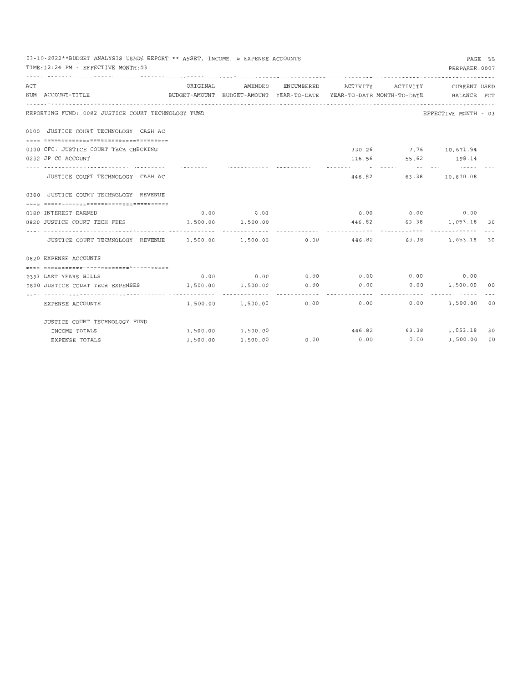|     | 03-10-2022**BUDGET ANALYSIS USAGE REPORT ** ASSET, INCOME, & EXPENSE ACCOUNTS<br>TIME: 12:24 PM - EFFECTIVE MONTH: 03 |                                                                                 |                   |            |                                             |            | PREPARER: 0007           | PAGE 55 |
|-----|-----------------------------------------------------------------------------------------------------------------------|---------------------------------------------------------------------------------|-------------------|------------|---------------------------------------------|------------|--------------------------|---------|
| ACT |                                                                                                                       | ORIGINAL                                                                        | AMENDED           | ENCUMBERED | ACTIVITY ACTIVITY                           |            | CURRENT USED             |         |
|     | NUM ACCOUNT-TITLE                                                                                                     | BUDGET-AMOUNT BUDGET-AMOUNT YEAR-TO-DATE YEAR-TO-DATE MONTH-TO-DATE BALANCE PCT |                   |            |                                             |            |                          |         |
|     | REPORTING FUND: 0082 JUSTICE COURT TECHNOLOGY FUND                                                                    |                                                                                 |                   |            |                                             |            | EFFECTIVE MONTH - 03     |         |
|     | 0100 JUSTICE COURT TECHNOLOGY CASH AC                                                                                 |                                                                                 |                   |            |                                             |            |                          |         |
|     |                                                                                                                       |                                                                                 |                   |            |                                             |            |                          |         |
|     | 0100 CFC: JUSTICE COURT TECH CHECKING                                                                                 |                                                                                 |                   |            |                                             |            | 330.26 7.76 10,671.94    |         |
|     | 0232 JP CC ACCOUNT                                                                                                    |                                                                                 |                   |            |                                             |            | 116.56 55.62 198.14      |         |
|     | JUSTICE COURT TECHNOLOGY CASH AC                                                                                      |                                                                                 |                   |            |                                             | ---------- | 446.82 63.38 10,870.08   |         |
|     | 0380 JUSTICE COURT TECHNOLOGY REVENUE                                                                                 |                                                                                 |                   |            |                                             |            |                          |         |
|     | ------------------------------------                                                                                  |                                                                                 |                   |            |                                             |            |                          |         |
|     | 0180 INTEREST EARNED                                                                                                  |                                                                                 | $0.00$ 0.00       |            |                                             |            | $0.00$ 0.00 0.00         |         |
|     | 0820 JUSTICE COURT TECH FEES                                                                                          |                                                                                 | 1,500.00 1,500.00 |            |                                             |            | 446.82 63.38 1,053.18 30 |         |
|     |                                                                                                                       |                                                                                 |                   |            |                                             | .          |                          |         |
|     | JUSTICE COURT TECHNOLOGY REVENUE 1,500.00 1,500.00 0.00 446.82 63.38 1,053.18 30                                      |                                                                                 |                   |            |                                             |            |                          |         |
|     | 0820 EXPENSE ACCOUNTS                                                                                                 |                                                                                 |                   |            |                                             |            |                          |         |
|     |                                                                                                                       |                                                                                 |                   |            |                                             |            |                          |         |
|     | 0333 LAST YEARS BILLS                                                                                                 |                                                                                 |                   |            | $0.00$ 0.00 0.00 0.00 0.00 0.00 0.00 0.00   |            |                          |         |
|     | 0820 JUSTICE COURT TECH EXPENSES                                                                                      | 1,500.00                                                                        | 1,500.00          | 0.00       | 0.00                                        |            | $0.00$ 1,500.00 00       |         |
|     | . <b>.</b> .<br>EXPENSE ACCOUNTS                                                                                      | . <i>.</i>                                                                      | 1,500.00 1,500.00 |            | .<br>$0.00$ 0.00                            | ---------  | 0.00 1,500.00 00         |         |
|     | JUSTICE COURT TECHNOLOGY FUND                                                                                         |                                                                                 |                   |            |                                             |            |                          |         |
|     | INCOME TOTALS                                                                                                         |                                                                                 |                   |            |                                             |            | 446.82 63.38 1,053.18    | 30      |
|     | EXPENSE TOTALS                                                                                                        | 1,500.00                                                                        | 1,500.00          |            | $0.00$ $0.00$ $0.00$ $0.00$ $1,500.00$ $00$ |            |                          |         |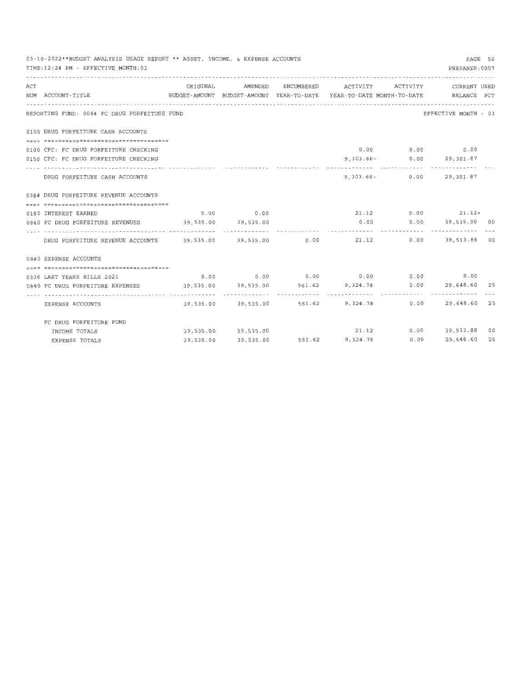|     | 03-10-2022**BUDGET ANALYSIS USAGE REPORT ** ASSET, INCOME, & EXPENSE ACCOUNTS<br>TIME:12:24 PM - EFFECTIVE MONTH:03 |           |             |                                                         | PREPARER: 0007               | PAGE 56 |
|-----|---------------------------------------------------------------------------------------------------------------------|-----------|-------------|---------------------------------------------------------|------------------------------|---------|
| ACT |                                                                                                                     | ORIGINAL  | AMENDED     | ENCUMBERED ACTIVITY ACTIVITY                            | CURRENT USED                 |         |
|     | NUM ACCOUNT-TITLE<br>BUDGET-AMOUNT BUDGET-AMOUNT YEAR-TO-DATE YEAR-TO-DATE MONTH-TO-DATE BALANCE PCT                |           |             |                                                         |                              |         |
|     | ---------------------------------<br>REPORTING FUND: 0084 FC DRUG FORFEITURE FUND                                   |           |             |                                                         | EFFECTIVE MONTH - 03         |         |
|     | 0100 DRUG FORFEITURE CASH ACCOUNTS                                                                                  |           |             |                                                         |                              |         |
|     |                                                                                                                     |           |             |                                                         |                              |         |
|     | 0100 CFC: FC DRUG FORFEITURE CHECKING                                                                               |           |             |                                                         | $0.00$ $0.00$ $0.00$ $0.00$  |         |
|     | 0150 CFC: FC DRUG FORFEITURE CHECKING                                                                               |           |             |                                                         | 9,303.66- 0.00 29,301.87     |         |
|     | DRUG FORFEITURE CASH ACCOUNTS                                                                                       |           |             |                                                         | 9,303.66- 0.00 29,301.87     |         |
|     | 0384 DRUG FORFEITURE REVENUE ACCOUNTS                                                                               |           |             |                                                         |                              |         |
|     |                                                                                                                     |           |             |                                                         |                              |         |
|     | 0180 INTEREST EARNED                                                                                                |           | $0.00$ 0.00 |                                                         | $21.12$ 0.00 21.12+          |         |
|     | 0840 FC DRUG FORFEITURE REVENUES 39,535.00 39,535.00                                                                |           |             |                                                         | $0.00$ $0.00$ $39,535.00$ 00 |         |
|     | DRUG FORFEITURE REVENUE ACCOUNTS 39,535.00 39,535.00 0.00 21.12 0.00 39,513.88 00                                   |           |             |                                                         |                              |         |
|     | 0840 EXPENSE ACCOUNTS                                                                                               |           |             |                                                         |                              |         |
|     |                                                                                                                     |           |             |                                                         |                              |         |
|     | 0336 LAST YEARS BILLS 2021                                                                                          |           |             | $0.00$ $0.00$ $0.00$ $0.00$ $0.00$ $0.00$ $0.00$ $0.00$ |                              |         |
|     | 0640 FC DRUG FORFEITURE EXPENSES 39,535.00 39,535.00 561.62 9,324.78 0.00 29,648.60 25                              |           |             |                                                         |                              |         |
|     |                                                                                                                     |           |             |                                                         |                              |         |
|     | EXPENSE ACCOUNTS                                                                                                    |           |             | 39,535.00 39,535.00 561.62 9,324.78                     | $0.00$ 29,648.60 25          |         |
|     | FC DRUG FORFEITURE FUND                                                                                             |           |             |                                                         |                              |         |
|     | INCOME TOTALS                                                                                                       |           |             | 39,535.00 39,535.00 21.12 0.00 39,513.88 00             |                              |         |
|     | EXPENSE TOTALS                                                                                                      | 39,535.00 |             | 39,535.00 561.62 9,324.78 0.00 29,648.60 25             |                              |         |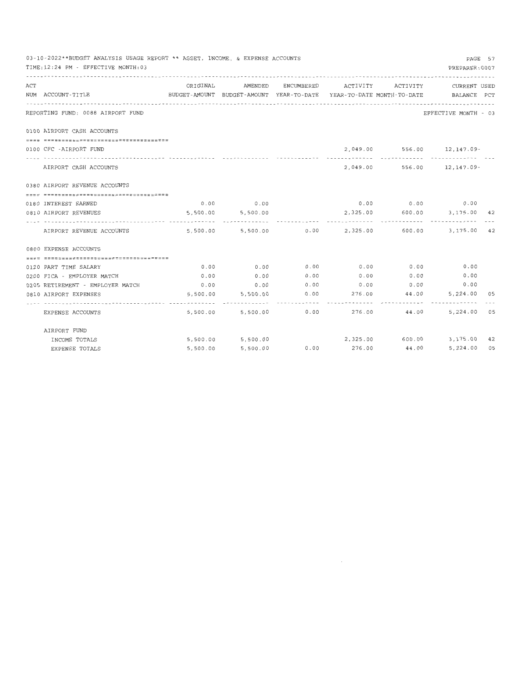|     | 03-10-2022**BUDGET ANALYSIS USAGE REPORT ** ASSET, INCOME, & EXPENSE ACCOUNTS |                                                                                 |                        |              |                              |              |                                                    | PAGE 57 |
|-----|-------------------------------------------------------------------------------|---------------------------------------------------------------------------------|------------------------|--------------|------------------------------|--------------|----------------------------------------------------|---------|
|     | TIME:12:24 PM - EFFECTIVE MONTH:03                                            |                                                                                 |                        |              |                              |              | PREPARER: 0007                                     |         |
| ACT |                                                                               |                                                                                 | ORIGINAL AMENDED       |              | ENCUMBERED ACTIVITY ACTIVITY |              | CURRENT USED                                       |         |
|     | NUM ACCOUNT-TITLE                                                             | BUDGET-AMOUNT BUDGET-AMOUNT YEAR-TO-DATE YEAR-TO-DATE MONTH-TO-DATE BALANCE PCT |                        |              |                              |              |                                                    |         |
|     | REPORTING FUND: 0088 AIRPORT FUND                                             |                                                                                 |                        |              |                              |              | EFFECTIVE MONTH - 03                               |         |
|     | 0100 AIRPORT CASH ACCOUNTS                                                    |                                                                                 |                        |              |                              |              |                                                    |         |
|     |                                                                               |                                                                                 |                        |              |                              |              |                                                    |         |
|     | 0100 CFC -AIRPORT FUND                                                        |                                                                                 |                        |              |                              |              | 2,049.00 556.00 12,147.09-                         |         |
|     | AIRPORT CASH ACCOUNTS                                                         |                                                                                 |                        |              |                              | ------------ | 2,049.00 556.00 12,147.09-                         |         |
|     | 0380 AIRPORT REVENUE ACCOUNTS                                                 |                                                                                 |                        |              |                              |              |                                                    |         |
|     |                                                                               |                                                                                 |                        |              |                              |              |                                                    |         |
|     | 0180 INTEREST EARNED                                                          |                                                                                 | $0.00$ 0.00            |              |                              |              | $0.00$ $0.00$ $0.00$ $0.00$                        |         |
|     | 0810 AIRPORT REVENUES                                                         |                                                                                 | 5,500.00 5,500.00      |              |                              |              | 2,325.00 600.00 3,175.00 42                        |         |
|     | AIRPORT REVENUE ACCOUNTS                                                      |                                                                                 |                        |              | ------------                 |              | 5,500.00 5,500.00 0.00 2,325.00 600.00 3,175.00 42 |         |
|     | 0800 EXPENSE ACCOUNTS                                                         |                                                                                 |                        |              |                              |              |                                                    |         |
|     |                                                                               |                                                                                 |                        |              |                              |              |                                                    |         |
|     | 0120 PART TIME SALARY                                                         | 0.00                                                                            | 0.00                   |              |                              |              | $0.00$ $0.00$ $0.00$ $0.00$ $0.00$ $0.00$          |         |
|     | 0200 FICA - EMPLOYER MATCH                                                    | 0.00                                                                            | 0.00                   | 0.00         |                              |              | $0.00$ $0.00$ $0.00$ $0.00$                        |         |
|     | 0205 RETIREMENT - EMPLOYER MATCH                                              | 0.00                                                                            | 0.00                   | 0.00         | 0.00                         | 0.00         | 0.00                                               |         |
|     | 0810 AIRPORT EXPENSES                                                         |                                                                                 | 5,500.00 5,500.00      |              | $0.00$ 276.00 44.00          |              | 5,224.00 05                                        |         |
|     |                                                                               |                                                                                 |                        | ------------ | <b>***********</b>           | ------------ |                                                    |         |
|     | EXPENSE ACCOUNTS                                                              |                                                                                 | 5,500.00 5,500.00 0.00 |              |                              | 276.00 44.00 | 5,224.00 05                                        |         |
|     | AIRPORT FUND                                                                  |                                                                                 |                        |              |                              |              |                                                    |         |
|     | INCOME TOTALS                                                                 |                                                                                 | 5,500.00 5,500.00      |              |                              |              | 2,325.00 600.00 3,175.00 42                        |         |
|     | EXPENSE TOTALS                                                                | 5,500.00                                                                        | 5,500.00               | 0.00         | 276.00                       | 44.00        | 5,224.00 05                                        |         |

 $\mathcal{L}^{\text{max}}_{\text{max}}$  , where  $\mathcal{L}^{\text{max}}_{\text{max}}$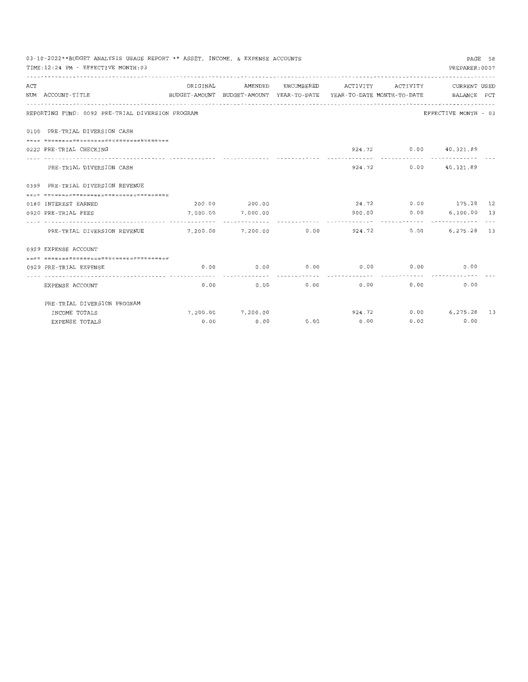|     | 03-10-2022**BUDGET ANALYSIS USAGE REPORT ** ASSET, INCOME, & EXPENSE ACCOUNTS                        |          |                   |                    |               |              |                                                  | PAGE 58 |
|-----|------------------------------------------------------------------------------------------------------|----------|-------------------|--------------------|---------------|--------------|--------------------------------------------------|---------|
|     | TIME: 12:24 PM - EFFECTIVE MONTH: 03                                                                 |          |                   |                    |               |              | PREPARER: 0007                                   |         |
|     |                                                                                                      |          |                   |                    |               |              |                                                  |         |
| ACT |                                                                                                      | ORIGINAL |                   | AMENDED ENCUMBERED | ACTIVITY      |              | ACTIVITY CURRENT USED                            |         |
|     | BUDGET-AMOUNT BUDGET-AMOUNT YEAR-TO-DATE YEAR-TO-DATE MONTH-TO-DATE BALANCE PCT<br>NUM ACCOUNT-TITLE |          |                   |                    |               |              |                                                  |         |
|     |                                                                                                      |          |                   |                    |               |              |                                                  |         |
|     | REPORTING FUND: 0092 PRE-TRIAL DIVERSION PROGRAM                                                     |          |                   |                    |               |              | EFFECTIVE MONTH - 03                             |         |
|     | 0100 PRE-TRIAL DIVERSION CASH                                                                        |          |                   |                    |               |              |                                                  |         |
|     |                                                                                                      |          |                   |                    |               |              |                                                  |         |
|     | 0222 PRE-TRIAL CHECKING                                                                              |          |                   |                    |               | ------------ | 924.72 0.00 40,321.89                            |         |
|     | PRE-TRIAL DIVERSION CASH                                                                             |          |                   |                    |               |              | 924.72 0.00 40,321.89                            |         |
|     | 0399 PRE-TRIAL DIVERSION REVENUE                                                                     |          |                   |                    |               |              |                                                  |         |
|     |                                                                                                      |          |                   |                    |               |              |                                                  |         |
|     | 0180 INTEREST EARNED                                                                                 |          | 200.00 200.00     |                    |               |              | 24.72 0.00 175.28 12                             |         |
|     | 0920 PRE-TRIAL FEES                                                                                  |          | 7,000.00 7,000.00 |                    |               |              |                                                  |         |
|     |                                                                                                      |          |                   |                    |               |              |                                                  |         |
|     | PRE-TRIAL DIVERSION REVENUE                                                                          |          |                   |                    |               |              | 7,200.00 7,200.00 0.00 924.72 0.00 6,275.28 13   |         |
|     | 0929 EXPENSE ACCOUNT                                                                                 |          |                   |                    |               |              |                                                  |         |
|     | =====================================                                                                |          |                   |                    |               |              |                                                  |         |
|     | 0929 PRE-TRIAL EXPENSE                                                                               | 0.00     |                   |                    |               |              | $0.00$ $0.00$ $0.00$ $0.00$ $0.00$ $0.00$ $0.00$ |         |
|     | EXPENSE ACCOUNT                                                                                      | 0.00     | 0.00              | 0.00               |               | 0.00         | 0.00<br>0.00                                     |         |
|     | PRE-TRIAL DIVERSION PROGRAM                                                                          |          |                   |                    |               |              |                                                  |         |
|     | INCOME TOTALS                                                                                        |          | 7,200.00 7,200.00 |                    |               |              | 924.72 0.00 6,275.28 13                          |         |
|     | EXPENSE TOTALS                                                                                       | 0.00     | 0.00              |                    | $0.00$ $0.00$ |              | $0.00$ 0.00                                      |         |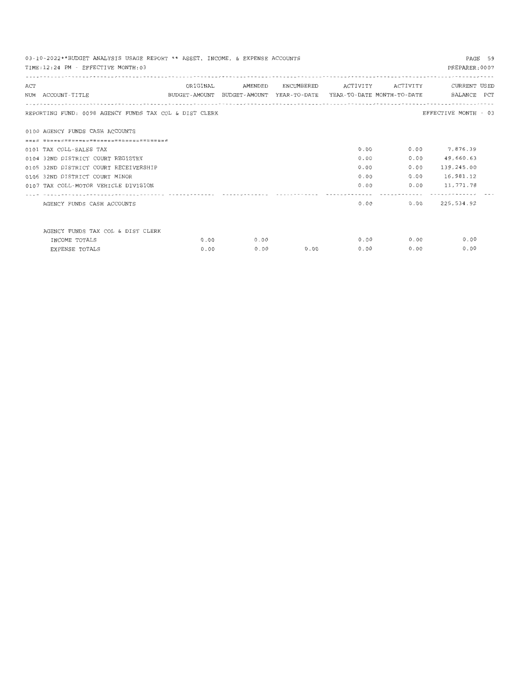| PAGE 59<br>03-10-2022**BUDGET ANALYSIS USAGE REPORT ** ASSET, INCOME, & EXPENSE ACCOUNTS<br>PREPARER: 0007<br>TIME: 12:24 PM - EFFECTIVE MONTH: 03 |                                       |                                                                     |         |            |          |                              |                 |  |  |  |
|----------------------------------------------------------------------------------------------------------------------------------------------------|---------------------------------------|---------------------------------------------------------------------|---------|------------|----------|------------------------------|-----------------|--|--|--|
| ACT                                                                                                                                                |                                       | ORIGINAL                                                            | AMENDED | ENCUMBERED | ACTIVITY | ACTIVITY                     | CURRENT USED    |  |  |  |
|                                                                                                                                                    | NUM ACCOUNT-TITLE                     | BUDGET-AMOUNT BUDGET-AMOUNT YEAR-TO-DATE YEAR-TO-DATE MONTH-TO-DATE |         |            |          |                              | BALANCE PCT     |  |  |  |
| EFFECTIVE MONTH - 03<br>REPORTING FUND: 0098 AGENCY FUNDS TAX COL & DIST CLERK                                                                     |                                       |                                                                     |         |            |          |                              |                 |  |  |  |
|                                                                                                                                                    | 0100 AGENCY FUNDS CASH ACCOUNTS       |                                                                     |         |            |          |                              |                 |  |  |  |
|                                                                                                                                                    |                                       |                                                                     |         |            |          |                              |                 |  |  |  |
|                                                                                                                                                    | 0101 TAX COLL-SALES TAX               |                                                                     |         |            | 0.00     |                              | $0.00$ 7,876.39 |  |  |  |
|                                                                                                                                                    | 0104 32ND DISTRICT COURT REGISTRY     |                                                                     |         |            | 0.00     | 0.00                         | 49,660.63       |  |  |  |
|                                                                                                                                                    | 0105 32ND DISTRICT COURT RECEIVERSHIP |                                                                     |         |            | 0.00     | 0.00                         | 139,245.00      |  |  |  |
|                                                                                                                                                    | 0106 32ND DISTRICT COURT MINOR        |                                                                     |         |            | 0.00     | 0.00                         | 16,981.12       |  |  |  |
|                                                                                                                                                    | 0107 TAX COLL-MOTOR VEHICLE DIVISION  |                                                                     |         |            | 0.00     | 0.00                         | 11,771.78       |  |  |  |
|                                                                                                                                                    | AGENCY FUNDS CASH ACCOUNTS            |                                                                     |         |            |          | ------------<br>0.00<br>0.00 | .<br>225,534.92 |  |  |  |
|                                                                                                                                                    | AGENCY FUNDS TAX COL & DIST CLERK     |                                                                     |         |            |          |                              |                 |  |  |  |
|                                                                                                                                                    | INCOME TOTALS                         | 0.00                                                                | 0.00    |            |          | $0.00$ 0.00                  | 0.00            |  |  |  |
|                                                                                                                                                    | <b>EXPENSE TOTALS</b>                 | 0.00                                                                | 0.00    | 0.00       | 0.00     | 0.00                         | 0.00            |  |  |  |